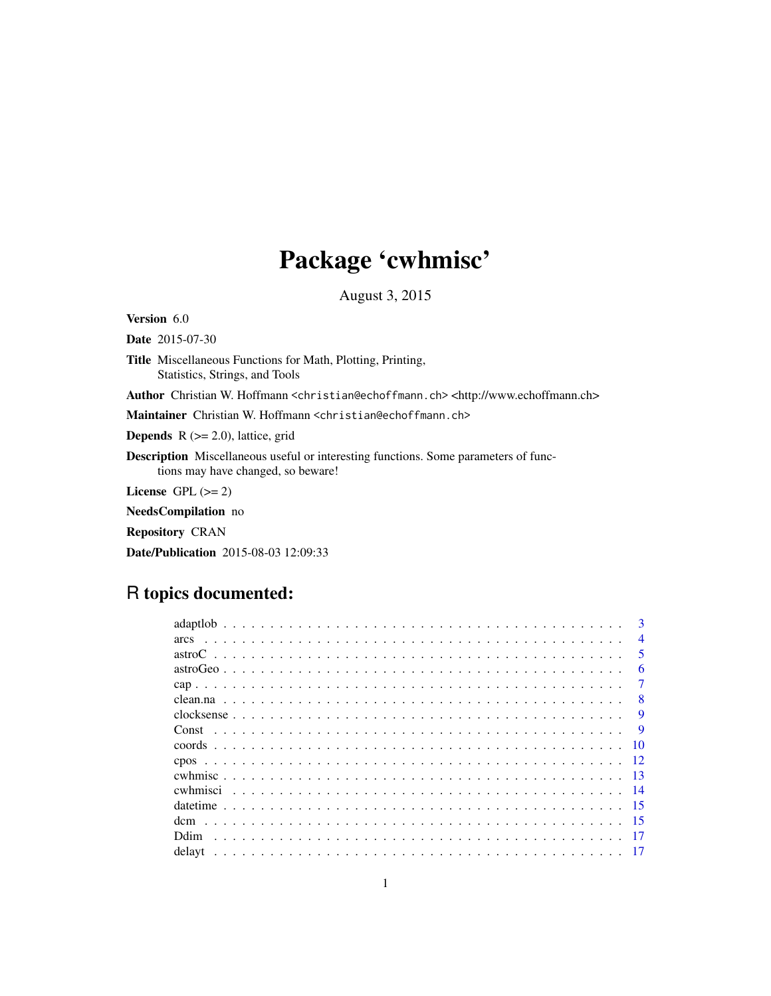# Package 'cwhmisc'

August 3, 2015

<span id="page-0-0"></span>Version 6.0

Date 2015-07-30

Title Miscellaneous Functions for Math, Plotting, Printing, Statistics, Strings, and Tools

Author Christian W. Hoffmann <christian@echoffmann.ch> <http://www.echoffmann.ch>

Maintainer Christian W. Hoffmann <christian@echoffmann.ch>

**Depends**  $R$  ( $>= 2.0$ ), lattice, grid

Description Miscellaneous useful or interesting functions. Some parameters of functions may have changed, so beware!

License GPL  $(>= 2)$ 

NeedsCompilation no

Repository CRAN

Date/Publication 2015-08-03 12:09:33

# R topics documented:

| $\mathbf{3}$            |
|-------------------------|
| $\overline{4}$          |
| $\overline{\mathbf{5}}$ |
| 6                       |
| 7                       |
| $\mathbf{R}$            |
| 9                       |
| <b>Q</b>                |
| 10                      |
|                         |
| - 13                    |
|                         |
|                         |
|                         |
|                         |
|                         |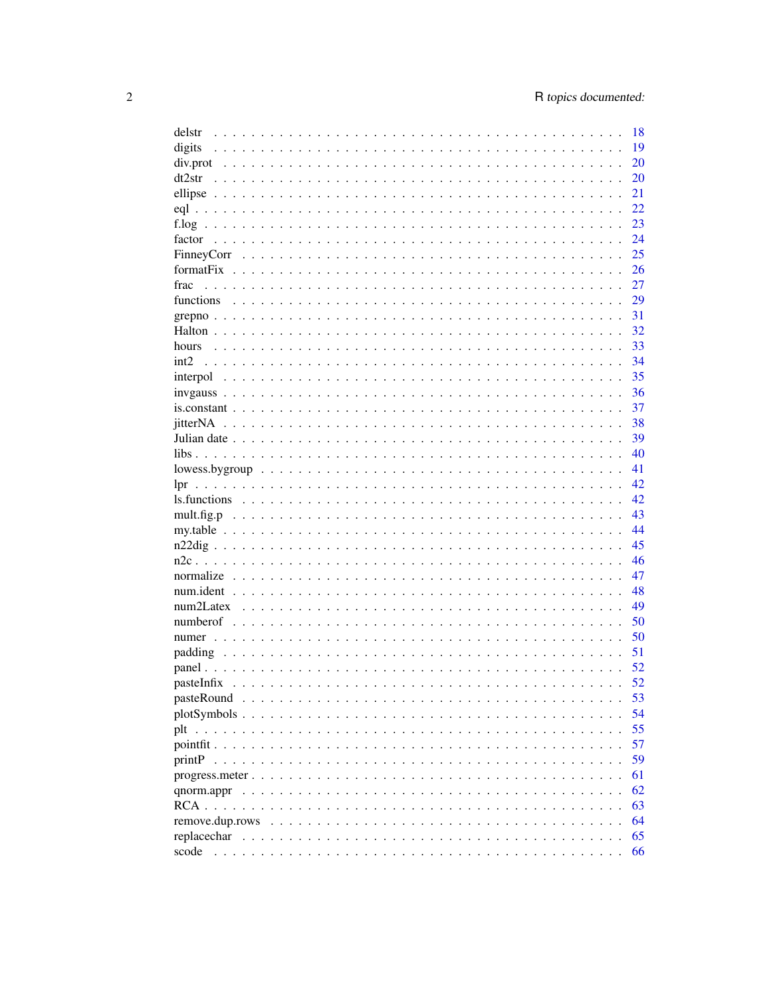| delstr                                                                                                                    | 18 |
|---------------------------------------------------------------------------------------------------------------------------|----|
| digits                                                                                                                    | 19 |
|                                                                                                                           | 20 |
| dt2str                                                                                                                    | 20 |
|                                                                                                                           | 21 |
|                                                                                                                           | 22 |
|                                                                                                                           | 23 |
| factor                                                                                                                    | 24 |
|                                                                                                                           | 25 |
|                                                                                                                           | 26 |
| frac                                                                                                                      | 27 |
|                                                                                                                           |    |
| functions                                                                                                                 | 29 |
|                                                                                                                           | 31 |
|                                                                                                                           | 32 |
| hours                                                                                                                     | 33 |
| int <sub>2</sub>                                                                                                          | 34 |
|                                                                                                                           | 35 |
|                                                                                                                           | 36 |
| $is constant \dots \dots \dots \dots \dots \dots \dots \dots \dots \dots \dots \dots \dots \dots \dots \dots \dots \dots$ | 37 |
|                                                                                                                           | 38 |
|                                                                                                                           | 39 |
|                                                                                                                           | 40 |
| $lowess.bygroup \dots \dots \dots \dots \dots \dots \dots \dots \dots \dots \dots \dots \dots \dots \dots \dots$          | 41 |
| lpr                                                                                                                       | 42 |
|                                                                                                                           | 42 |
|                                                                                                                           | 43 |
|                                                                                                                           | 44 |
|                                                                                                                           |    |
|                                                                                                                           | 45 |
|                                                                                                                           | 46 |
|                                                                                                                           | 47 |
|                                                                                                                           | 48 |
|                                                                                                                           | 49 |
|                                                                                                                           | 50 |
|                                                                                                                           | 50 |
|                                                                                                                           | 51 |
|                                                                                                                           | 52 |
|                                                                                                                           | 52 |
|                                                                                                                           | 53 |
|                                                                                                                           | 54 |
|                                                                                                                           | 55 |
|                                                                                                                           | 57 |
|                                                                                                                           | 59 |
|                                                                                                                           | 61 |
|                                                                                                                           |    |
|                                                                                                                           | 62 |
|                                                                                                                           | 63 |
|                                                                                                                           | 64 |
| replacechar                                                                                                               | 65 |
|                                                                                                                           | 66 |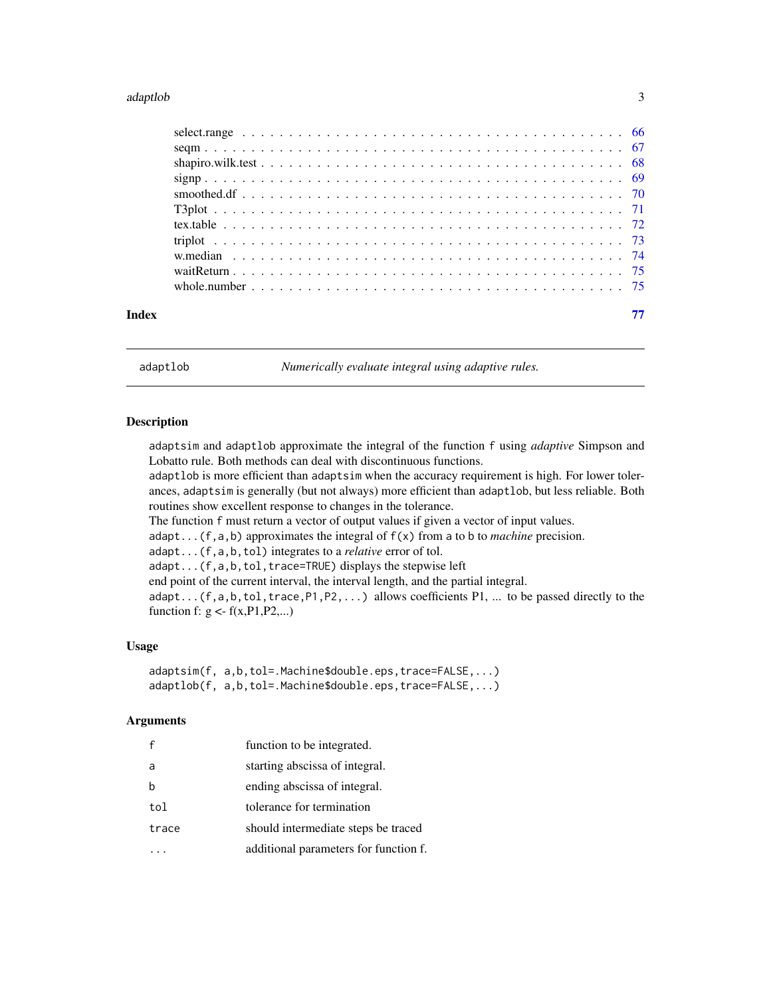#### <span id="page-2-0"></span>adaptlob 3

adaptlob *Numerically evaluate integral using adaptive rules.*

#### Description

adaptsim and adaptlob approximate the integral of the function f using *adaptive* Simpson and Lobatto rule. Both methods can deal with discontinuous functions.

adaptlob is more efficient than adaptsim when the accuracy requirement is high. For lower tolerances, adaptsim is generally (but not always) more efficient than adaptlob, but less reliable. Both routines show excellent response to changes in the tolerance.

The function f must return a vector of output values if given a vector of input values.

adapt...(f,a,b) approximates the integral of f(x) from a to b to *machine* precision.

adapt...(f,a,b,tol) integrates to a *relative* error of tol.

adapt...(f,a,b,tol,trace=TRUE) displays the stepwise left

end point of the current interval, the interval length, and the partial integral.

 $adapt...$  (f,a,b,tol,trace,P1,P2,...) allows coefficients P1, ... to be passed directly to the function f:  $g \le f(x, P1, P2,...)$ 

#### Usage

```
adaptsim(f, a,b,tol=.Machine$double.eps,trace=FALSE,...)
adaptlob(f, a,b,tol=.Machine$double.eps,trace=FALSE,...)
```
#### Arguments

|       | function to be integrated.            |
|-------|---------------------------------------|
| a     | starting abscissa of integral.        |
|       | ending abscissa of integral.          |
| tol   | tolerance for termination             |
| trace | should intermediate steps be traced   |
|       | additional parameters for function f. |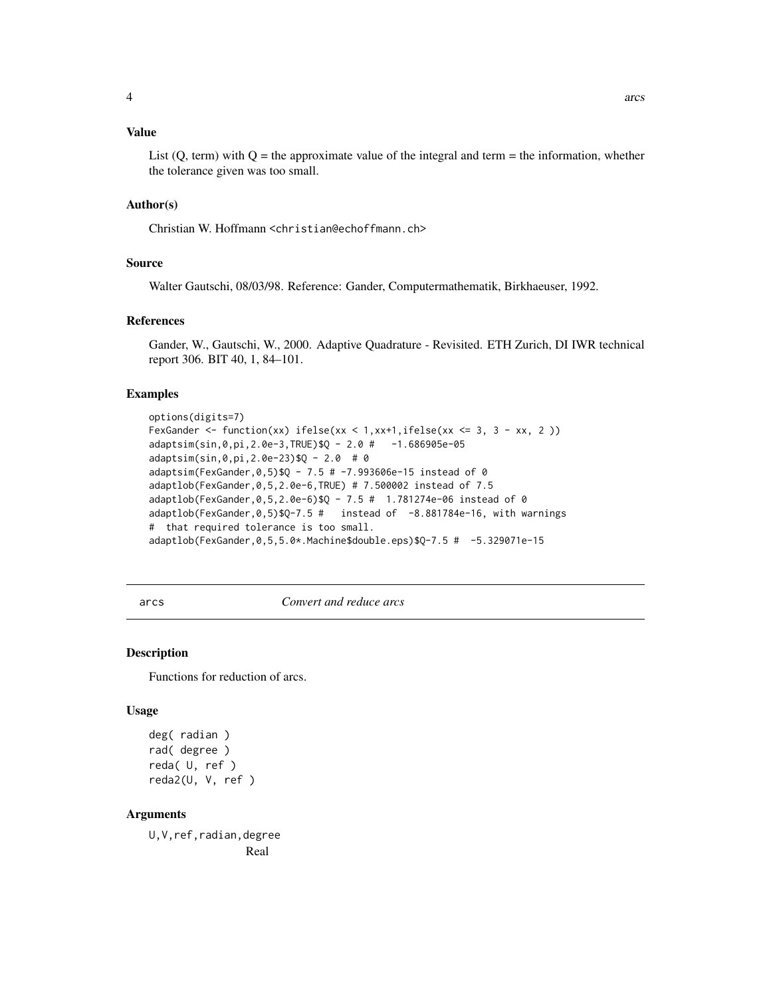#### <span id="page-3-0"></span>Value

List  $(Q, \text{term})$  with  $Q =$  the approximate value of the integral and term = the information, whether the tolerance given was too small.

#### Author(s)

Christian W. Hoffmann <christian@echoffmann.ch>

# Source

Walter Gautschi, 08/03/98. Reference: Gander, Computermathematik, Birkhaeuser, 1992.

#### References

Gander, W., Gautschi, W., 2000. Adaptive Quadrature - Revisited. ETH Zurich, DI IWR technical report 306. BIT 40, 1, 84–101.

#### Examples

```
options(digits=7)
FexGander \le function(xx) ifelse(xx \le 1,xx+1,ifelse(xx \le 3, 3 - xx, 2 ))
adaptsim(sin,0,pi,2.0e-3,TRUE)$Q - 2.0 # -1.686905e-05
adaptsim(sin,0,pi,2.0e-23)$Q - 2.0 # 0
adaptsim(FexGander,0,5)$Q - 7.5 # -7.993606e-15 instead of 0
adaptlob(FexGander,0,5,2.0e-6,TRUE) # 7.500002 instead of 7.5
adaptlob(FexGander,0,5,2.0e-6)$Q - 7.5 # 1.781274e-06 instead of 0
adaptlob(FexGander,0,5)$Q-7.5 # instead of -8.881784e-16, with warnings
# that required tolerance is too small.
adaptlob(FexGander,0,5,5.0*.Machine$double.eps)$Q-7.5 # -5.329071e-15
```
arcs *Convert and reduce arcs*

#### **Description**

Functions for reduction of arcs.

#### Usage

```
deg( radian )
rad( degree )
reda( U, ref )
reda2(U, V, ref )
```
# Arguments

U,V,ref,radian,degree Real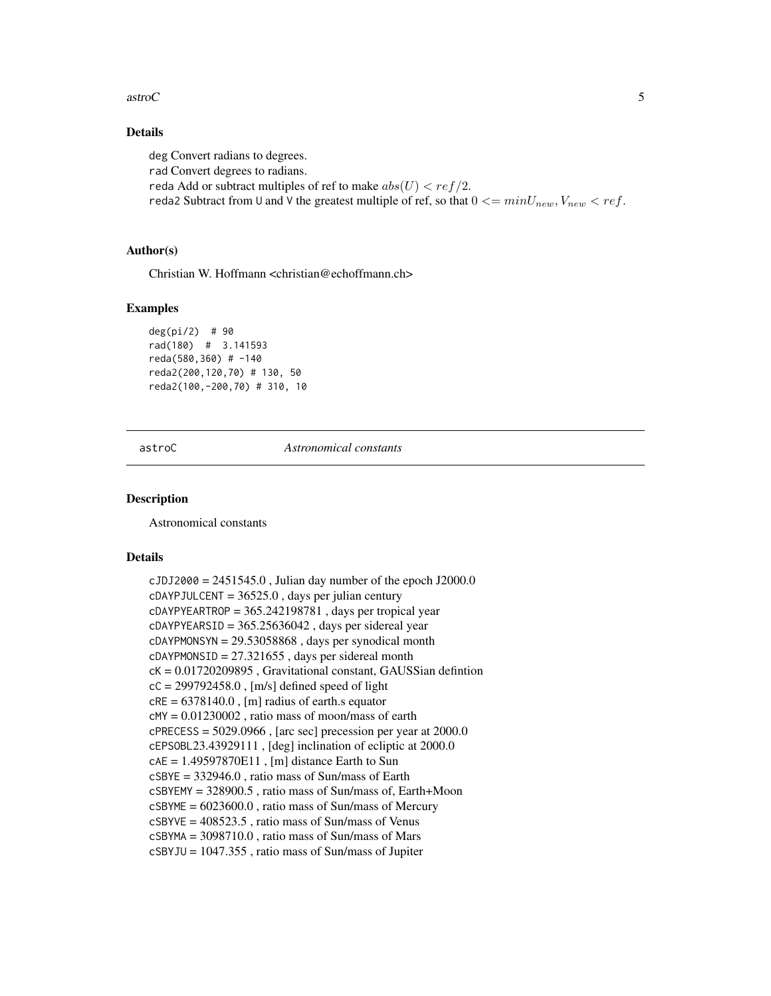#### <span id="page-4-0"></span> $\frac{1}{5}$  astroC

# Details

deg Convert radians to degrees. rad Convert degrees to radians. reda Add or subtract multiples of ref to make  $abs(U) < ref/2$ . reda2 Subtract from U and V the greatest multiple of ref, so that  $0 \leq minU_{new}$ ,  $V_{new} \leq ref$ .

#### Author(s)

Christian W. Hoffmann <christian@echoffmann.ch>

#### Examples

deg(pi/2) # 90 rad(180) # 3.141593 reda(580,360) # -140 reda2(200,120,70) # 130, 50 reda2(100,-200,70) # 310, 10

astroC *Astronomical constants*

# **Description**

Astronomical constants

#### Details

 $c$ JDJ2000 = 2451545.0, Julian day number of the epoch J2000.0  $c$ DAYPJULCENT = 36525.0, days per julian century  $c$ DAYPYEARTROP = 365.242198781, days per tropical year  $c$ DAYPYEARSID = 365.25636042, days per sidereal year  $c$ DAYPMONSYN = 29.53058868, days per synodical month  $c$ DAYPMONSID = 27.321655, days per sidereal month cK = 0.01720209895 , Gravitational constant, GAUSSian defintion  $cC = 299792458.0$ , [m/s] defined speed of light  $cRE = 6378140.0$ , [m] radius of earth.s equator  $c$ MY =  $0.01230002$ , ratio mass of moon/mass of earth  $c$ PRECESS = 5029.0966, [arc sec] precession per year at 2000.0 cEPSOBL23.43929111 , [deg] inclination of ecliptic at 2000.0  $cAE = 1.49597870E11$ , [m] distance Earth to Sun cSBYE = 332946.0 , ratio mass of Sun/mass of Earth cSBYEMY = 328900.5 , ratio mass of Sun/mass of, Earth+Moon  $cSBYME = 6023600.0$ , ratio mass of Sun/mass of Mercury cSBYVE = 408523.5 , ratio mass of Sun/mass of Venus cSBYMA = 3098710.0 , ratio mass of Sun/mass of Mars cSBYJU = 1047.355 , ratio mass of Sun/mass of Jupiter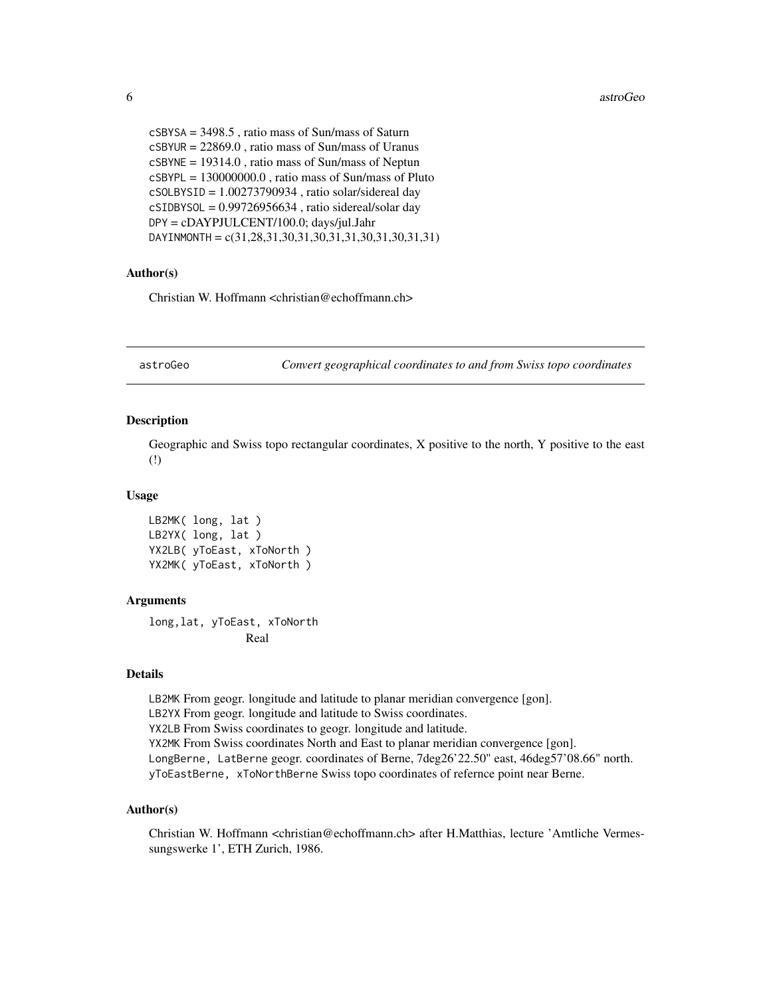```
cSBYSA = 3498.5 , ratio mass of Sun/mass of Saturn
cSBYUR = 22869.0 , ratio mass of Sun/mass of Uranus
cSBYNE = 19314.0 , ratio mass of Sun/mass of Neptun
cSBYPL = 130000000.0 , ratio mass of Sun/mass of Pluto
cSOLBYSID = 1.00273790934 , ratio solar/sidereal day
cSIDBYSOL = 0.99726956634, ratio sidereal/solar day
DPY = cDAYPJULCENT/100.0; days/jul.Jahr
DAYINMONTH = c(31,28,31,30,31,30,31,31,30,31,30,31,31)
```
#### Author(s)

Christian W. Hoffmann <christian@echoffmann.ch>

astroGeo *Convert geographical coordinates to and from Swiss topo coordinates*

#### Description

Geographic and Swiss topo rectangular coordinates, X positive to the north, Y positive to the east (!)

#### Usage

LB2MK( long, lat ) LB2YX( long, lat ) YX2LB( yToEast, xToNorth ) YX2MK( yToEast, xToNorth )

#### Arguments

long,lat, yToEast, xToNorth Real

#### Details

LB2MK From geogr. longitude and latitude to planar meridian convergence [gon]. LB2YX From geogr. longitude and latitude to Swiss coordinates. YX2LB From Swiss coordinates to geogr. longitude and latitude. YX2MK From Swiss coordinates North and East to planar meridian convergence [gon]. LongBerne, LatBerne geogr. coordinates of Berne, 7deg26'22.50" east, 46deg57'08.66" north. yToEastBerne, xToNorthBerne Swiss topo coordinates of refernce point near Berne.

# Author(s)

Christian W. Hoffmann <christian@echoffmann.ch> after H.Matthias, lecture 'Amtliche Vermessungswerke 1', ETH Zurich, 1986.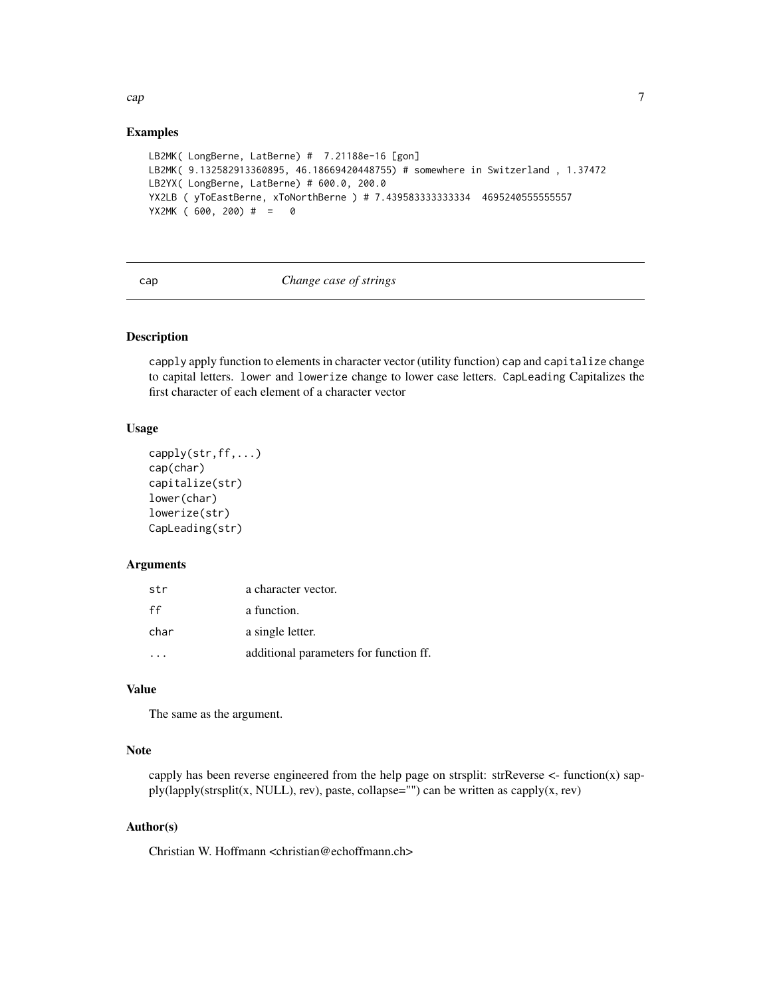# <span id="page-6-0"></span>Examples

```
LB2MK( LongBerne, LatBerne) # 7.21188e-16 [gon]
LB2MK( 9.132582913360895, 46.18669420448755) # somewhere in Switzerland , 1.37472
LB2YX( LongBerne, LatBerne) # 600.0, 200.0
YX2LB ( yToEastBerne, xToNorthBerne ) # 7.439583333333334 4695240555555557
YX2MK ( 600, 200) # = 0
```
#### cap *Change case of strings*

#### Description

capply apply function to elements in character vector (utility function) cap and capitalize change to capital letters. lower and lowerize change to lower case letters. CapLeading Capitalizes the first character of each element of a character vector

# Usage

```
capply(str,ff,...)
cap(char)
capitalize(str)
lower(char)
lowerize(str)
CapLeading(str)
```
#### Arguments

| str  | a character vector.                    |
|------|----------------------------------------|
| ff   | a function.                            |
| char | a single letter.                       |
|      | additional parameters for function ff. |

# Value

The same as the argument.

#### Note

capply has been reverse engineered from the help page on strsplit:  $strReverse <$ - function(x) sapply(lapply(strsplit(x, NULL), rev), paste, collapse="") can be written as capply(x, rev)

## Author(s)

Christian W. Hoffmann <christian@echoffmann.ch>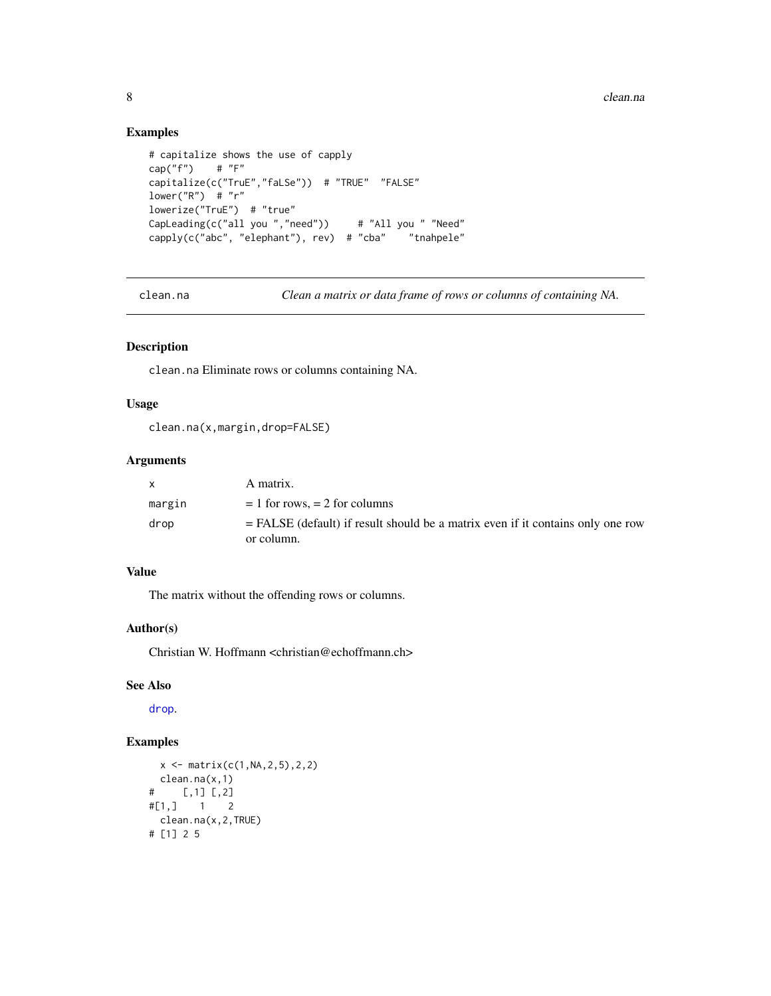# Examples

```
# capitalize shows the use of capply
cap("f") # "F"
capitalize(c("TruE","faLSe")) # "TRUE" "FALSE"
lower("R") # "r"lowerize("TruE") # "true"
CapLeading(c("all you ","need")) # "All you " "Need"
capply(c("abc", "elephant"), rev) # "cba" "tnahpele"
```
clean.na *Clean a matrix or data frame of rows or columns of containing NA.*

# Description

clean.na Eliminate rows or columns containing NA.

# Usage

```
clean.na(x,margin,drop=FALSE)
```
# Arguments

| <b>X</b> | A matrix.                                                                                       |
|----------|-------------------------------------------------------------------------------------------------|
| margin   | $= 1$ for rows, $= 2$ for columns                                                               |
| drop     | $=$ FALSE (default) if result should be a matrix even if it contains only one row<br>or column. |

# Value

The matrix without the offending rows or columns.

# Author(s)

Christian W. Hoffmann <christian@echoffmann.ch>

# See Also

[drop](#page-0-0).

```
x \leftarrow \text{matrix}(c(1, NA, 2, 5), 2, 2)clean.na(x,1)
# [,1] [,2]
#[1,] 1 2
  clean.na(x,2,TRUE)
# [1] 2 5
```
<span id="page-7-0"></span>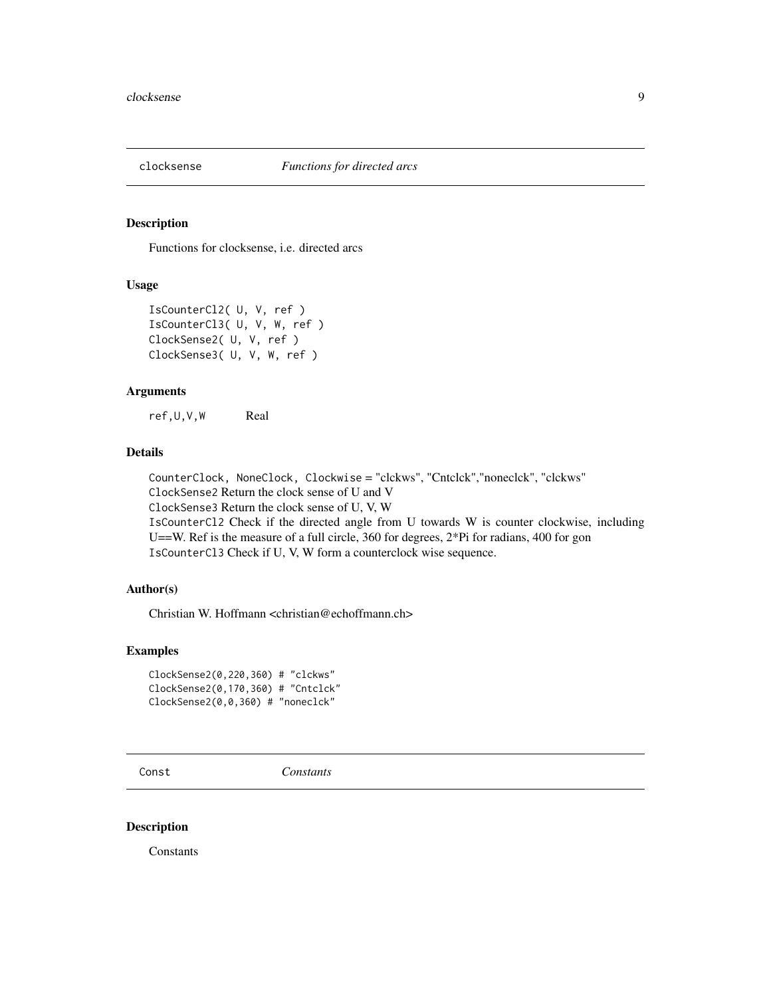<span id="page-8-0"></span>

Functions for clocksense, i.e. directed arcs

#### Usage

```
IsCounterCl2( U, V, ref )
IsCounterCl3( U, V, W, ref )
ClockSense2( U, V, ref )
ClockSense3( U, V, W, ref )
```
#### Arguments

ref,U,V,W Real

# Details

CounterClock, NoneClock, Clockwise = "clckws", "Cntclck","noneclck", "clckws" ClockSense2 Return the clock sense of U and V ClockSense3 Return the clock sense of U, V, W IsCounterCl2 Check if the directed angle from U towards W is counter clockwise, including U==W. Ref is the measure of a full circle, 360 for degrees,  $2*Pi$  for radians, 400 for gon IsCounterCl3 Check if U, V, W form a counterclock wise sequence.

# Author(s)

Christian W. Hoffmann <christian@echoffmann.ch>

# Examples

```
ClockSense2(0,220,360) # "clckws"
ClockSense2(0,170,360) # "Cntclck"
ClockSense2(0,0,360) # "noneclck"
```
Const *Constants*

#### Description

**Constants**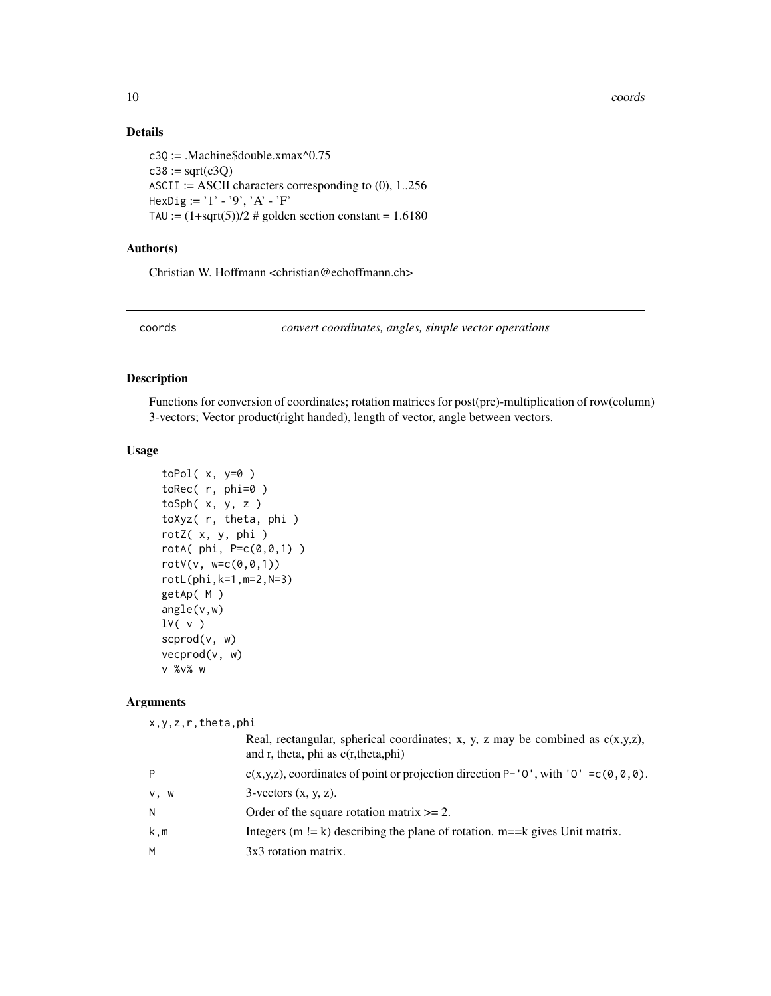10 coords contains the coords of the coords coords coords coords coords coords coords coords coords of the coords of the coords of the coords of the coords of the coords of the coords of the coords of the coords of the coo

# Details

```
c3Q := .Machine$double.xmax^0.75
c38 := sqrt(c3Q)ASCII := ASCII characters corresponding to (0), 1..256
HexDig := '1' - '9', 'A' - 'F'
TAU := (1+sqrt(5))/2 # golden section constant = 1.6180
```
# Author(s)

Christian W. Hoffmann <christian@echoffmann.ch>

coords *convert coordinates, angles, simple vector operations*

#### <span id="page-9-1"></span>Description

Functions for conversion of coordinates; rotation matrices for post(pre)-multiplication of row(column) 3-vectors; Vector product(right handed), length of vector, angle between vectors.

# Usage

```
toPol(x, y=0)toRec( r, phi=0 )
tosh(x, y, z)toXyz( r, theta, phi )
rotZ( x, y, phi )
rotA(phi, P=c(0,0,1))rotV(v, w=c(0, 0, 1))rotL(phi,k=1,m=2,N=3)
getAp( M )
angle(v,w)
lV( v )
scprod(v, w)
vecprod(v, w)
v %v% w
```
#### Arguments

x,y,z,r,theta,phi

|      | Real, rectangular, spherical coordinates; x, y, z may be combined as $c(x,y,z)$ ,<br>and r, theta, phi as $c(r,theta,phi)$ |
|------|----------------------------------------------------------------------------------------------------------------------------|
| Þ    | $c(x,y,z)$ , coordinates of point or projection direction P-'0', with '0' = $c(0,0,0)$ .                                   |
| v, w | $3$ -vectors $(x, y, z)$ .                                                                                                 |
| Ν    | Order of the square rotation matrix $\geq 2$ .                                                                             |
| k,m  | Integers $(m = k)$ describing the plane of rotation. $m == k$ gives Unit matrix.                                           |
| M    | 3x3 rotation matrix.                                                                                                       |
|      |                                                                                                                            |

<span id="page-9-0"></span>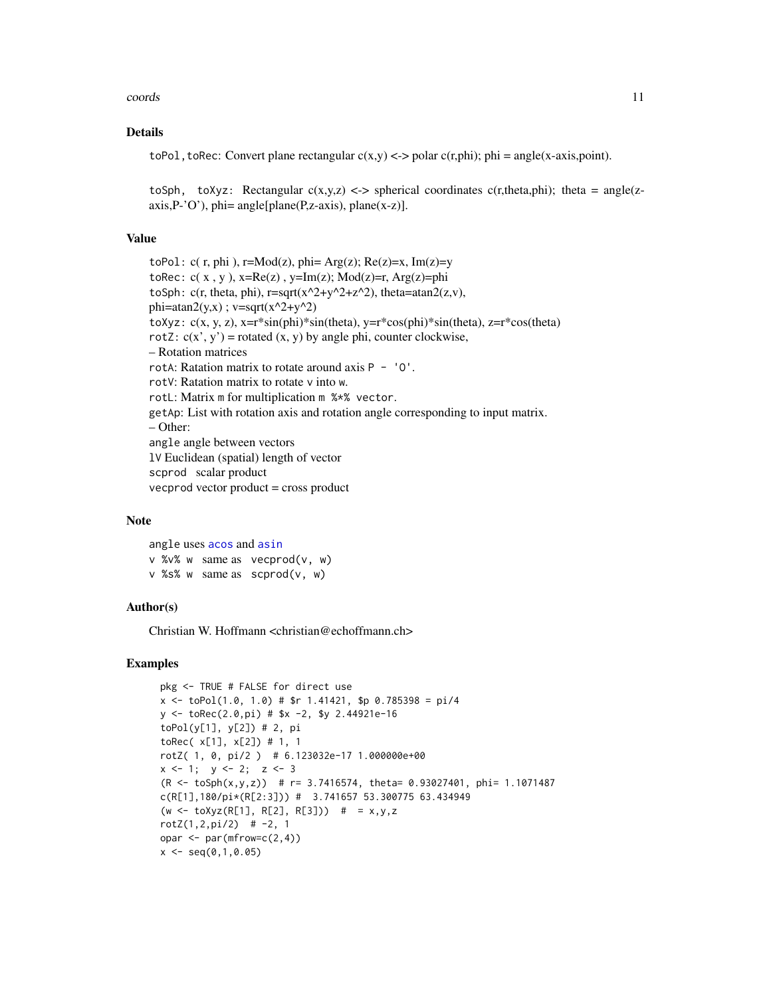#### coords and the coords of the coords of the coords of the coords of the coords of the coords of the coords of the coords of the coords of the coords of the coords of the coords of the coords of the coords of the coords of t

# Details

toPol, toRec: Convert plane rectangular  $c(x,y) \leq v$  polar  $c(r,phi)$ ; phi = angle(x-axis,point).

toSph, toXyz: Rectangular  $c(x,y,z) \leq z$  spherical coordinates  $c(r,theta,phi)$ ; theta = angle(z $axis, P^{\prime}O^{\prime}$ , phi=  $angle[plane(P, z-axis), plane(x-z)].$ 

#### Value

toPol:  $c(r,phi)$ ,  $r=Mod(z)$ ,  $phi = Arg(z)$ ;  $Re(z)=x$ ,  $Im(z)=y$ toRec:  $c(x, y)$ ,  $x=Re(z)$ ,  $y=Im(z)$ ;  $Mod(z)=r$ ,  $Arg(z)=phi$ toSph: c(r, theta, phi),  $r = \sqrt{(x^2+y^2+z^2)}$ , theta=atan2(z,v), phi=atan2(y,x) ; v=sqrt(x^2+y^2) toXyz:  $c(x, y, z)$ , x=r\*sin(phi)\*sin(theta), y=r\*cos(phi)\*sin(theta), z=r\*cos(theta) rotZ:  $c(x', y')$  = rotated  $(x, y)$  by angle phi, counter clockwise, – Rotation matrices rotA: Ratation matrix to rotate around axis  $P - '0'$ . rotV: Ratation matrix to rotate v into w. rotL: Matrix m for multiplication m %\*% vector. getAp: List with rotation axis and rotation angle corresponding to input matrix. – Other: angle angle between vectors lV Euclidean (spatial) length of vector scprod scalar product vecprod vector product = cross product

#### Note

angle uses [acos](#page-0-0) and [asin](#page-0-0) v %v% w same as vecprod(v, w) v %s% w same as scprod(v, w)

### Author(s)

Christian W. Hoffmann <christian@echoffmann.ch>

```
pkg <- TRUE # FALSE for direct use
x \le -\text{toPol}(1.0, 1.0) \# \fr 1.41421, $p 0.785398 = pi/4
y \le -\text{toRec}(2.0, \text{pi}) # $x -2, $y 2.44921e-16
toPol(y[1], y[2]) # 2, pi
toRec( x[1], x[2]) # 1, 1
rotZ( 1, 0, pi/2 ) # 6.123032e-17 1.000000e+00
x \le -1; y \le -2; z \le -3(R < -\t{top}(x,y,z)) # r= 3.7416574, theta= 0.93027401, phi= 1.1071487
c(R[1],180/pi*(R[2:3])) # 3.741657 53.300775 63.434949
(w \leq tot \text{to} \{Xyz(R[1], R[2], R[3])) # = x,y,z
rotZ(1,2,pi/2) # -2, 1
opar \leq par(mfrow=c(2,4))
x \leq -\text{seq}(0,1,0.05)
```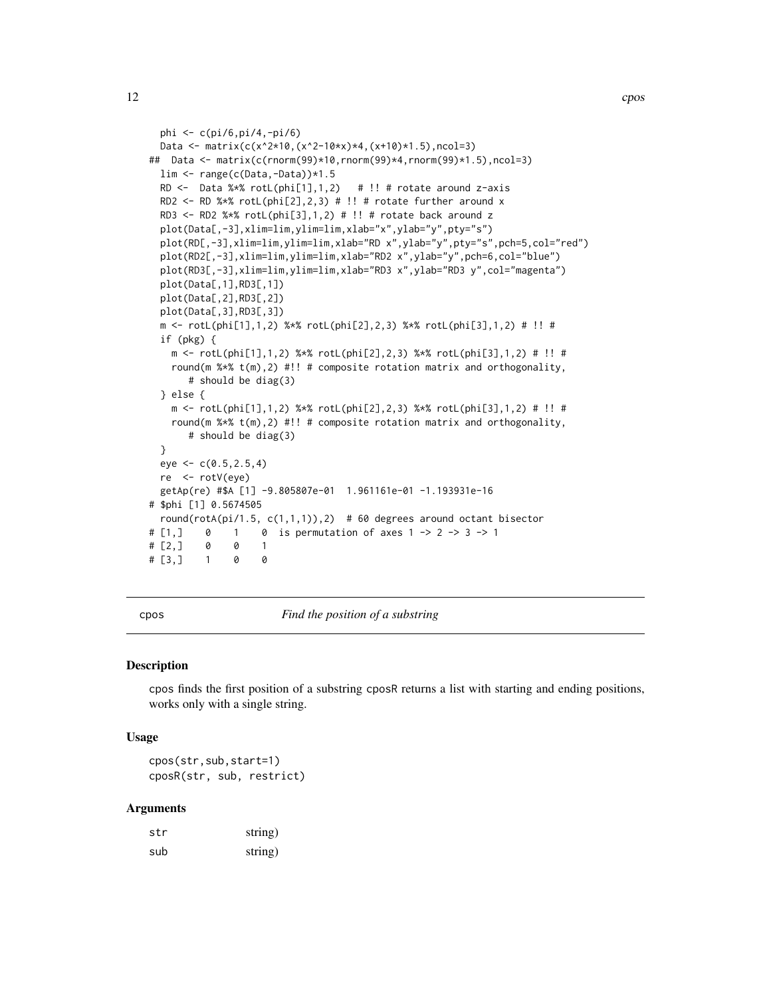```
phi <- c(pi/6,pi/4,-pi/6)
 Data <- matrix(c(x^2*10,(x^2-10*x)*4,(x+10)*1.5),ncol=3)
## Data <- matrix(c(rnorm(99)*10,rnorm(99)*4,rnorm(99)*1.5),ncol=3)
 lim <- range(c(Data,-Data))*1.5
 RD \le Data %*% rotL(phi[1],1,2) # !! # rotate around z-axis
 RD2 <- RD %*% rotL(phi[2], 2, 3) # !! # rotate further around x
 RD3 <- RD2 %*% rotL(\phihi[3],1,2) # !! # rotate back around z
 plot(Data[,-3],xlim=lim,ylim=lim,xlab="x",ylab="y",pty="s")
 plot(RD[,-3],xlim=lim,ylim=lim,xlab="RD x",ylab="y",pty="s",pch=5,col="red")
 plot(RD2[,-3],xlim=lim,ylim=lim,xlab="RD2 x",ylab="y",pch=6,col="blue")
 plot(RD3[,-3],xlim=lim,ylim=lim,xlab="RD3 x",ylab="RD3 y",col="magenta")
 plot(Data[,1],RD3[,1])
 plot(Data[,2],RD3[,2])
 plot(Data[,3],RD3[,3])
 m <- rotL(phi[1],1,2) %*% rotL(phi[2],2,3) %*% rotL(phi[3],1,2) # !! #
 if (pkg) {
   m <- rotL(phi[1],1,2) %*% rotL(phi[2],2,3) %*% rotL(phi[3],1,2) # !! #
   round(m %*% t(m),2) #!! # composite rotation matrix and orthogonality,
      # should be diag(3)
 } else {
   m <- rotL(phi[1],1,2) %*% rotL(phi[2],2,3) %*% rotL(phi[3],1,2) # !! #
   round(m %x t(m),2) #!! # composite rotation matrix and orthogonality,
      # should be diag(3)
 }
 eye < -c(0.5, 2.5, 4)re <- rotV(eye)
 getAp(re) #$A [1] -9.805807e-01 1.961161e-01 -1.193931e-16
# $phi [1] 0.5674505
 round(rotA(pi/1.5, c(1,1,1)),2) # 60 degrees around octant bisector
# [1,] 0 1 0 is permutation of axes 1 -> 2 -> 3 -> 1
# [2, ] 0 0 1\# [3,] 1 0 0
```
cpos *Find the position of a substring*

#### **Description**

cpos finds the first position of a substring cposR returns a list with starting and ending positions, works only with a single string.

#### Usage

cpos(str,sub,start=1) cposR(str, sub, restrict)

#### Arguments

| str | string) |
|-----|---------|
| sub | string) |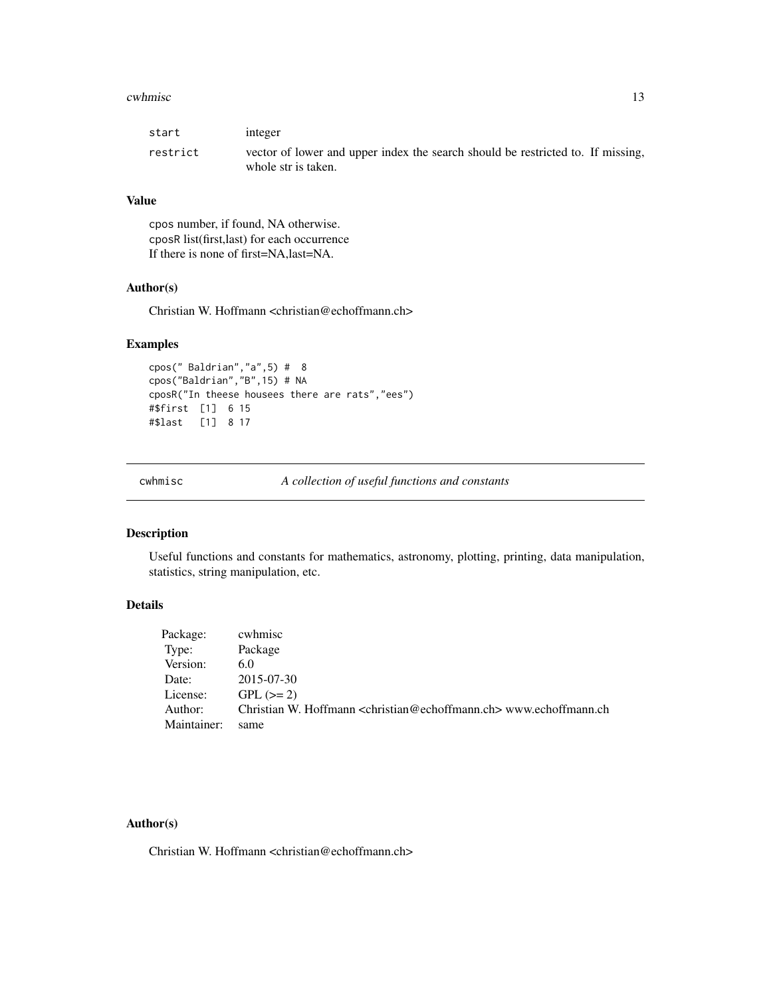#### <span id="page-12-0"></span>cwhmisc the contract of the contract of the contract of the contract of the contract of the contract of the contract of the contract of the contract of the contract of the contract of the contract of the contract of the co

| start    | integer                                                                                                |
|----------|--------------------------------------------------------------------------------------------------------|
| restrict | vector of lower and upper index the search should be restricted to. If missing,<br>whole str is taken. |

# Value

cpos number, if found, NA otherwise. cposR list(first,last) for each occurrence If there is none of first=NA,last=NA.

# Author(s)

Christian W. Hoffmann <christian@echoffmann.ch>

# Examples

```
cpos(" Baldrian","a",5) # 8
cpos("Baldrian","B",15) # NA
cposR("In theese housees there are rats","ees")
#$first [1] 6 15
#$last [1] 8 17
```
cwhmisc *A collection of useful functions and constants*

# Description

Useful functions and constants for mathematics, astronomy, plotting, printing, data manipulation, statistics, string manipulation, etc.

# Details

| cwhmisc                                                                                     |
|---------------------------------------------------------------------------------------------|
| Package                                                                                     |
| 6.0                                                                                         |
| 2015-07-30                                                                                  |
| $GPL (=2)$                                                                                  |
| Christian W. Hoffmann <christian@echoffmann.ch> www.echoffmann.ch</christian@echoffmann.ch> |
| same                                                                                        |
|                                                                                             |

# Author(s)

Christian W. Hoffmann <christian@echoffmann.ch>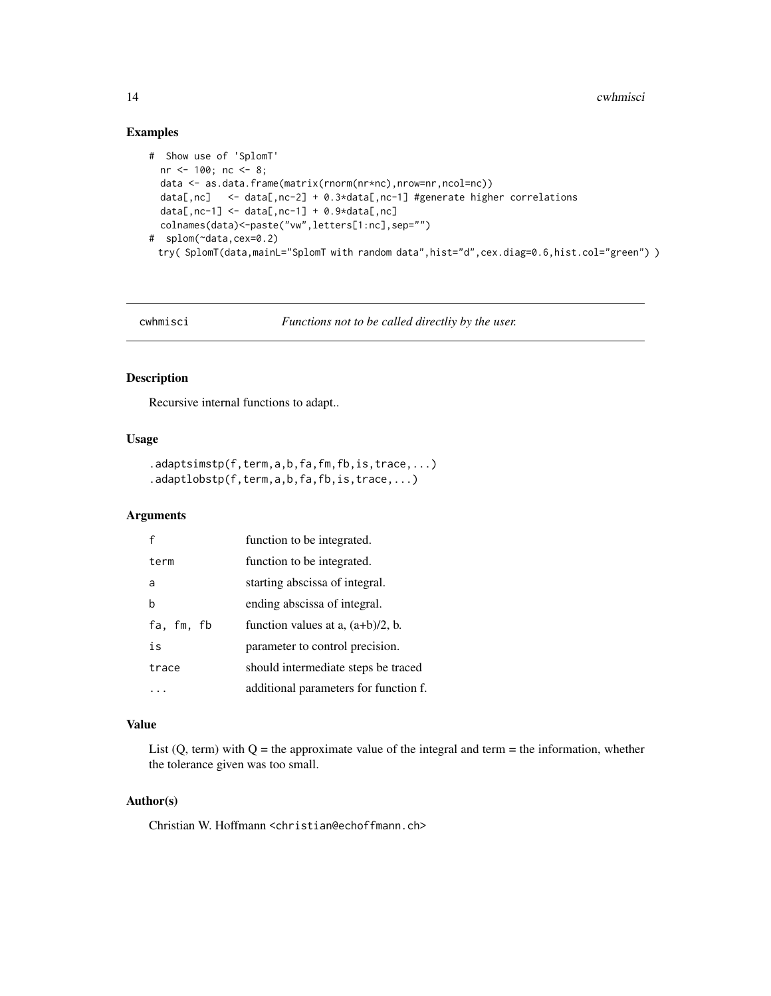# Examples

```
# Show use of 'SplomT'
 nr <- 100; nc <- 8;
 data <- as.data.frame(matrix(rnorm(nr*nc),nrow=nr,ncol=nc))
 data[,nc] <- data[,nc-2] + 0.3*data[,nc-1] #generate higher correlations
 data[,nc-1] <- data[,nc-1] + 0.9*data[,nc]
 colnames(data)<-paste("vw",letters[1:nc],sep="")
# splom(~data,cex=0.2)
 try( SplomT(data,mainL="SplomT with random data",hist="d",cex.diag=0.6,hist.col="green") )
```

```
cwhmisci Functions not to be called directliy by the user.
```
#### Description

Recursive internal functions to adapt..

# Usage

```
.adaptsimstp(f,term,a,b,fa,fm,fb,is,trace,...)
.adaptlobstp(f,term,a,b,fa,fb,is,trace,...)
```
# Arguments

|            | function to be integrated.            |
|------------|---------------------------------------|
| term       | function to be integrated.            |
| a          | starting abscissa of integral.        |
| b          | ending abscissa of integral.          |
| fa, fm, fb | function values at a, $(a+b)/2$ , b.  |
| is         | parameter to control precision.       |
| trace      | should intermediate steps be traced   |
|            | additional parameters for function f. |

# Value

List  $(Q, \text{term})$  with  $Q =$  the approximate value of the integral and term  $=$  the information, whether the tolerance given was too small.

# Author(s)

Christian W. Hoffmann <christian@echoffmann.ch>

<span id="page-13-0"></span>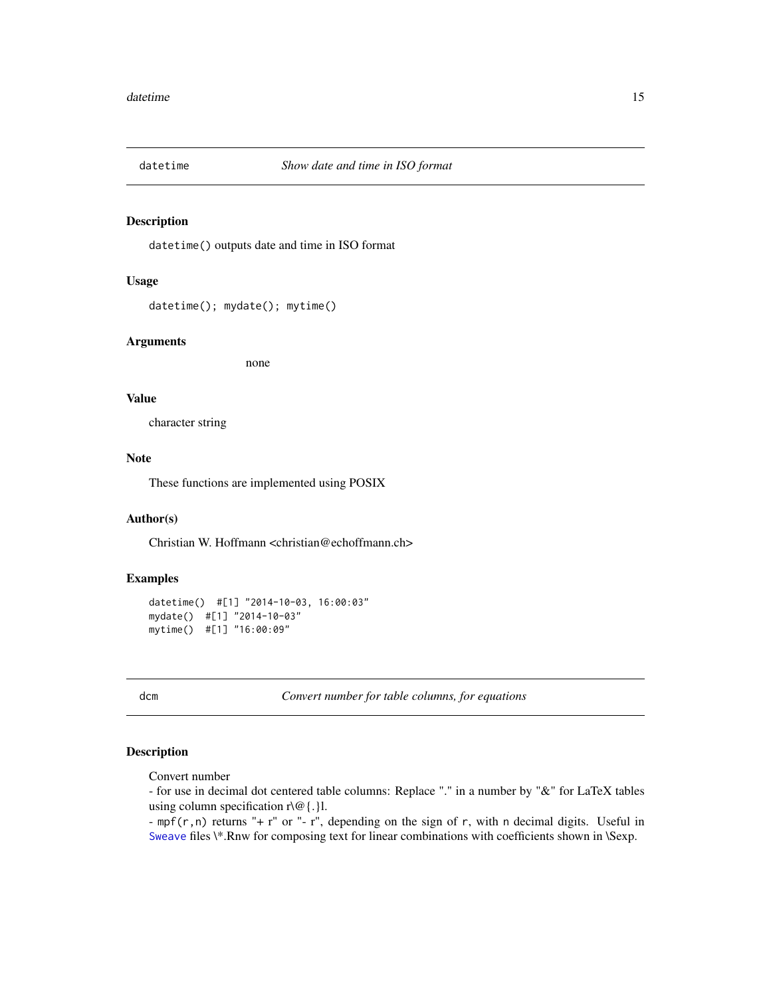<span id="page-14-0"></span>

datetime() outputs date and time in ISO format

#### Usage

```
datetime(); mydate(); mytime()
```
#### Arguments

none

#### Value

character string

#### Note

These functions are implemented using POSIX

# Author(s)

Christian W. Hoffmann <christian@echoffmann.ch>

#### Examples

```
datetime() #[1] "2014-10-03, 16:00:03"
mydate() #[1] "2014-10-03"
mytime() #[1] "16:00:09"
```
dcm *Convert number for table columns, for equations*

# <span id="page-14-1"></span>Description

Convert number

- for use in decimal dot centered table columns: Replace "." in a number by "&" for LaTeX tables using column specification  $r \setminus \omega$  {.} 1.

- mpf(r,n) returns "+ r" or "- r", depending on the sign of r, with n decimal digits. Useful in [Sweave](#page-0-0) files \\*.Rnw for composing text for linear combinations with coefficients shown in \Sexp.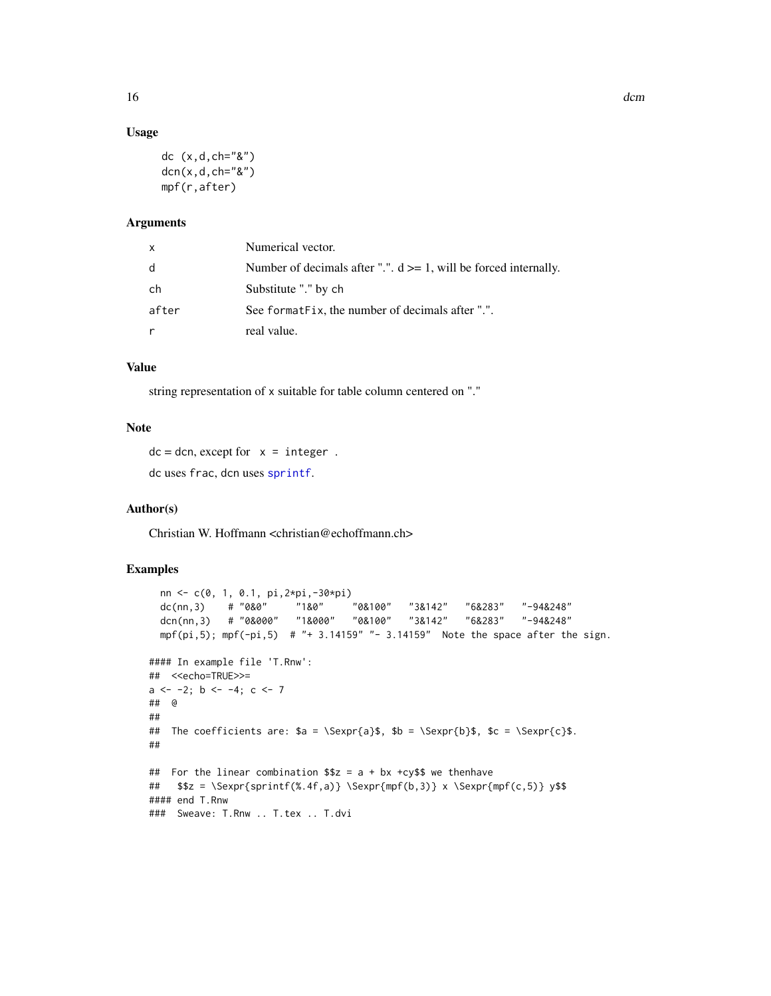# Usage

```
dc (x,d,ch="&")
dcn(x,d,ch="&")mpf(r,after)
```
#### Arguments

| X     | Numerical vector.                                                    |
|-------|----------------------------------------------------------------------|
| d     | Number of decimals after ".". $d \ge 1$ , will be forced internally. |
| ch    | Substitute "." by ch                                                 |
| after | See format Fix, the number of decimals after ".".                    |
| r     | real value.                                                          |

# Value

string representation of x suitable for table column centered on "."

#### Note

 $dc = dcn$ , except for  $x =$  integer. dc uses frac, dcn uses [sprintf](#page-0-0).

#### Author(s)

Christian W. Hoffmann <christian@echoffmann.ch>

```
nn <- c(0, 1, 0.1, pi,2*pi,-30*pi)<br>dc(nn,3) # "0&0" = "1&0" = "0&100"
 dc(nn,3) # "0&0" "1&0" "0&100" "3&142" "6&283" "-94&248"
 dcn(nn,3) # "0&000" "1&000" "0&100" "3&142" "6&283" "-94&248"
 mpf(pi,5); mpf(-pi,5) # "+ 3.14159" "- 3.14159" Note the space after the sign.
#### In example file 'T.Rnw':
## <<echo=TRUE>>=
a \le -2; b \le -4; c \le -7## @
##
## The coefficients are: a = \Sexpr{a}$, b = \Sexpr{b}$, c = \Sexpr{c}$.
##
## For the linear combination $z = a + bx + cy we thenhave
## $z = \Sexpr{spring%, 4f, a)} \Sexpr{mpf(b,3)} x \Sexpr{mpf(c,5)} y$#### end T.Rnw
### Sweave: T.Rnw .. T.tex .. T.dvi
```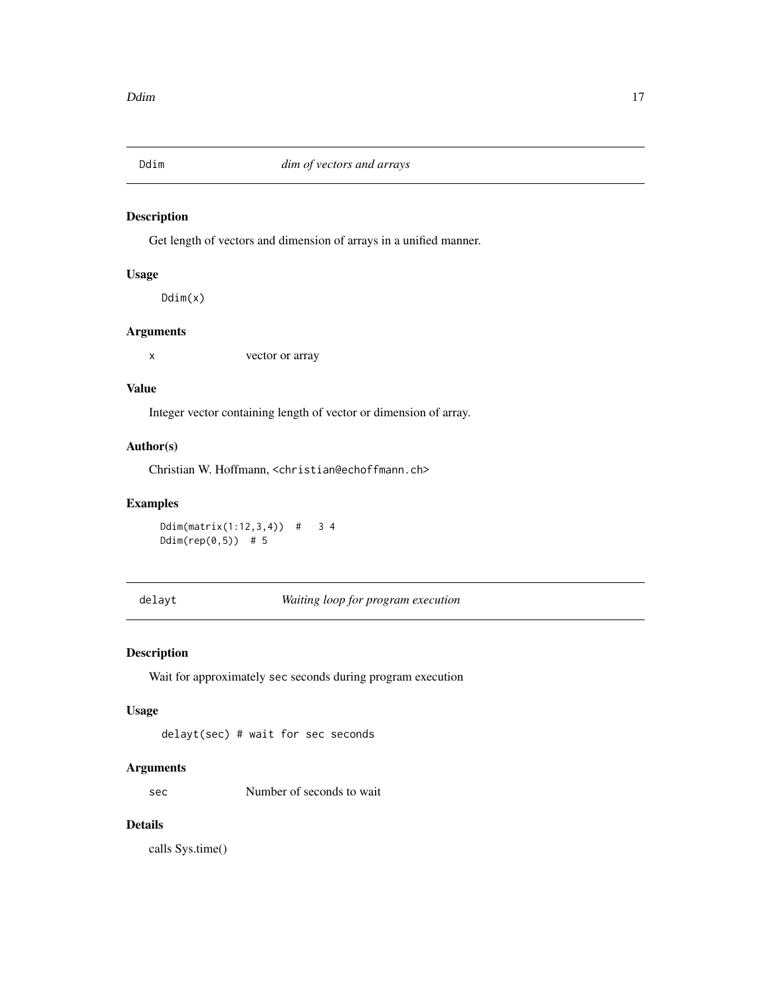<span id="page-16-0"></span>

Get length of vectors and dimension of arrays in a unified manner.

# Usage

Ddim(x)

# Arguments

x vector or array

# Value

Integer vector containing length of vector or dimension of array.

# Author(s)

Christian W. Hoffmann, <christian@echoffmann.ch>

# Examples

```
Ddim(matrix(1:12,3,4)) # 3 4
Ddim(rep(0,5)) # 5
```
delayt *Waiting loop for program execution*

# Description

Wait for approximately sec seconds during program execution

#### Usage

delayt(sec) # wait for sec seconds

# Arguments

sec Number of seconds to wait

# Details

calls Sys.time()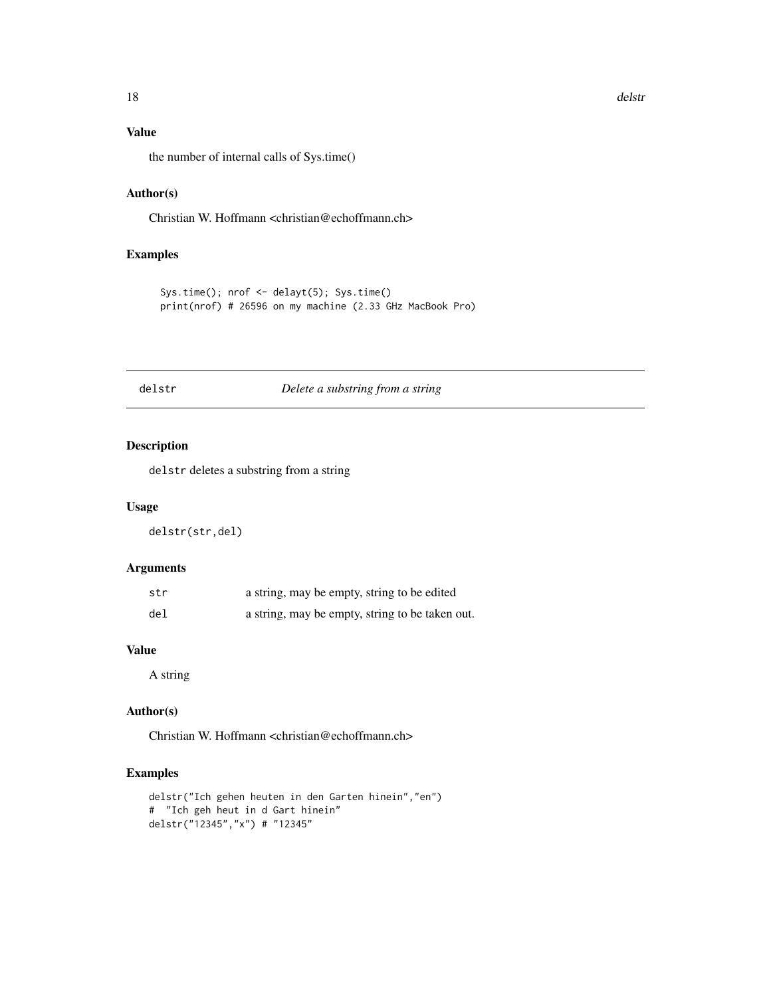# <span id="page-17-0"></span>Value

the number of internal calls of Sys.time()

# Author(s)

Christian W. Hoffmann <christian@echoffmann.ch>

# Examples

```
Sys.time(); nrof <- delayt(5); Sys.time()
print(nrof) # 26596 on my machine (2.33 GHz MacBook Pro)
```
# delstr *Delete a substring from a string*

# Description

delstr deletes a substring from a string

#### Usage

delstr(str,del)

# Arguments

| str | a string, may be empty, string to be edited     |
|-----|-------------------------------------------------|
| del | a string, may be empty, string to be taken out. |

# Value

A string

# Author(s)

Christian W. Hoffmann <christian@echoffmann.ch>

```
delstr("Ich gehen heuten in den Garten hinein","en")
# "Ich geh heut in d Gart hinein"
delstr("12345","x") # "12345"
```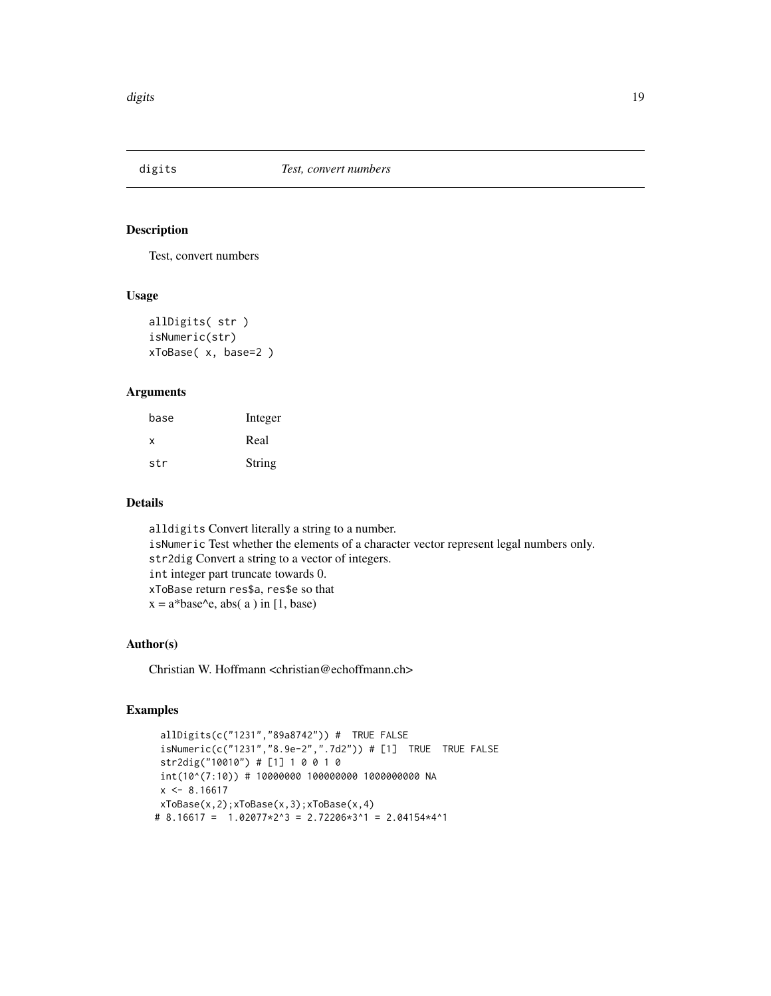<span id="page-18-0"></span>

Test, convert numbers

# Usage

```
allDigits( str )
isNumeric(str)
xToBase( x, base=2 )
```
#### Arguments

| base | Integer |
|------|---------|
| x    | Real    |
| str  | String  |

# Details

alldigits Convert literally a string to a number. isNumeric Test whether the elements of a character vector represent legal numbers only. str2dig Convert a string to a vector of integers. int integer part truncate towards 0. xToBase return res\$a, res\$e so that  $x = a^*base\text{-}e$ , abs( a ) in [1, base)

# Author(s)

Christian W. Hoffmann <christian@echoffmann.ch>

```
allDigits(c("1231","89a8742")) # TRUE FALSE
 isNumeric(c("1231","8.9e-2",".7d2")) # [1] TRUE TRUE FALSE
 str2dig("10010") # [1] 1 0 0 1 0
 int(10^(7:10)) # 10000000 100000000 1000000000 NA
 x \le -8.16617xToBase(x,2);xToBase(x,3);xToBase(x,4)
# 8.16617 = 1.02077*2^3 = 2.72206*3^1 = 2.04154*4^1
```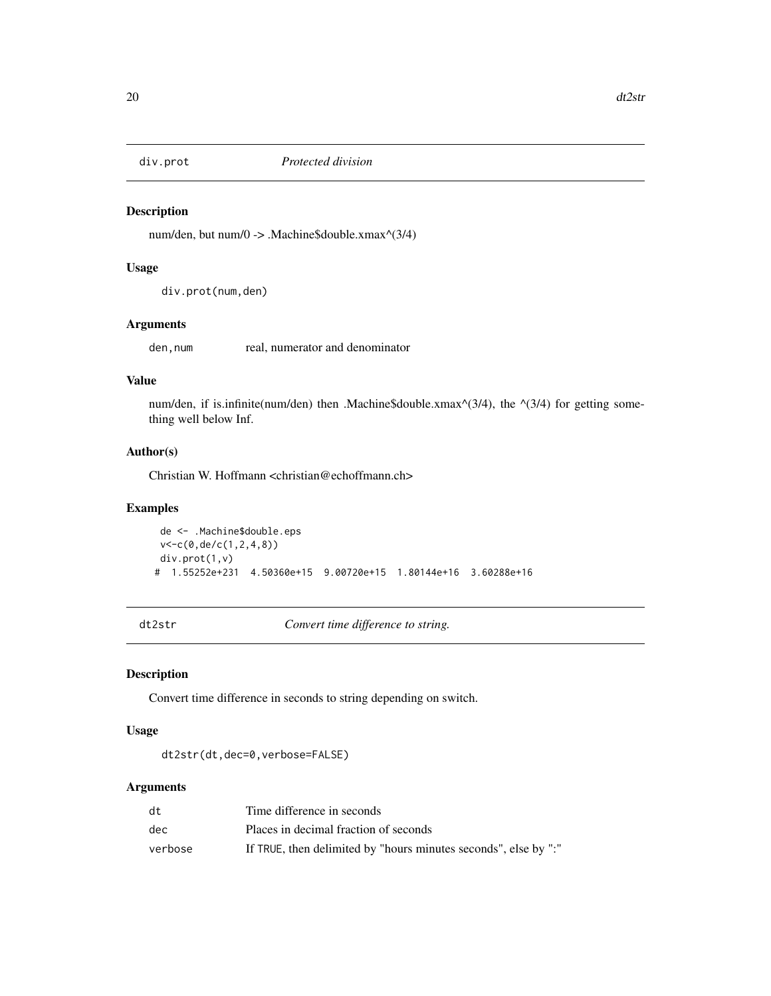<span id="page-19-0"></span>

num/den, but num/0 -> .Machine\$double.xmax^(3/4)

#### Usage

div.prot(num,den)

# Arguments

den, num real, numerator and denominator

# Value

num/den, if is.infinite(num/den) then .Machine\$double.xmax $\land$ (3/4), the  $\land$ (3/4) for getting something well below Inf.

# Author(s)

Christian W. Hoffmann <christian@echoffmann.ch>

#### Examples

```
de <- .Machine$double.eps
v<-c(0,de/c(1,2,4,8))
div.prot(1,v)
# 1.55252e+231 4.50360e+15 9.00720e+15 1.80144e+16 3.60288e+16
```
dt2str *Convert time difference to string.*

# Description

Convert time difference in seconds to string depending on switch.

#### Usage

```
dt2str(dt,dec=0,verbose=FALSE)
```
# Arguments

| dt      | Time difference in seconds                                      |
|---------|-----------------------------------------------------------------|
| dec     | Places in decimal fraction of seconds                           |
| verbose | If TRUE, then delimited by "hours minutes seconds", else by ":" |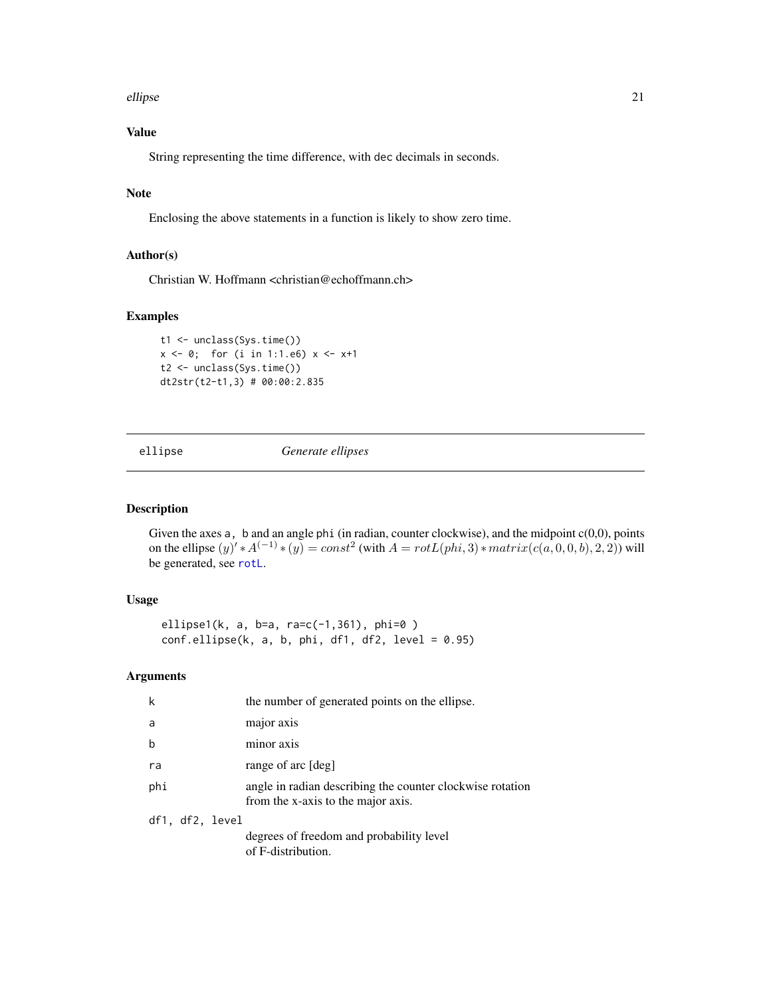#### <span id="page-20-0"></span>ellipse 21

# Value

String representing the time difference, with dec decimals in seconds.

# Note

Enclosing the above statements in a function is likely to show zero time.

# Author(s)

Christian W. Hoffmann <christian@echoffmann.ch>

# Examples

```
t1 <- unclass(Sys.time())
x \le -0; for (i in 1:1.e6) x \le -x+1t2 <- unclass(Sys.time())
dt2str(t2-t1,3) # 00:00:2.835
```
ellipse *Generate ellipses*

# Description

Given the axes  $a$ ,  $b$  and an angle phi (in radian, counter clockwise), and the midpoint  $c(0,0)$ , points on the ellipse  $(y) * A^{(-1)} * (y) = const^2$  (with  $A = rotL(phi, 3) * matrix(c(a, 0, 0, b), 2, 2)$ ) will be generated, see [rotL](#page-9-1).

#### Usage

ellipse1(k, a, b=a, ra=c(-1,361), phi=0 )  $conf.$ ellipse(k, a, b, phi, df1, df2, level = 0.95)

# Arguments

| k               | the number of generated points on the ellipse.                                                  |
|-----------------|-------------------------------------------------------------------------------------------------|
| a               | major axis                                                                                      |
| b               | minor axis                                                                                      |
| ra              | range of arc [deg]                                                                              |
| phi             | angle in radian describing the counter clockwise rotation<br>from the x-axis to the major axis. |
| df1, df2, level |                                                                                                 |
|                 | degrees of freedom and probability level<br>of F-distribution.                                  |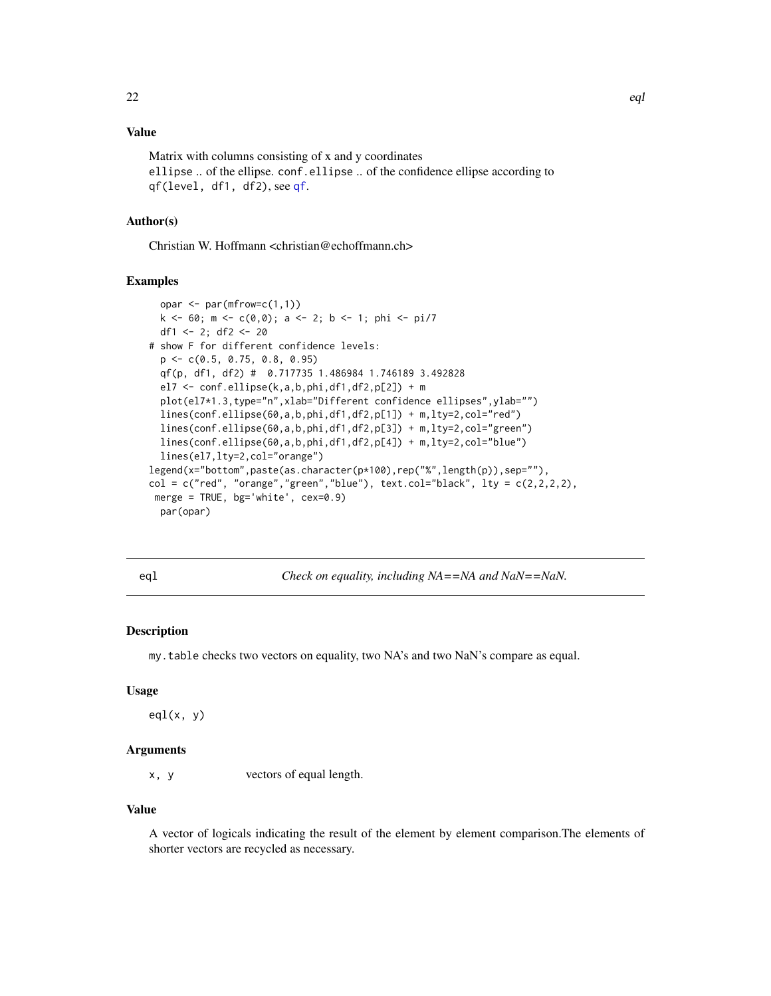# <span id="page-21-0"></span>Value

Matrix with columns consisting of x and y coordinates ellipse .. of the ellipse. conf.ellipse .. of the confidence ellipse according to qf(level, df1, df2), see [qf](#page-0-0).

#### Author(s)

Christian W. Hoffmann <christian@echoffmann.ch>

#### Examples

```
opar \leq par(mfrow=c(1,1))
 k \le -60; m \le -c(0,0); a \le -2; b \le -1; phi \le -p1/7df1 <- 2; df2 <- 20
# show F for different confidence levels:
 p <- c(0.5, 0.75, 0.8, 0.95)
 qf(p, df1, df2) # 0.717735 1.486984 1.746189 3.492828
 el7 <- conf.ellipse(k,a,b,phi,df1,df2,p[2]) + m
 plot(el7*1.3,type="n",xlab="Different confidence ellipses",ylab="")
 lines(conf.ellipse(60,a,b,phi,df1,df2,p[1]) + m,lty=2,col="red")
 lines(conf.ellipse(60,a,b,phi,df1,df2,p[3]) + m,lty=2,col="green")
 lines(conf.ellipse(60,a,b,phi,df1,df2,p[4]) + m,lty=2,col="blue")
 lines(el7,lty=2,col="orange")
legend(x="bottom",paste(as.character(p*100),rep("%",length(p)),sep=""),
col = c("red", "orange", "green", "blue"), text,col='black", 1ty = c(2,2,2,2),merge = TRUE, bg='white', cex=0.9)
 par(opar)
```
eq1 *Check on equality, including NA==NA and NaN==NaN.* 

#### Description

my.table checks two vectors on equality, two NA's and two NaN's compare as equal.

# Usage

 $eql(x, y)$ 

#### Arguments

x, y vectors of equal length.

#### Value

A vector of logicals indicating the result of the element by element comparison.The elements of shorter vectors are recycled as necessary.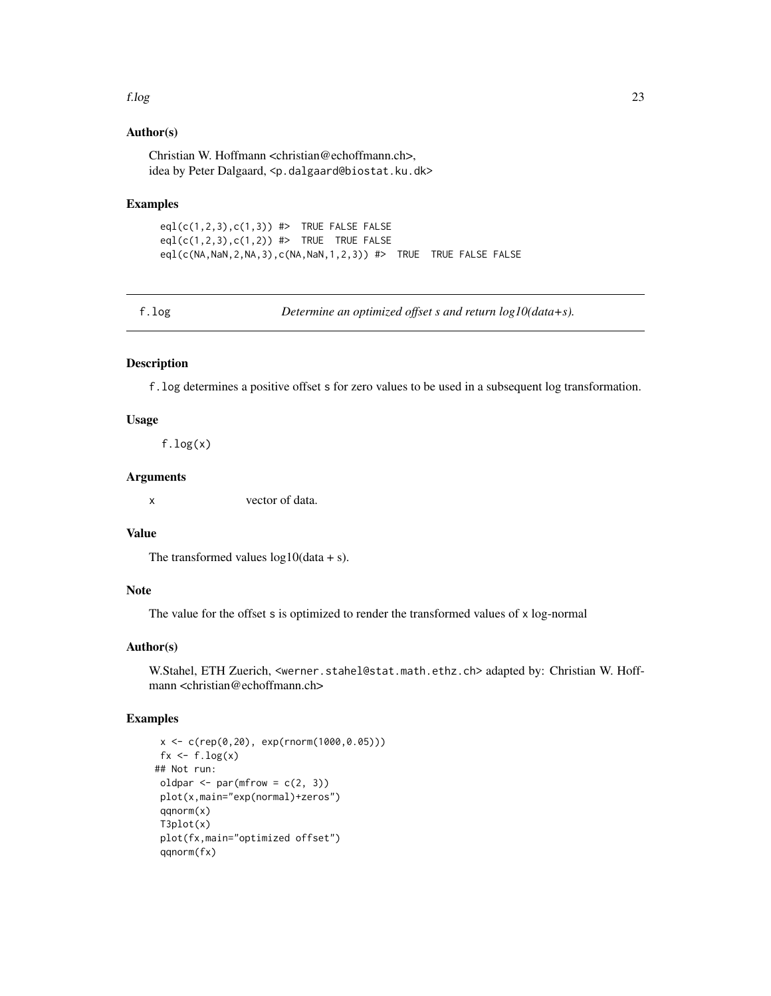#### <span id="page-22-0"></span>f.log 23

# Author(s)

Christian W. Hoffmann <christian@echoffmann.ch>, idea by Peter Dalgaard, <p.dalgaard@biostat.ku.dk>

#### Examples

 $eql(c(1,2,3),c(1,3))$  #> TRUE FALSE FALSE eql $(c(1,2,3),c(1,2))$  #> TRUE TRUE FALSE eql(c(NA,NaN,2,NA,3),c(NA,NaN,1,2,3)) #> TRUE TRUE FALSE FALSE

f.log *Determine an optimized offset s and return log10(data+s).*

# Description

f.log determines a positive offset s for zero values to be used in a subsequent log transformation.

### Usage

 $f.log(x)$ 

## Arguments

x vector of data.

# Value

The transformed values  $log 10(data + s)$ .

# Note

The value for the offset s is optimized to render the transformed values of x log-normal

#### Author(s)

W.Stahel, ETH Zuerich, <werner.stahel@stat.math.ethz.ch> adapted by: Christian W. Hoffmann <christian@echoffmann.ch>

```
x <- c(rep(0,20), exp(rnorm(1000,0.05)))
 fx \leftarrow f.log(x)## Not run:
 oldpar \leq par(mfrow = c(2, 3))
 plot(x,main="exp(normal)+zeros")
 qqnorm(x)
 T3plot(x)
 plot(fx,main="optimized offset")
 qqnorm(fx)
```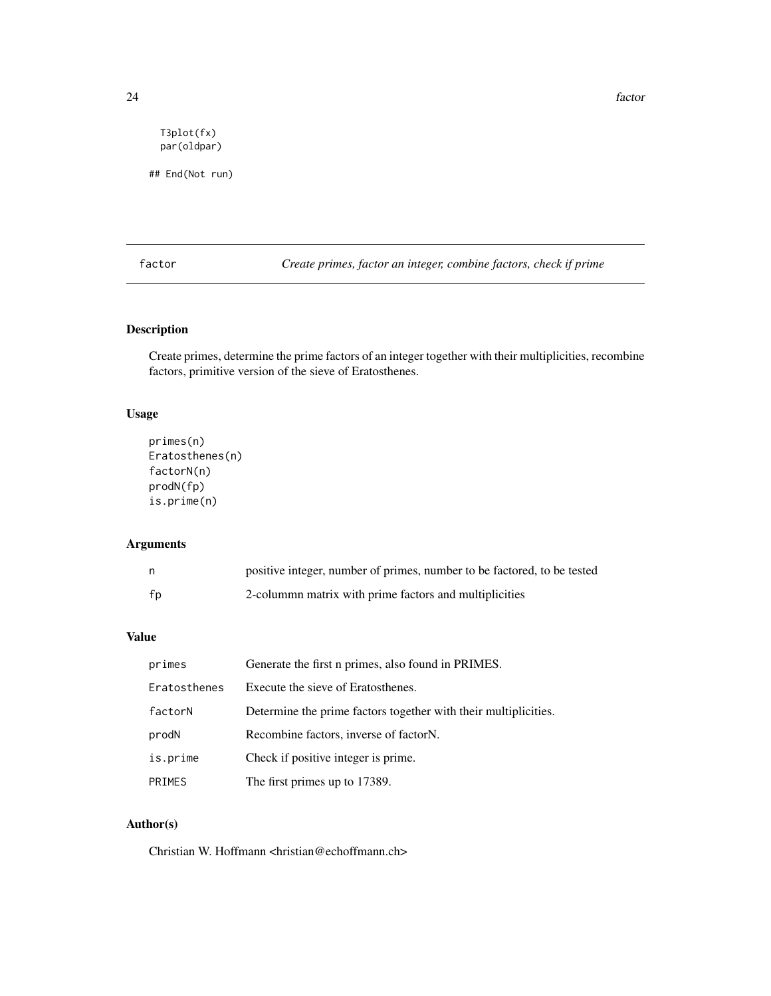<span id="page-23-0"></span>24 factor and the set of the set of the set of the set of the set of the set of the set of the set of the set of the set of the set of the set of the set of the set of the set of the set of the set of the set of the set of

T3plot(fx) par(oldpar)

## End(Not run)

factor *Create primes, factor an integer, combine factors, check if prime*

# Description

Create primes, determine the prime factors of an integer together with their multiplicities, recombine factors, primitive version of the sieve of Eratosthenes.

# Usage

```
primes(n)
Eratosthenes(n)
factorN(n)
prodN(fp)
is.prime(n)
```
# Arguments

|    | positive integer, number of primes, number to be factored, to be tested |
|----|-------------------------------------------------------------------------|
| fp | 2-columna matrix with prime factors and multiplicities                  |

# Value

| primes        | Generate the first n primes, also found in PRIMES.              |
|---------------|-----------------------------------------------------------------|
| Eratosthenes  | Execute the sieve of Eratosthenes.                              |
| factorN       | Determine the prime factors together with their multiplicities. |
| prodN         | Recombine factors, inverse of factorN.                          |
| is.prime      | Check if positive integer is prime.                             |
| <b>PRIMES</b> | The first primes up to 17389.                                   |

# Author(s)

Christian W. Hoffmann <hristian@echoffmann.ch>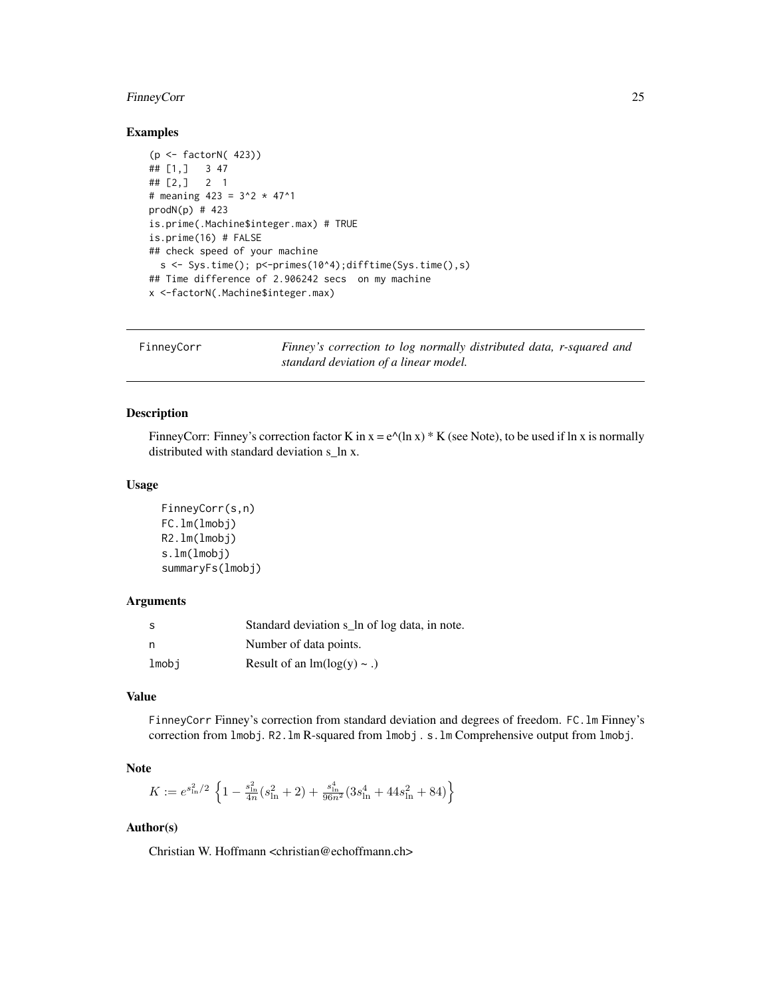# <span id="page-24-0"></span>FinneyCorr 25

# Examples

```
(p <- factorN( 423))
## [1,] 3 47
## [2,] 2 1
# meaning 423 = 3^2 \times 47^1prod(N(p) # 423
is.prime(.Machine$integer.max) # TRUE
is.prime(16) # FALSE
## check speed of your machine
  s \leq Sys.time(); p \leq -primes(10^{2}4);difftime(Sys.time(),s)## Time difference of 2.906242 secs on my machine
x <-factorN(.Machine$integer.max)
```
FinneyCorr *Finney's correction to log normally distributed data, r-squared and standard deviation of a linear model.*

# Description

FinneyCorr: Finney's correction factor K in  $x = e^{\Lambda}(\ln x) * K$  (see Note), to be used if ln x is normally distributed with standard deviation s\_ln x.

#### Usage

```
FinneyCorr(s,n)
FC.lm(lmobj)
R2.lm(lmobj)
s.lm(lmobj)
summaryFs(lmobj)
```
# Arguments

| -S    | Standard deviation s_ln of log data, in note. |
|-------|-----------------------------------------------|
| n     | Number of data points.                        |
| lmobi | Result of an $lm(log(y) \sim .)$              |

#### Value

FinneyCorr Finney's correction from standard deviation and degrees of freedom. FC.lm Finney's correction from lmobj. R2.lm R-squared from lmobj . s.lm Comprehensive output from lmobj.

# Note

$$
K := e^{s_{\text{in}}^2/2} \left\{ 1 - \frac{s_{\text{in}}^2}{4n} (s_{\text{in}}^2 + 2) + \frac{s_{\text{in}}^4}{96n^2} (3s_{\text{in}}^4 + 44s_{\text{in}}^2 + 84) \right\}
$$

# Author(s)

Christian W. Hoffmann <christian@echoffmann.ch>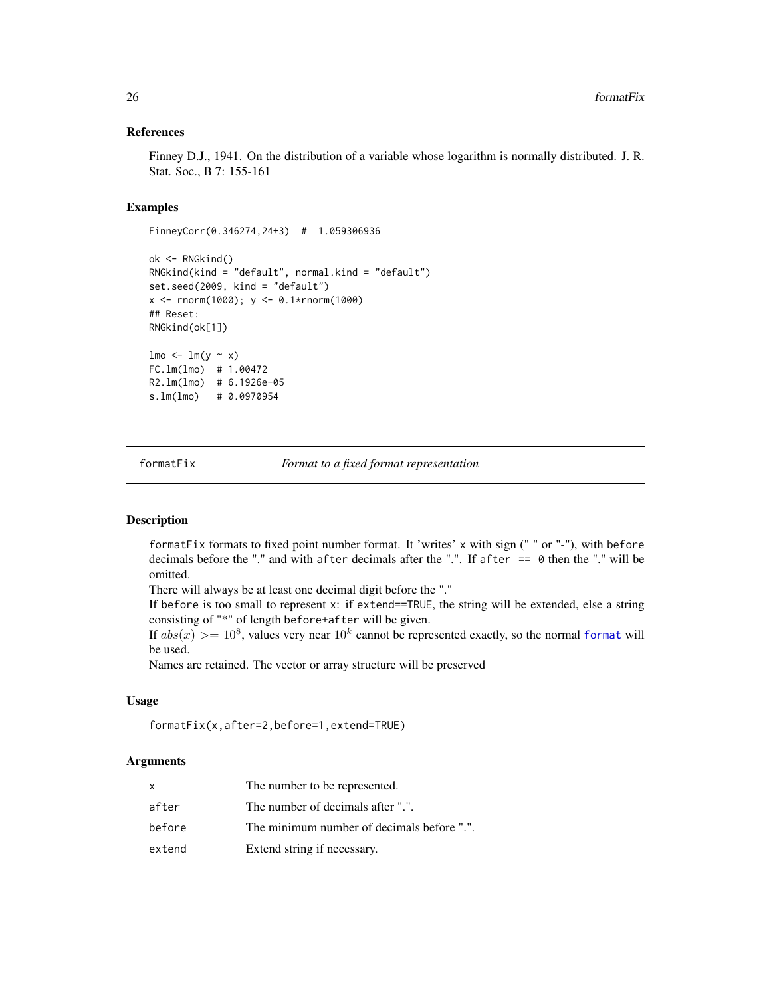#### References

Finney D.J., 1941. On the distribution of a variable whose logarithm is normally distributed. J. R. Stat. Soc., B 7: 155-161

# Examples

```
FinneyCorr(0.346274,24+3) # 1.059306936
ok <- RNGkind()
RNGkind(kind = "default", normal.kind = "default")
set.seed(2009, kind = "default")
x <- rnorm(1000); y <- 0.1*rnorm(1000)
## Reset:
RNGkind(ok[1])
lmo \leftarrow lm(y \sim x)FC.lm(lmo) # 1.00472
R2.lm(lmo) # 6.1926e-05
s.lm(lmo) # 0.0970954
```
formatFix *Format to a fixed format representation*

#### Description

formatFix formats to fixed point number format. It 'writes' x with sign (" " or "-"), with before decimals before the "." and with after decimals after the ".". If after == 0 then the "." will be omitted.

There will always be at least one decimal digit before the "."

If before is too small to represent x: if extend==TRUE, the string will be extended, else a string consisting of "\*" of length before+after will be given.

If  $abs(x) >= 10^8$ , values very near  $10^k$  cannot be represented exactly, so the normal [format](#page-0-0) will be used.

Names are retained. The vector or array structure will be preserved

#### Usage

formatFix(x,after=2,before=1,extend=TRUE)

#### Arguments

| x      | The number to be represented.              |
|--------|--------------------------------------------|
| after  | The number of decimals after ".".          |
| before | The minimum number of decimals before ".". |
| extend | Extend string if necessary.                |

<span id="page-25-0"></span>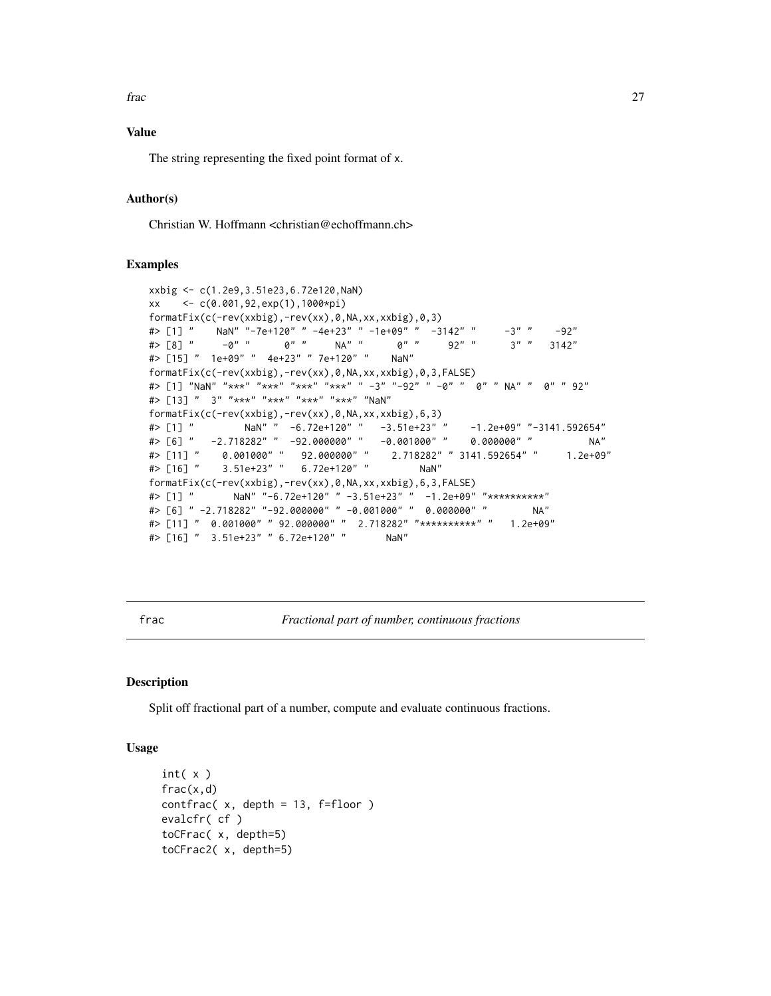<span id="page-26-0"></span>frac 27

# Value

The string representing the fixed point format of x.

# Author(s)

Christian W. Hoffmann <christian@echoffmann.ch>

### Examples

```
xxbig <- c(1.2e9,3.51e23,6.72e120,NaN)
xx <- c(0.001,92,exp(1),1000*pi)
formatFix(c(-rev(xxbig),-rev(xx),0,NA,xx,xxbig),0,3)
#> [1] " NaN" "-7e+120" " -4e+23" " -1e+09" " -3142" " -3" " -92"
#> [8] " -0" " 0" " NA" " 0" " 92" " 3" " 3142"
#> [15] " 1e+09" " 4e+23" " 7e+120" " NaN"
formatFix(c(-rev(xxbig),-rev(xx),0,NA,xx,xxbig),0,3,FALSE)
#> [1] "NaN" "***" "***" "***" "***" " -3" "-92" " -0" " 0" " NA" " 0" " 92"
#> [13] " 3" "***" "***" "***" "***" "NaN"
formatFix(c(-rev(xxbig),-rev(xx),0,NA,xx,xxbig),6,3)
#> [1] " NaN" " -6.72e+120" " -3.51e+23" " -1.2e+09" "-3141.592654"
#> [6] " -2.718282" " -92.000000" " -0.001000" " 0.000000" " NA"
#> [11] " 0.001000" " 92.000000" " 2.718282" " 3141.592654" " 1.2e+09"
#> [16] " 3.51e+23" " 6.72e+120" " NaN"
formatFix(c(-rev(xxbig),-rev(xx),0,NA,xx,xxbig),6,3,FALSE)
#> [1] " NaN" "-6.72e+120" " -3.51e+23" " -1.2e+09" "**********"
#> [6] " -2.718282" "-92.000000" " -0.001000" " 0.000000" " NA"
#> [11] " 0.001000" " 92.000000" " 2.718282" "**********" " 1.2e+09"
#> [16] " 3.51e+23" " 6.72e+120" " NaN"
```
frac *Fractional part of number, continuous fractions*

#### Description

Split off fractional part of a number, compute and evaluate continuous fractions.

#### Usage

```
int(x)frac(x,d)
contrac(x, depth = 13, f=floor)evalcfr( cf )
toCFrac( x, depth=5)
toCFrac2( x, depth=5)
```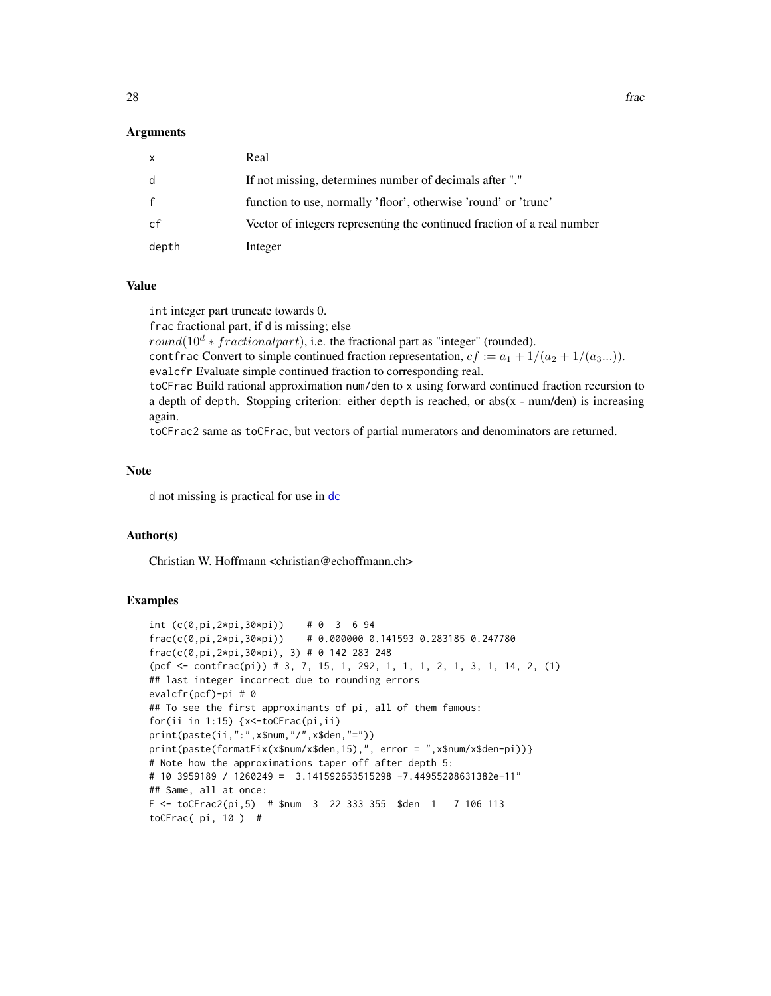#### Arguments

| X            | Real                                                                    |
|--------------|-------------------------------------------------------------------------|
| d            | If not missing, determines number of decimals after "."                 |
| $\mathbf{f}$ | function to use, normally 'floor', otherwise 'round' or 'trunc'         |
| cf           | Vector of integers representing the continued fraction of a real number |
| depth        | Integer                                                                 |

#### Value

int integer part truncate towards 0.

frac fractional part, if d is missing; else round( $10^d * fractional part$ ), i.e. the fractional part as "integer" (rounded). contfrac Convert to simple continued fraction representation,  $cf := a_1 + 1/(a_2 + 1/(a_3...))$ . evalcfr Evaluate simple continued fraction to corresponding real. toCFrac Build rational approximation num/den to x using forward continued fraction recursion to a depth of depth. Stopping criterion: either depth is reached, or abs( $x - num/den$ ) is increasing again.

toCFrac2 same as toCFrac, but vectors of partial numerators and denominators are returned.

#### Note

d not missing is practical for use in [dc](#page-14-1)

#### Author(s)

Christian W. Hoffmann <christian@echoffmann.ch>

```
int (c(0, pi, 2*pi, 30*pi)) # 0 3 6 94
frac(c(0,pi,2*pi,30*pi)) # 0.000000 0.141593 0.283185 0.247780
frac(c(0,pi,2*pi,30*pi), 3) # 0 142 283 248
(pcf \leq \text{contr}(\pi(i)) # 3, 7, 15, 1, 292, 1, 1, 1, 2, 1, 3, 1, 14, 2, (1)
## last integer incorrect due to rounding errors
evalcfr(pcf)-pi # 0
## To see the first approximants of pi, all of them famous:
for(ii in 1:15) {x<-toCFrac(pi,ii)
print(paste(ii,":",x$num,"/",x$den,"="))
print(paste(formatFix(x$num/x$den,15),", error = ",x$num/x$den-pi))}
# Note how the approximations taper off after depth 5:
# 10 3959189 / 1260249 = 3.141592653515298 -7.44955208631382e-11"
## Same, all at once:
F <- toCFrac2(pi,5) # $num 3 22 333 355 $den 1 7 106 113
toCFrac( pi, 10 ) #
```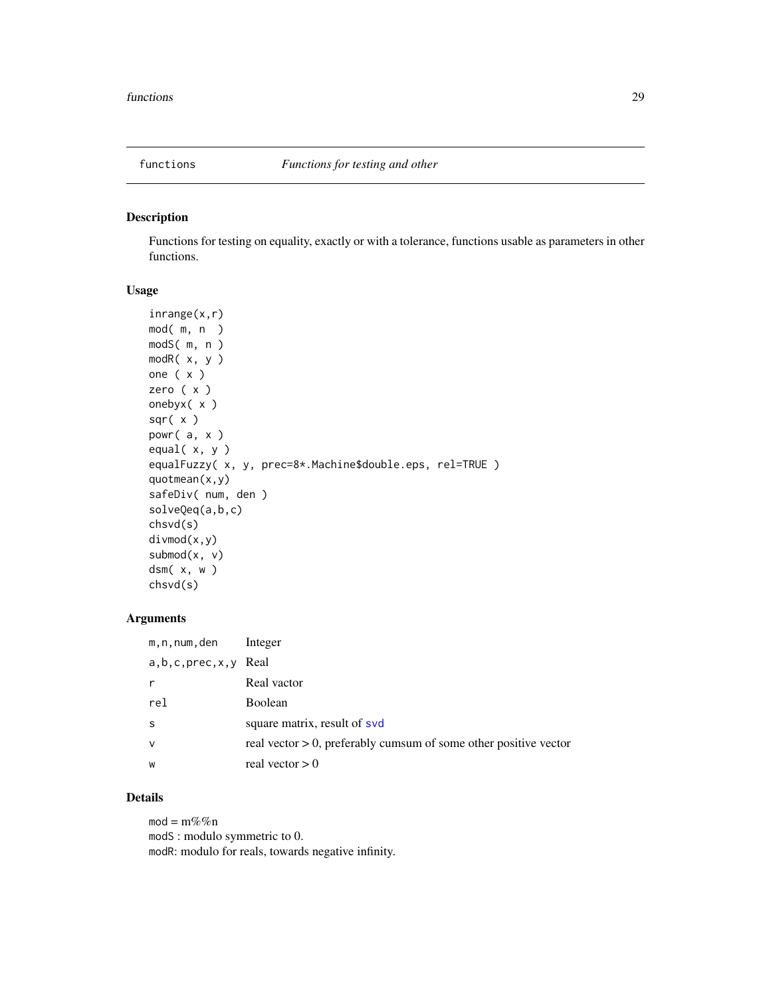<span id="page-28-0"></span>

Functions for testing on equality, exactly or with a tolerance, functions usable as parameters in other functions.

# Usage

```
inrange(x,r)
mod( m, n )
modS( m, n )
modR( x, y )
one ( x )
zero ( x )
onebyx( x )
sqr( x )
powr( a, x )
equal( x, y )
equalFuzzy( x, y, prec=8*.Machine$double.eps, rel=TRUE )
quotmean(x,y)
safeDiv( num, den )
solveQeq(a,b,c)
chsvd(s)
divmod(x,y)
submod(x, v)dsm( x, w )
chsvd(s)
```
# Arguments

| m,n,num,den                | Integer                                                             |
|----------------------------|---------------------------------------------------------------------|
| $a, b, c, prec, x, y$ Real |                                                                     |
| $\mathsf{r}$               | Real vactor                                                         |
| rel                        | Boolean                                                             |
| <sub>S</sub>               | square matrix, result of svd                                        |
| $\mathsf{v}$               | real vector $> 0$ , preferably cumsum of some other positive vector |
| W                          | real vector $> 0$                                                   |

# Details

 $mod = m\%$ %n modS : modulo symmetric to 0. modR: modulo for reals, towards negative infinity.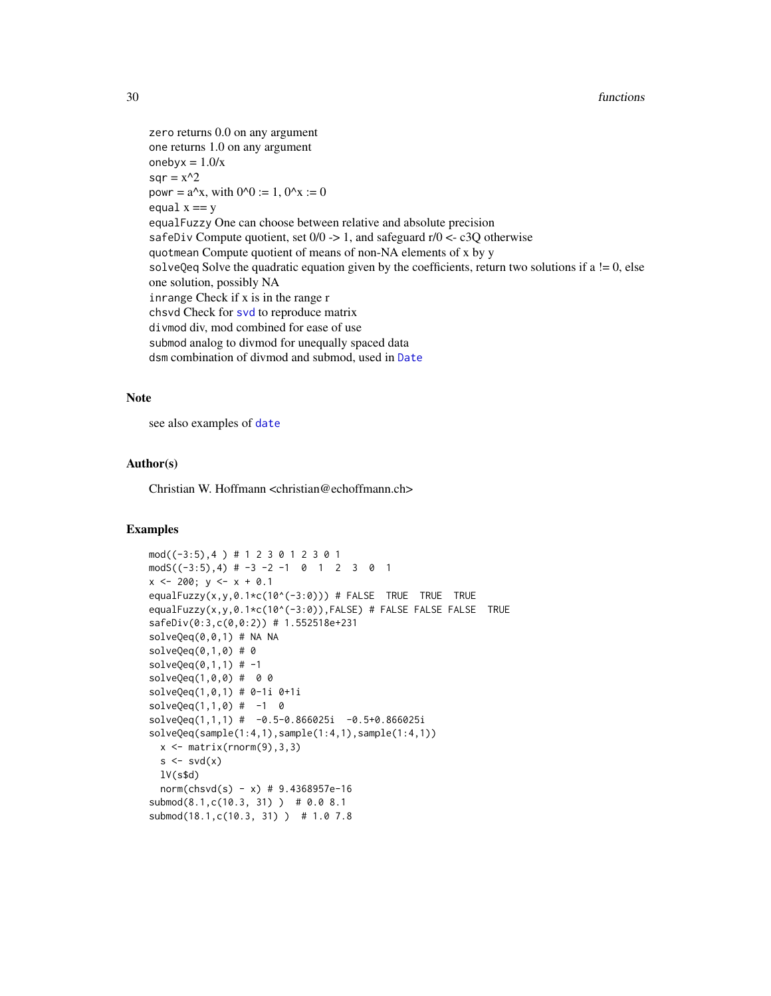zero returns 0.0 on any argument one returns 1.0 on any argument oneby $x = 1.0/x$  $sqr = x^2$ powr =  $a^x$ , with  $0^x = 1$ ,  $0^x = 0$ equal  $x == y$ equalFuzzy One can choose between relative and absolute precision safeDiv Compute quotient, set  $0/0 \rightarrow 1$ , and safeguard r/0 <- c3Q otherwise quotmean Compute quotient of means of non-NA elements of x by y solveQeq Solve the quadratic equation given by the coefficients, return two solutions if  $a = 0$ , else one solution, possibly NA inrange Check if x is in the range r chsvd Check for [svd](#page-0-0) to reproduce matrix divmod div, mod combined for ease of use submod analog to divmod for unequally spaced data dsm combination of divmod and submod, used in [Date](#page-0-0)

#### Note

see also examples of [date](#page-0-0)

# Author(s)

Christian W. Hoffmann <christian@echoffmann.ch>

```
mod((-3:5),4 ) # 1 2 3 0 1 2 3 0 1
modS((-3:5),4) # -3 -2 -1 0 1 2 3 0 1
x \le -200; y \le -x + 0.1equalFuzzy(x,y,0.1*c(10^(-3:0))) # FALSE TRUE TRUE TRUE
equalFuzzy(x,y,0.1*c(10^(-3:0)),FALSE) # FALSE FALSE FALSE TRUE
safeDiv(0:3,c(0,0:2)) # 1.552518e+231
solveQeq(0,0,1) # NA NA
solveQeq(0,1,0) # 0solveQeq(0,1,1) # -1
solveQeq(1,0,0) # 0 0
solveQeq(1,0,1) # 0-1i 0+1i
solveQeq(1,1,0) # -1 0
solveQeq(1,1,1) # -0.5-0.866025i -0.5+0.866025i
solveQeq(sample(1:4,1),sample(1:4,1),sample(1:4,1))
  x \leftarrow \text{matrix}(rnorm(9), 3, 3)s \leftarrow svd(x)lV(s$d)
  norm(chsvd(s) - x) # 9.4368957e-16
submod(8.1,c(10.3, 31) ) # 0.0 8.1
submod(18.1,c(10.3, 31) ) # 1.0 7.8
```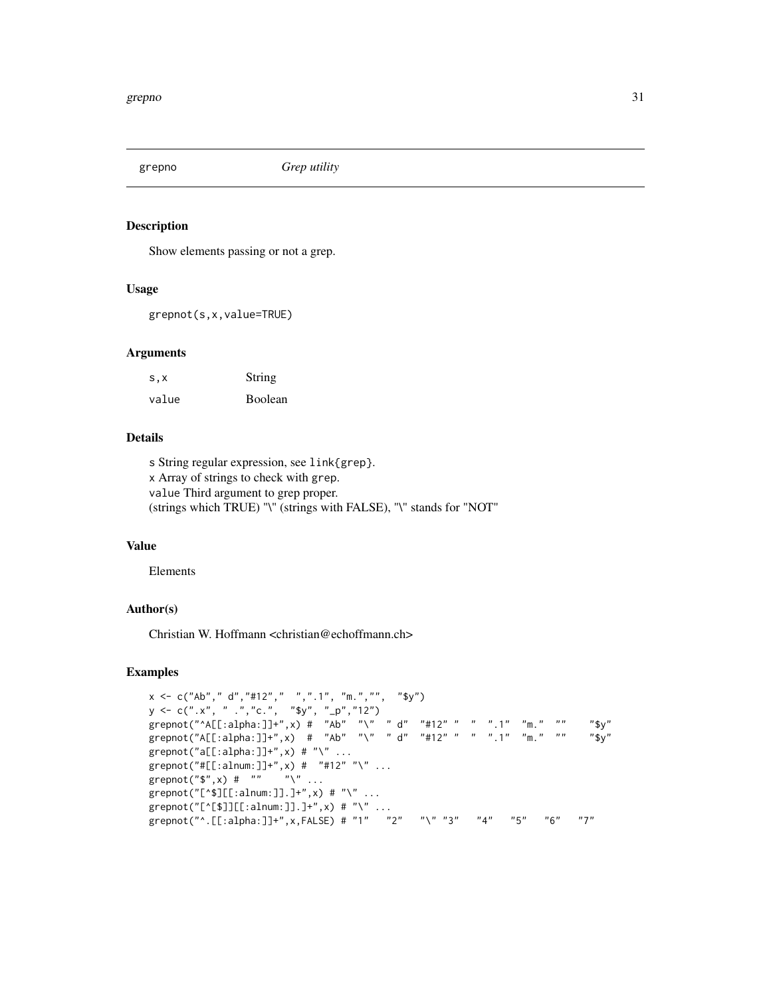<span id="page-30-0"></span>

Show elements passing or not a grep.

# Usage

grepnot(s,x,value=TRUE)

# Arguments

| S, X  | String  |
|-------|---------|
| value | Boolean |

# Details

s String regular expression, see link{grep}. x Array of strings to check with grep. value Third argument to grep proper. (strings which TRUE) "\" (strings with FALSE), "\" stands for "NOT"

#### Value

Elements

# Author(s)

Christian W. Hoffmann <christian@echoffmann.ch>

```
x <- c("Ab"," d","#12"," ",".1", "m.","", "$y")
y <- c(".x", " .","c.", "$y", "_p","12")
grepnot("^A[[:alpha:]]+",x) # "Ab" "\" " d" "#12" " " ".1" "m." "" "$y"
grepnot("A[[:alpha:]]+",x) # "Ab" "\" " d" "#12" " " ".1" "m." "" "$y"
graphot("a[[:alpha:]]+",x) # "\`" ...grepnot("#[[:alnum:]]+",x) # "#12" "\" ...
grepnot("$",x) # "" "\ \'"...
graph{f("[^*$][[:alnum:]]}.]+",x) # "\" ...
grepnot("[^[$]][[:alnum:]].]+",x) # "\" ...
grepnot("^.[[:alpha:]]+",x,FALSE) # "1" "2" "\" "3" "4" "5" "6" "7"
```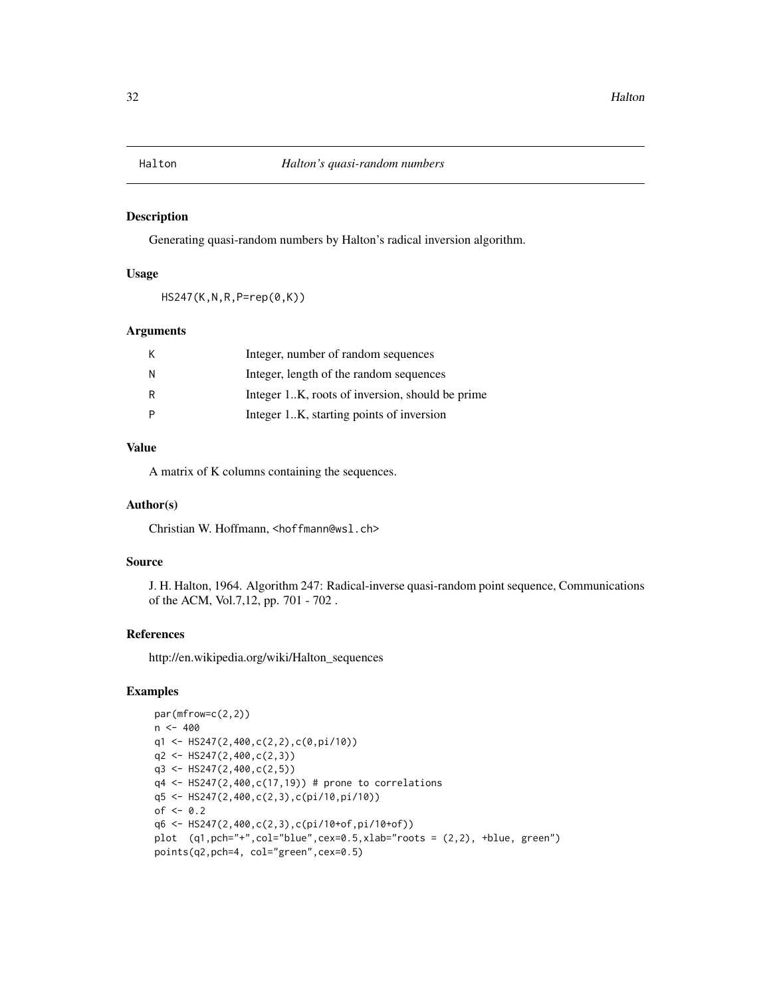<span id="page-31-0"></span>Generating quasi-random numbers by Halton's radical inversion algorithm.

### Usage

HS247(K,N,R,P=rep(0,K))

# Arguments

| К | Integer, number of random sequences             |
|---|-------------------------------------------------|
| N | Integer, length of the random sequences         |
| R | Integer 1K, roots of inversion, should be prime |
| P | Integer 1K, starting points of inversion        |

#### Value

A matrix of K columns containing the sequences.

# Author(s)

Christian W. Hoffmann, <hoffmann@wsl.ch>

# Source

J. H. Halton, 1964. Algorithm 247: Radical-inverse quasi-random point sequence, Communications of the ACM, Vol.7,12, pp. 701 - 702 .

#### References

http://en.wikipedia.org/wiki/Halton\_sequences

```
par(mfrow=c(2,2))
n < -400q1 <- HS247(2,400,c(2,2),c(0,pi/10))
q2 \leftarrow HS247(2,400, c(2,3))
q3 <- HS247(2,400,c(2,5))
q4 \leftarrow HS247(2,400,c(17,19)) # prone to correlations
q5 <- HS247(2,400,c(2,3),c(pi/10,pi/10))
of < -0.2q6 <- HS247(2,400,c(2,3),c(pi/10+of,pi/10+of))
plot (q1,pch="+",col="blue",cex=0.5,xlab="roots = (2,2), +blue, green")
points(q2,pch=4, col="green",cex=0.5)
```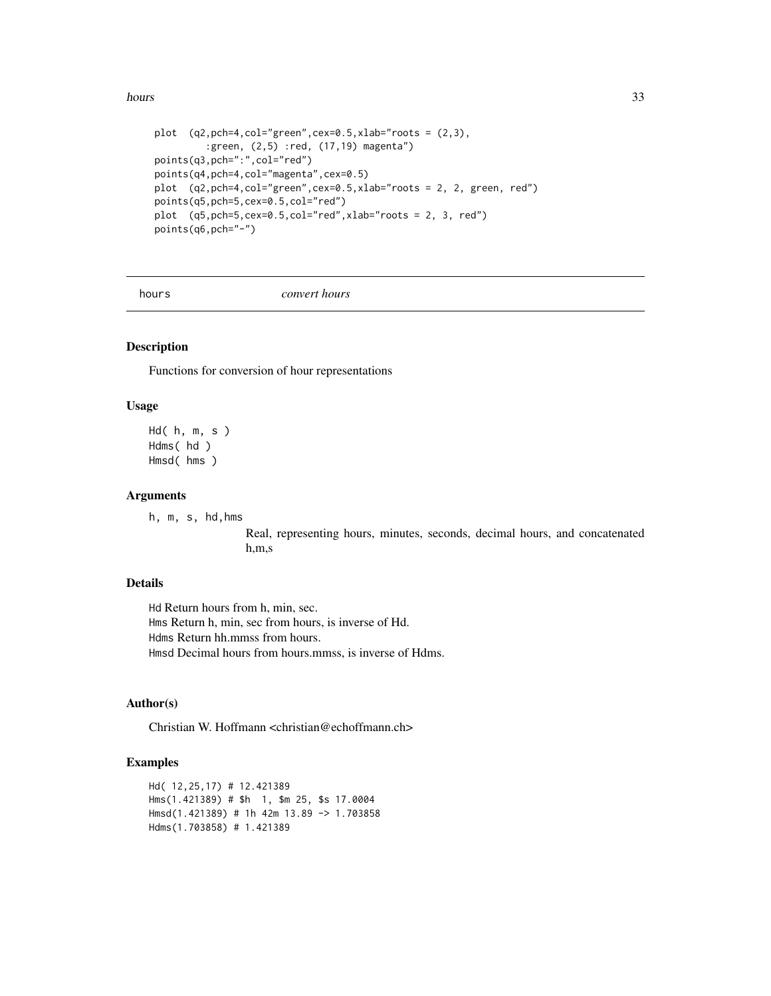#### <span id="page-32-0"></span>hours 33

```
plot (q2, \text{pch=4}, \text{col='green", cex=0.5}, \text{xlab='roots} = (2, 3),:green, (2,5) :red, (17,19) magenta")
points(q3,pch=":",col="red")
points(q4,pch=4,col="magenta",cex=0.5)
plot (q2,pch=4,col="green",cex=0.5,xlab="roots = 2, 2, green, red")
points(q5,pch=5,cex=0.5,col="red")
plot (q5,pch=5,cex=0.5,col="red",xlab="roots = 2, 3, red")
points(q6,pch="-")
```
hours *convert hours*

# Description

Functions for conversion of hour representations

#### Usage

```
Hd( h, m, s )
Hdms( hd )
Hmsd( hms )
```
#### Arguments

h, m, s, hd,hms

Real, representing hours, minutes, seconds, decimal hours, and concatenated h,m,s

# Details

Hd Return hours from h, min, sec. Hms Return h, min, sec from hours, is inverse of Hd. Hdms Return hh.mmss from hours. Hmsd Decimal hours from hours.mmss, is inverse of Hdms.

#### Author(s)

Christian W. Hoffmann <christian@echoffmann.ch>

```
Hd( 12,25,17) # 12.421389
Hms(1.421389) # $h 1, $m 25, $s 17.0004
Hmsd(1.421389) # 1h 42m 13.89 -> 1.703858
Hdms(1.703858) # 1.421389
```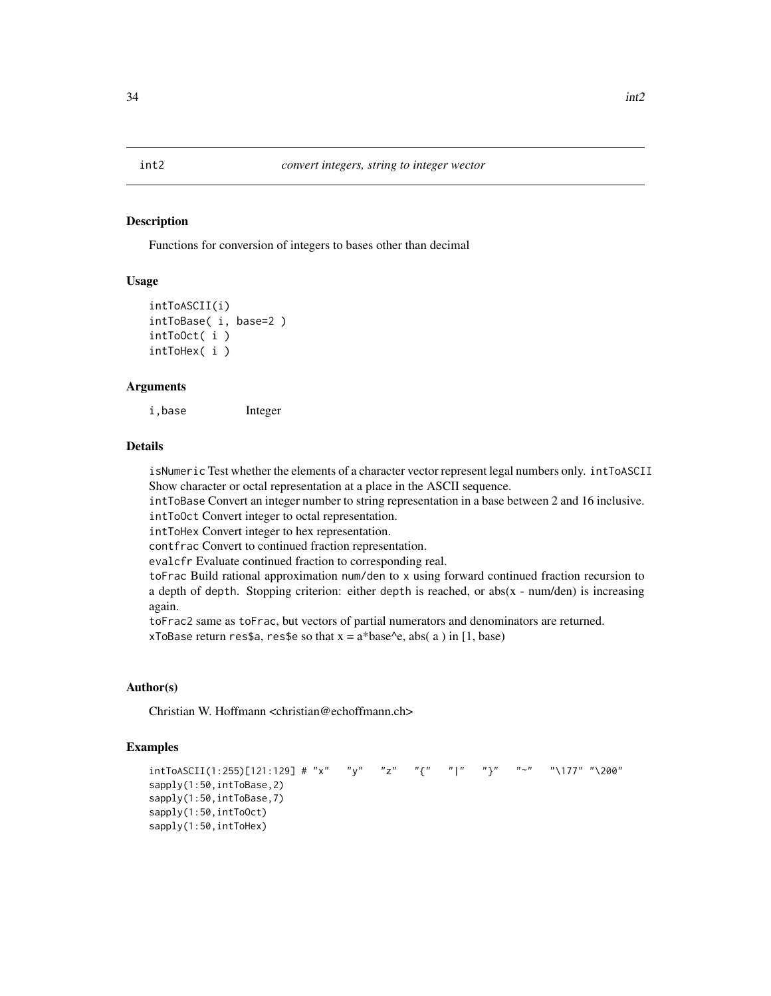<span id="page-33-0"></span>Functions for conversion of integers to bases other than decimal

#### Usage

```
intToASCII(i)
intToBase( i, base=2 )
intToOct( i )
intToHex( i )
```
# Arguments

i,base Integer

#### Details

isNumeric Test whether the elements of a character vector represent legal numbers only. intToASCII Show character or octal representation at a place in the ASCII sequence.

intToBase Convert an integer number to string representation in a base between 2 and 16 inclusive. intToOct Convert integer to octal representation.

intToHex Convert integer to hex representation.

contfrac Convert to continued fraction representation.

evalcfr Evaluate continued fraction to corresponding real.

toFrac Build rational approximation num/den to x using forward continued fraction recursion to a depth of depth. Stopping criterion: either depth is reached, or abs( $x - num/den$ ) is increasing again.

toFrac2 same as toFrac, but vectors of partial numerators and denominators are returned. xToBase return res\$a, res\$e so that  $x = a^*base \leq a$ , abs( a ) in [1, base)

#### Author(s)

Christian W. Hoffmann <christian@echoffmann.ch>

```
intToASCII(1:255)[121:129] # "x" "y" "z" "{" "|" "}" "~" "\177" "\200"
sapply(1:50,intToBase,2)
sapply(1:50,intToBase,7)
sapply(1:50,intToOct)
sapply(1:50,intToHex)
```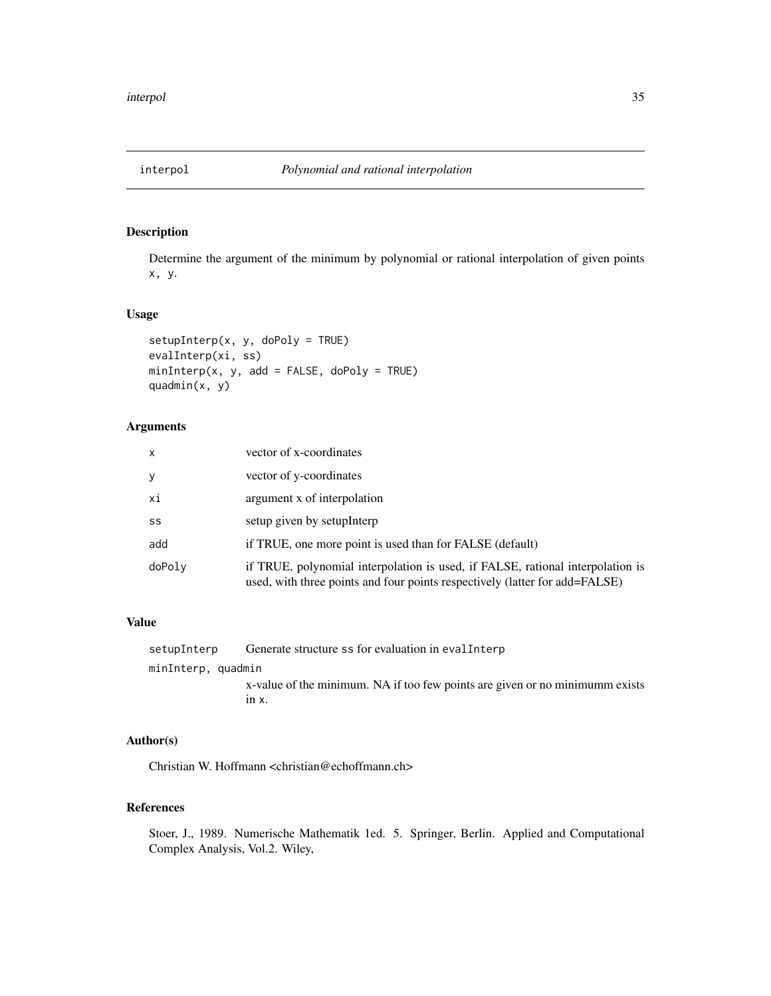<span id="page-34-0"></span>

Determine the argument of the minimum by polynomial or rational interpolation of given points x, y.

#### Usage

```
setupInterp(x, y, dopoly = TRUE)evalInterp(xi, ss)
minInterp(x, y, add = FALSE, doPoly = TRUE)quadmin(x, y)
```
# Arguments

| x      | vector of x-coordinates                                                                                                                                       |
|--------|---------------------------------------------------------------------------------------------------------------------------------------------------------------|
| y      | vector of y-coordinates                                                                                                                                       |
| xi     | argument x of interpolation                                                                                                                                   |
| SS     | setup given by setupInterp                                                                                                                                    |
| add    | if TRUE, one more point is used than for FALSE (default)                                                                                                      |
| doPoly | if TRUE, polynomial interpolation is used, if FALSE, rational interpolation is<br>used, with three points and four points respectively (latter for add=FALSE) |

# Value

| setupInterp        | Generate structure ss for evaluation in evaller the Generate structure ss for evaluation in evaller |
|--------------------|-----------------------------------------------------------------------------------------------------|
| minInterp, quadmin |                                                                                                     |
|                    | x-value of the minimum. NA if too few points are given or no minimumm exists                        |
|                    | $1nX$ .                                                                                             |

# Author(s)

Christian W. Hoffmann <christian@echoffmann.ch>

# References

Stoer, J., 1989. Numerische Mathematik 1ed. 5. Springer, Berlin. Applied and Computational Complex Analysis, Vol.2. Wiley,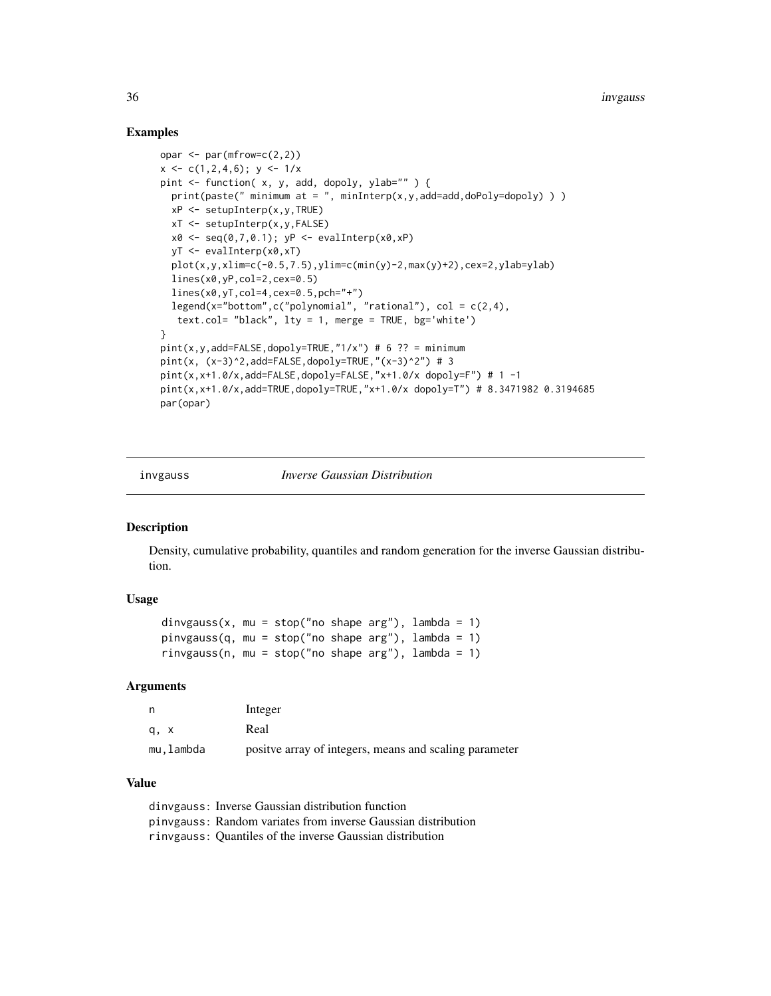# Examples

```
opar <- par(mfrow=c(2,2))
x \leq -c(1, 2, 4, 6); y \leq -1/xpint <- function( x, y, add, dopoly, ylab="" ) {
  print(paste(" minimum at = ", minInterp(x,y,add=add,doPoly=dopoly)))
  xP \leftarrow \text{setupInterp}(x, y, \text{TRUE})xT <- setupInterp(x,y,FALSE)
  x0 \leftarrow \text{seq}(0, 7, 0.1); yP \leftarrow \text{evalInterp}(x0, xP)yT <- evalInterp(x0,xT)
  plot(x,y,xlim=c(-0.5,7.5),ylim=c(min(y)-2,max(y)+2),cex=2,ylab=ylab)lines(x0,yP,col=2,cex=0.5)
  lines(x0,yT,col=4,cex=0.5,pch="+")
  legend(x="bottom",c("polynomial", "rational"), col = c(2, 4),
   text.col= "black", lty = 1, merge = TRUE, bg='white')
}
pint(x,y,add=FALSE,dopoly=TRUE,"1/x") # 6 ?? = minimum
pint(x, (x-3)^2,add=FALSE,dopoly=TRUE,"(x-3)^2") # 3
pint(x,x+1.0/x,add=FALSE,dopoly=FALSE,"x+1.0/x dopoly=F") # 1 -1
pint(x,x+1.0/x,add=TRUE,dopoly=TRUE,"x+1.0/x dopoly=T") # 8.3471982 0.3194685
par(opar)
```
invgauss *Inverse Gaussian Distribution*

#### **Description**

Density, cumulative probability, quantiles and random generation for the inverse Gaussian distribution.

#### Usage

```
dinvgauss(x, mu = stop("no shape arg"), lambda = 1)
pinvgauss(q, mu = stop("no shape arg"), lambda = 1)
rinvgauss(n, mu = stop("no shape arg"), lambda = 1)
```
#### Arguments

|           | Integer                                                 |
|-----------|---------------------------------------------------------|
| a, x      | Real                                                    |
| mu.lambda | positive array of integers, means and scaling parameter |

#### Value

dinvgauss: Inverse Gaussian distribution function pinvgauss: Random variates from inverse Gaussian distribution rinvgauss: Quantiles of the inverse Gaussian distribution

<span id="page-35-0"></span>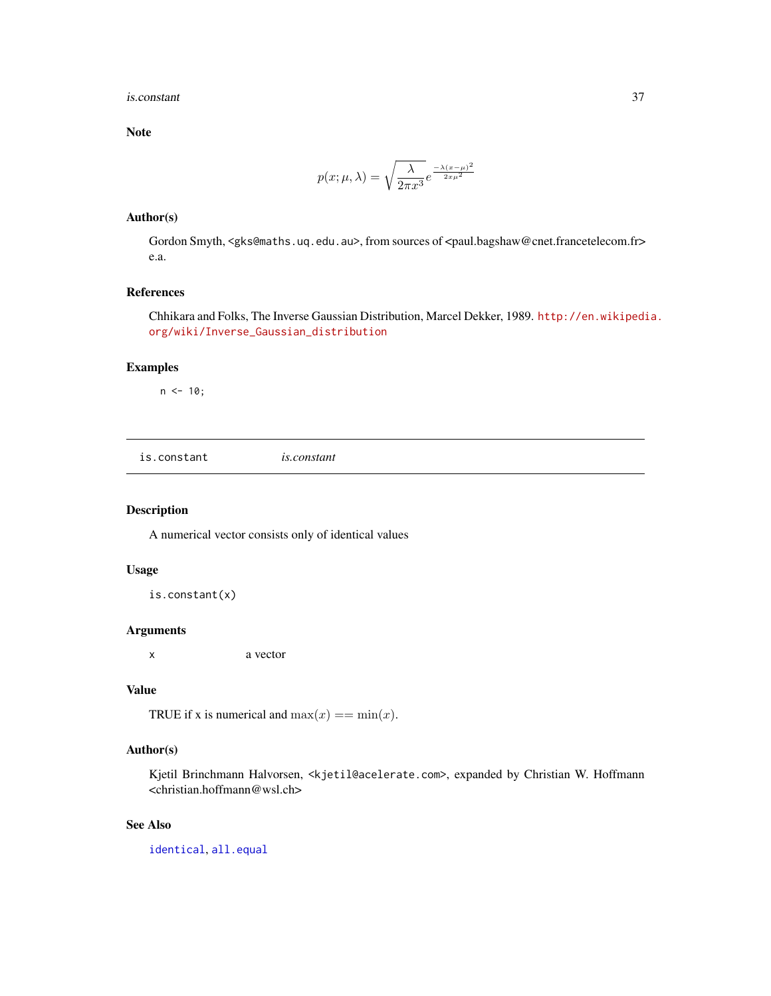#### is.constant 37

Note

$$
p(x; \mu, \lambda) = \sqrt{\frac{\lambda}{2\pi x^3}} e^{\frac{-\lambda (x-\mu)^2}{2x\mu^2}}
$$

### Author(s)

Gordon Smyth, <gks@maths.uq.edu.au>, from sources of <paul.bagshaw@cnet.francetelecom.fr> e.a.

## References

Chhikara and Folks, The Inverse Gaussian Distribution, Marcel Dekker, 1989. [http://en.wikipedi](http://en.wikipedia.org/wiki/Inverse_Gaussian_distribution)a. [org/wiki/Inverse\\_Gaussian\\_distribution](http://en.wikipedia.org/wiki/Inverse_Gaussian_distribution)

## Examples

 $n < -10$ ;

is.constant *is.constant*

## Description

A numerical vector consists only of identical values

#### Usage

is.constant(x)

### Arguments

x a vector

#### Value

TRUE if x is numerical and  $max(x) == min(x)$ .

#### Author(s)

Kjetil Brinchmann Halvorsen, <kjetil@acelerate.com>, expanded by Christian W. Hoffmann <christian.hoffmann@wsl.ch>

## See Also

[identical](#page-0-0), [all.equal](#page-0-0)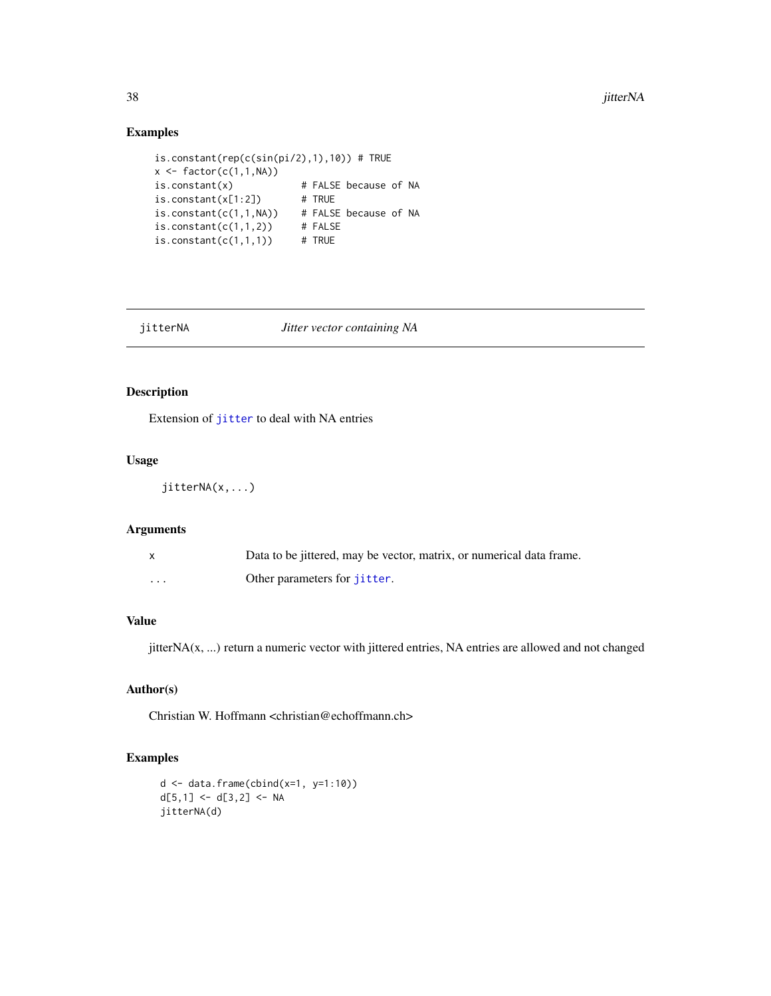# Examples

```
is.constant(rep(c(sin(pi/2),1),10)) # TRUE
x \leftarrow \text{factor}(c(1,1,\text{NA}))is.constant(x) # FALSE because of NA
is.constant(x[1:2]) # TRUE
is.constant(c(1,1,NA)) # FALSE because of NA<br>is.constant(c(1,1,2)) # FALSE
is.constant(c(1,1,2))is.constant(c(1,1,1)) # TRUE
```
#### jitterNA *Jitter vector containing NA*

## Description

Extension of [jitter](#page-0-0) to deal with NA entries

#### Usage

jitterNA(x,...)

## Arguments

| $\mathsf{x}$ | Data to be jittered, may be vector, matrix, or numerical data frame. |
|--------------|----------------------------------------------------------------------|
| $\cdots$     | Other parameters for <i>jitter</i> .                                 |

## Value

jitterNA(x, ...) return a numeric vector with jittered entries, NA entries are allowed and not changed

## Author(s)

Christian W. Hoffmann <christian@echoffmann.ch>

```
d <- data.frame(cbind(x=1, y=1:10))
d[5,1] <- d[3,2] <- NA
jitterNA(d)
```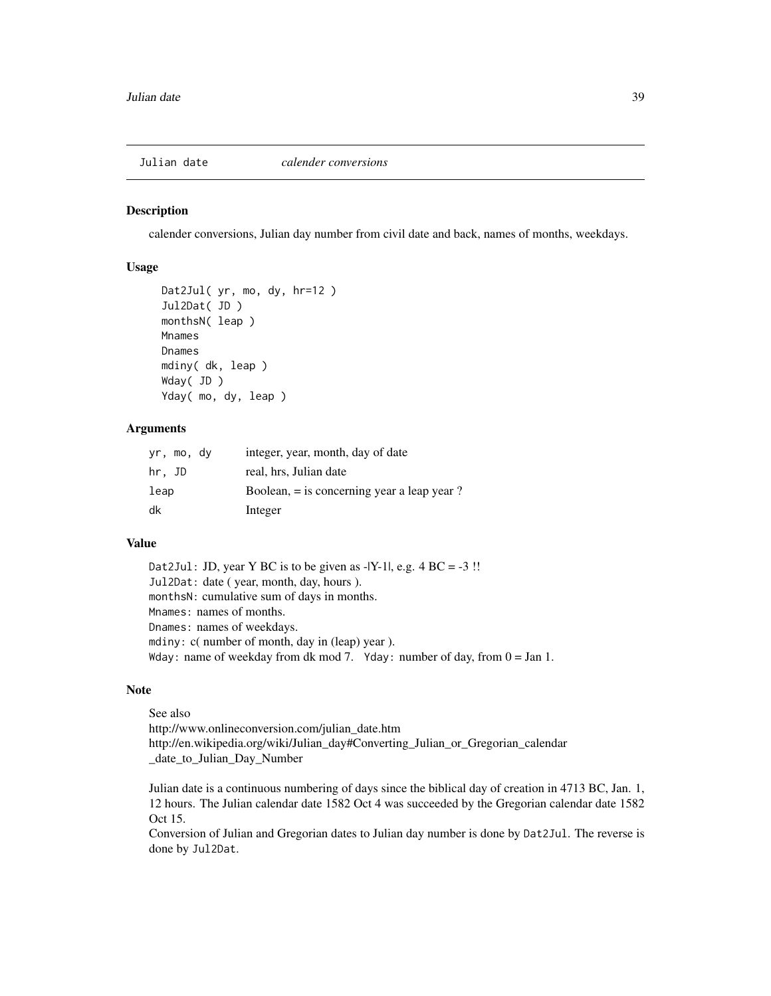calender conversions, Julian day number from civil date and back, names of months, weekdays.

### Usage

```
Dat2Jul( yr, mo, dy, hr=12 )
Jul2Dat( JD )
monthsN( leap )
Mnames
Dnames
mdiny( dk, leap )
Wday( JD )
Yday( mo, dy, leap )
```
## Arguments

| yr, mo, dy | integer, year, month, day of date             |
|------------|-----------------------------------------------|
| hr, JD     | real, hrs. Julian date                        |
| leap       | Boolean, $=$ is concerning year a leap year ? |
| dk         | Integer                                       |

## Value

Dat2Jul: JD, year Y BC is to be given as  $-|Y-1|$ , e.g.  $4 BC = -3$  !! Jul2Dat: date ( year, month, day, hours ). monthsN: cumulative sum of days in months. Mnames: names of months. Dnames: names of weekdays. mdiny: c( number of month, day in (leap) year ). Wday: name of weekday from dk mod 7. Yday: number of day, from  $0 =$  Jan 1.

### Note

See also http://www.onlineconversion.com/julian\_date.htm http://en.wikipedia.org/wiki/Julian\_day#Converting\_Julian\_or\_Gregorian\_calendar \_date\_to\_Julian\_Day\_Number

Julian date is a continuous numbering of days since the biblical day of creation in 4713 BC, Jan. 1, 12 hours. The Julian calendar date 1582 Oct 4 was succeeded by the Gregorian calendar date 1582 Oct 15.

Conversion of Julian and Gregorian dates to Julian day number is done by Dat2Jul. The reverse is done by Jul2Dat.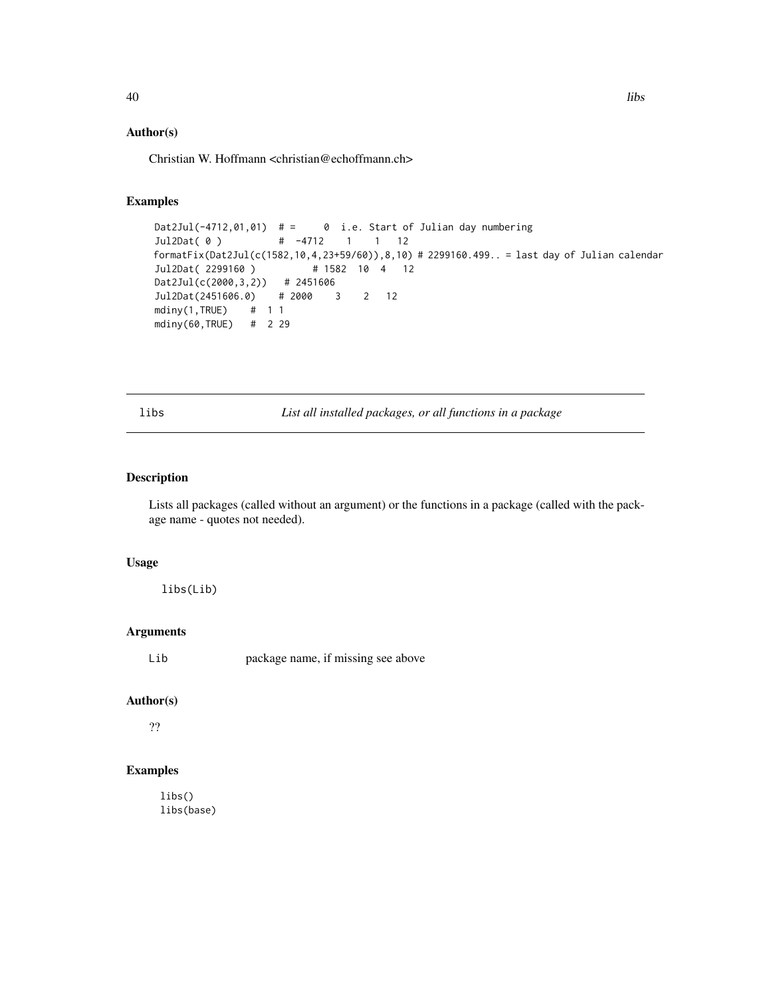## Author(s)

Christian W. Hoffmann <christian@echoffmann.ch>

### Examples

```
Dat2Jul(-4712,01,01) # = 0 i.e. Start of Julian day numbering
Jul2Dat( 0 )  # -4712  1  1 12
formatFix(Dat2Jul(c(1582,10,4,23+59/60)),8,10) # 2299160.499.. = last day of Julian calendar
Jul2Dat( 2299160 ) # 1582 10 4 12
Dat2Jul(c(2000,3,2)) # 2451606
Jul2Dat(2451606.0) # 2000 3 2 12
mdiny(1,TRUE) # 1 1
mdiny(60,TRUE) # 2 29
```
libs *List all installed packages, or all functions in a package*

## Description

Lists all packages (called without an argument) or the functions in a package (called with the package name - quotes not needed).

### Usage

libs(Lib)

### Arguments

Lib package name, if missing see above

### Author(s)

??

### Examples

libs() libs(base)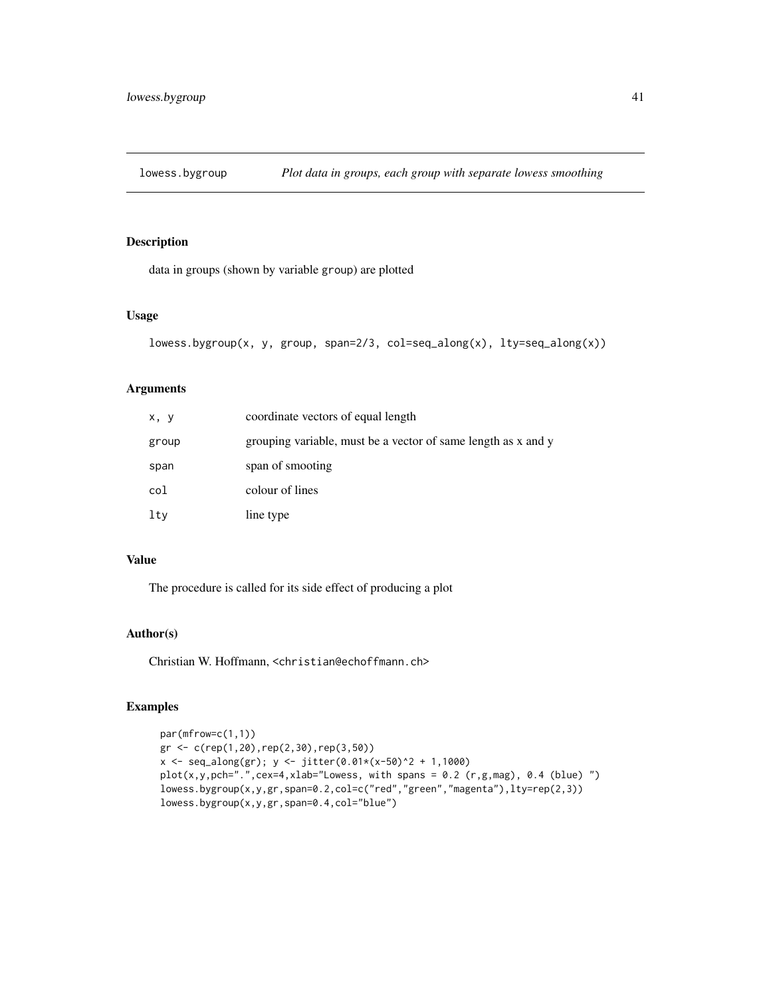data in groups (shown by variable group) are plotted

#### Usage

```
lowess.bygroup(x, y, group, span=2/3, col=seq_along(x), lty=seq_along(x))
```
## Arguments

| x, y  | coordinate vectors of equal length                            |
|-------|---------------------------------------------------------------|
| group | grouping variable, must be a vector of same length as x and y |
| span  | span of smooting                                              |
| col   | colour of lines                                               |
| lty   | line type                                                     |

## Value

The procedure is called for its side effect of producing a plot

#### Author(s)

Christian W. Hoffmann, <christian@echoffmann.ch>

```
par(mfrow=c(1,1))
gr <- c(rep(1,20),rep(2,30),rep(3,50))
x <- seq_along(gr); y <- jitter(0.01*(x-50)^2 + 1,1000)
plot(x,y,pch=".",cex=4,xlab="Lowess, with spans = 0.2 (r,g,mag), 0.4 (blue) ")
lowess.bygroup(x,y,gr,span=0.2,col=c("red","green","magenta"),lty=rep(2,3))
lowess.bygroup(x,y,gr,span=0.4,col="blue")
```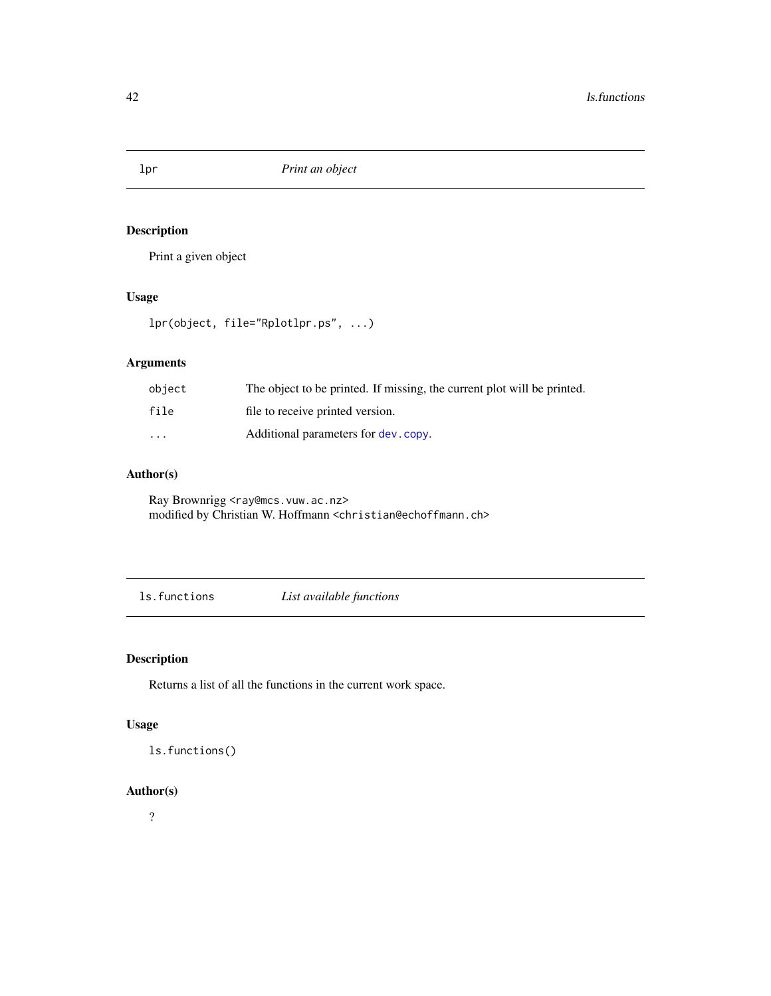Print a given object

# Usage

lpr(object, file="Rplotlpr.ps", ...)

## Arguments

| object  | The object to be printed. If missing, the current plot will be printed. |
|---------|-------------------------------------------------------------------------|
| file    | file to receive printed version.                                        |
| $\cdot$ | Additional parameters for dev. copy.                                    |

## Author(s)

Ray Brownrigg <ray@mcs.vuw.ac.nz> modified by Christian W. Hoffmann <christian@echoffmann.ch>

ls.functions *List available functions*

# Description

Returns a list of all the functions in the current work space.

## Usage

ls.functions()

### Author(s)

?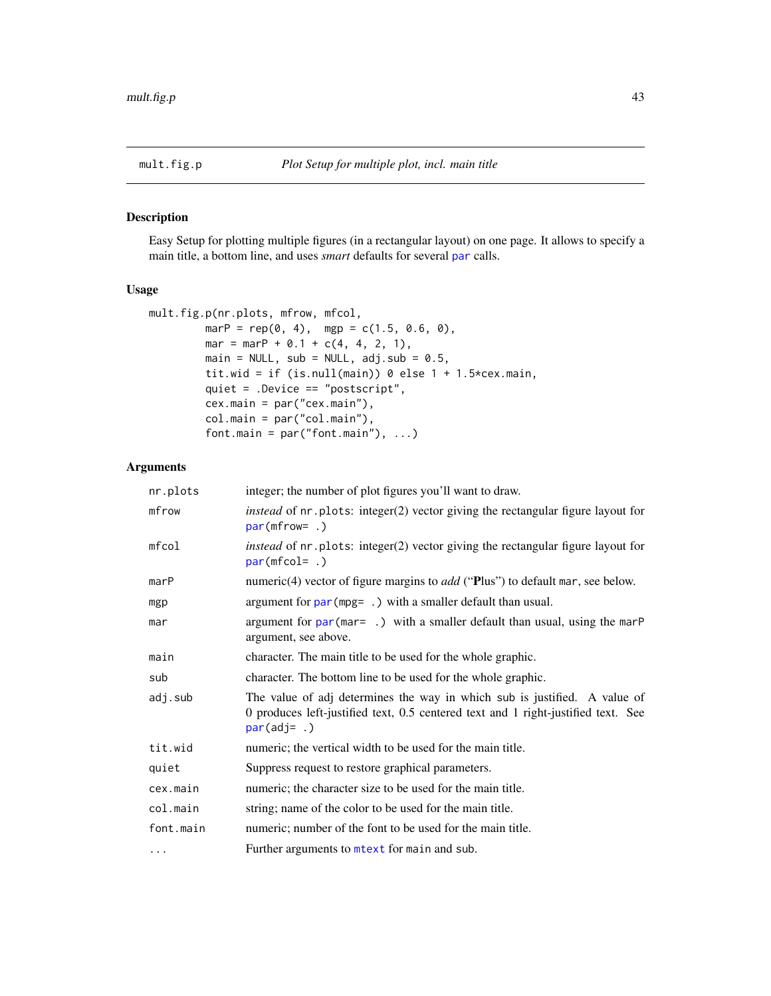Easy Setup for plotting multiple figures (in a rectangular layout) on one page. It allows to specify a main title, a bottom line, and uses *smart* defaults for several [par](#page-0-0) calls.

## Usage

```
mult.fig.p(nr.plots, mfrow, mfcol,
         marP = rep(0, 4), mgp = c(1.5, 0.6, 0),mar = marP + 0.1 + c(4, 4, 2, 1),
        main = NULL, sub = NULL, adj.sub = 0.5,
         tit.wid = if (is.null(main)) 0 else 1 + 1.5*cex.main,
         quiet = .Device == "postscript",
         cex.main = par("cex.main"),
         col.main = par("col.main"),
         font.main = par("font.mainloop", ...)
```
#### Arguments

| nr.plots  | integer; the number of plot figures you'll want to draw.                                                                                                                        |
|-----------|---------------------------------------------------------------------------------------------------------------------------------------------------------------------------------|
| mfrow     | instead of nr. plots: integer(2) vector giving the rectangular figure layout for<br>$par(mfrow=.)$                                                                              |
| $m$ fcol  | <i>instead</i> of nr. plots: integer(2) vector giving the rectangular figure layout for<br>par(mfcolz.                                                                          |
| marP      | numeric(4) vector of figure margins to <i>add</i> ("Plus") to default mar, see below.                                                                                           |
| mgp       | argument for $par(mpgz)$ with a smaller default than usual.                                                                                                                     |
| mar       | argument for $par(max = .)$ with a smaller default than usual, using the marP<br>argument, see above.                                                                           |
| main      | character. The main title to be used for the whole graphic.                                                                                                                     |
| sub       | character. The bottom line to be used for the whole graphic.                                                                                                                    |
| adj.sub   | The value of adj determines the way in which sub is justified. A value of<br>0 produces left-justified text, 0.5 centered text and 1 right-justified text. See<br>$par(adj= .)$ |
| tit.wid   | numeric; the vertical width to be used for the main title.                                                                                                                      |
| quiet     | Suppress request to restore graphical parameters.                                                                                                                               |
| cex.main  | numeric; the character size to be used for the main title.                                                                                                                      |
| col.main  | string; name of the color to be used for the main title.                                                                                                                        |
| font.main | numeric; number of the font to be used for the main title.                                                                                                                      |
| $\cdots$  | Further arguments to mtext for main and sub.                                                                                                                                    |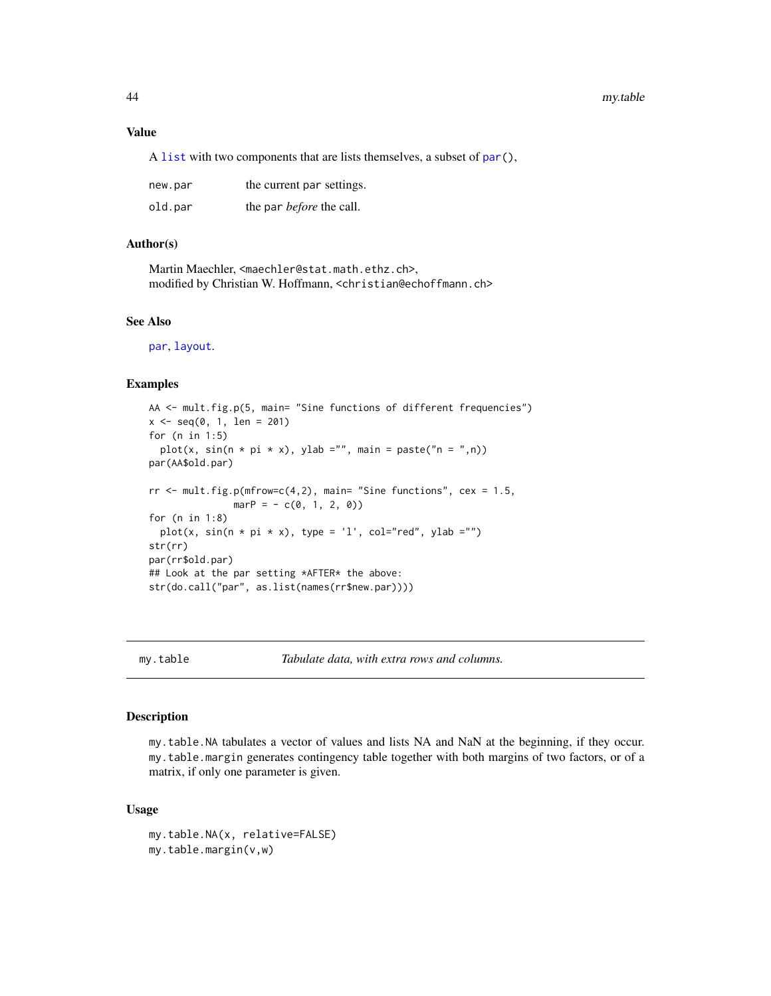#### Value

A [list](#page-0-0) with two components that are lists themselves, a subset of [par\(](#page-0-0)),

| new.par | the current par settings.       |
|---------|---------------------------------|
| old.par | the par <i>before</i> the call. |

## Author(s)

Martin Maechler, <maechler@stat.math.ethz.ch>, modified by Christian W. Hoffmann, <christian@echoffmann.ch>

#### See Also

[par](#page-0-0), [layout](#page-0-0).

#### Examples

```
AA <- mult.fig.p(5, main= "Sine functions of different frequencies")
x \leq -\text{seq}(0, 1, \text{ len} = 201)for (n in 1:5)
  plot(x, sin(n * pi * x), ylab = "", main = paste("n = ",n))par(AA$old.par)
rr < - mult.fig.p(mfrow=c(4,2), main= "Sine functions", cex = 1.5,
               marP = -c(0, 1, 2, 0)for (n in 1:8)
  plot(x, sin(n * pi * x), type = 'l', col="red", ylab ="")
str(rr)
par(rr$old.par)
## Look at the par setting *AFTER* the above:
str(do.call("par", as.list(names(rr$new.par))))
```
my.table *Tabulate data, with extra rows and columns.*

#### Description

my.table.NA tabulates a vector of values and lists NA and NaN at the beginning, if they occur. my.table.margin generates contingency table together with both margins of two factors, or of a matrix, if only one parameter is given.

### Usage

my.table.NA(x, relative=FALSE) my.table.margin(v,w)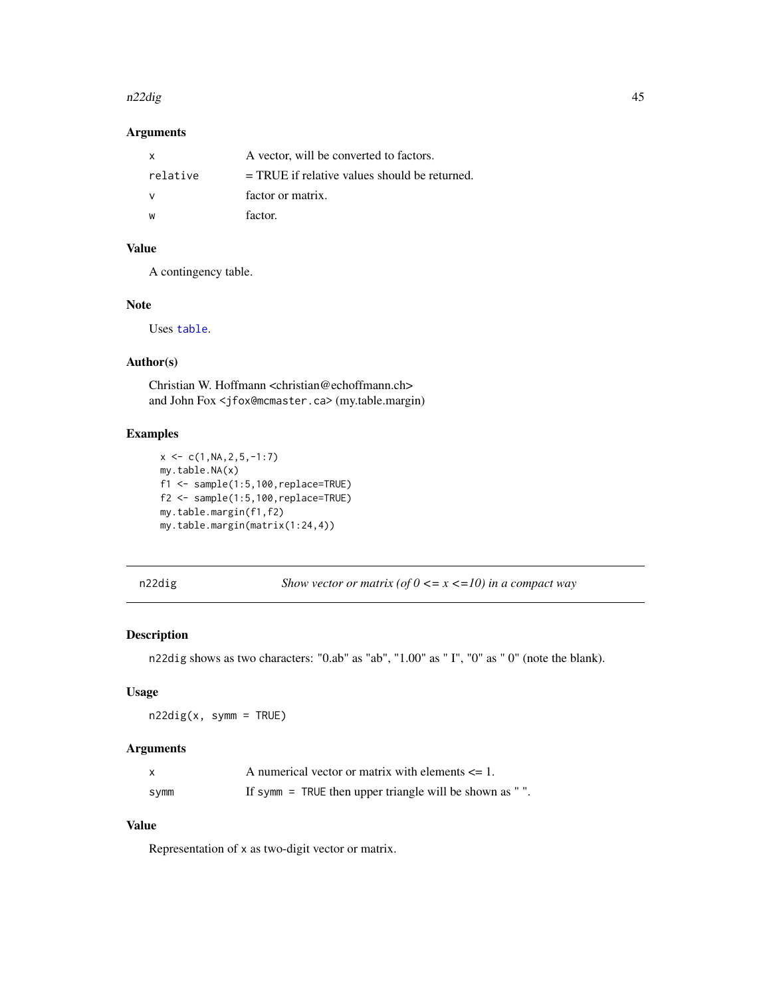#### n22dig 45

## Arguments

| X.       | A vector, will be converted to factors.         |
|----------|-------------------------------------------------|
| relative | $=$ TRUE if relative values should be returned. |
|          | factor or matrix.                               |
| W        | factor.                                         |

## Value

A contingency table.

## Note

Uses [table](#page-0-0).

# Author(s)

Christian W. Hoffmann <christian@echoffmann.ch> and John Fox <jfox@mcmaster.ca> (my.table.margin)

## Examples

```
x \leftarrow c(1, NA, 2, 5, -1:7)my.table.NA(x)
f1 <- sample(1:5,100,replace=TRUE)
f2 <- sample(1:5,100,replace=TRUE)
my.table.margin(f1,f2)
my.table.margin(matrix(1:24,4))
```
n22dig *Show vector or matrix (of 0 <= x <=10) in a compact way*

## Description

n22dig shows as two characters: "0.ab" as "ab", "1.00" as " I", "0" as " 0" (note the blank).

### Usage

 $n22dig(x, symm = TRUE)$ 

### Arguments

|      | A numerical vector or matrix with elements $\leq 1$ .    |
|------|----------------------------------------------------------|
| symm | If symm $=$ TRUE then upper triangle will be shown as ". |

# Value

Representation of x as two-digit vector or matrix.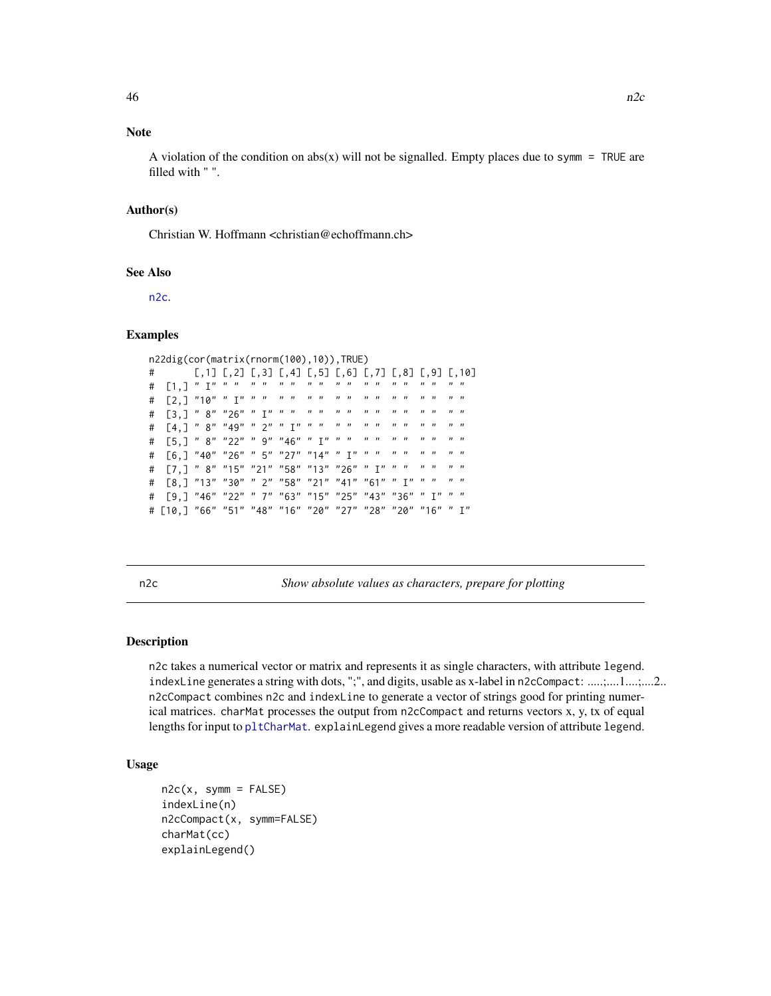# Note

A violation of the condition on  $abs(x)$  will not be signalled. Empty places due to symm = TRUE are filled with " ".

#### Author(s)

Christian W. Hoffmann <christian@echoffmann.ch>

#### See Also

[n2c](#page-45-0).

#### Examples

```
n22dig(cor(matrix(rnorm(100),10)),TRUE)
# [,1] [,2] [,3] [,4] [,5] [,6] [,7] [,8] [,9] [,10]
# [1,] " I" " " " " " " " " " " " " " " " " " "
# [2,] "10" " I" " " " " " " " " " " " " " " " "
.<br>וה מים מים מים מים מים מים " 26" " 26" " 26" " 41"<br>מים מים מים מים מים מים מים שמ" ב-14 H " E4
# [4,] " 8" "49" " 2" " I" " " " " " " " " " " " "
# [5,] " 8" "22" " 9" "46" " I" " " " " " " " " " "
# [6,] "40" "26" " 5" "27" "14" " I" " " " " " " " "
# [7,] " 8" "15" "21" "58" "13" "26" " I" " " " " " "
# [8,] "13" "30" " 2" "58" "21" "41" "61" " I" " " " "
# [9,] "46" "22" " 7" "63" "15" "25" "43" "36" " I" " "
# [10,] "66" "51" "48" "16" "20" "27" "28" "20" "16" " I"
```
<span id="page-45-0"></span>

n2c *Show absolute values as characters, prepare for plotting*

### <span id="page-45-1"></span>Description

n2c takes a numerical vector or matrix and represents it as single characters, with attribute legend. indexLine generates a string with dots, ";", and digits, usable as x-label in n2cCompact: .....;....1....;....2.. n2cCompact combines n2c and indexLine to generate a vector of strings good for printing numerical matrices. charMat processes the output from n2cCompact and returns vectors x, y, tx of equal lengths for input to [pltCharMat](#page-54-0). explainLegend gives a more readable version of attribute legend.

### Usage

```
n2c(x, symm = FALSE)indexLine(n)
n2cCompact(x, symm=FALSE)
charMat(cc)
explainLegend()
```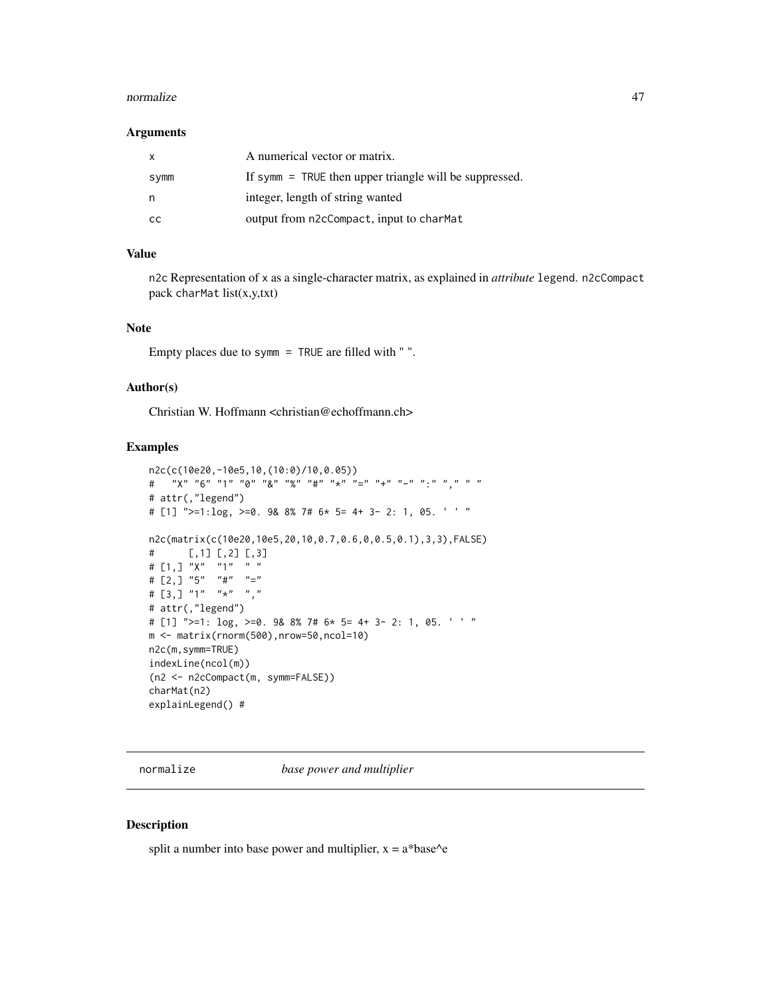#### normalize and the contract of the contract of the contract of the contract of the contract of the contract of the contract of the contract of the contract of the contract of the contract of the contract of the contract of

#### Arguments

| X    | A numerical vector or matrix.                            |
|------|----------------------------------------------------------|
| symm | If symm $=$ TRUE then upper triangle will be suppressed. |
| n    | integer, length of string wanted                         |
| CC.  | output from n2cCompact, input to charMat                 |

## Value

n2c Representation of x as a single-character matrix, as explained in *attribute* legend. n2cCompact pack charMat list(x,y,txt)

## Note

Empty places due to symm = TRUE are filled with " ".

### Author(s)

Christian W. Hoffmann <christian@echoffmann.ch>

#### Examples

```
n2c(c(10e20,-10e5,10,(10:0)/10,0.05))
\# \qquad "X" \quad "6" \quad "1" \quad "0" \quad "8" \quad "9" \quad "4" \quad "** \quad "=" \quad "+" \quad "-" \quad "... \quad "... \quad "... \quad "...# attr(,"legend")
# [1] ">=1:log, >=0. 9& 8% 7# 6* 5= 4+ 3- 2: 1, 05. ' ' "
n2c(matrix(c(10e20,10e5,20,10,0.7,0.6,0,0.5,0.1),3,3),FALSE)
# [,1] [,2] [,3]
# [1, 3 \, "X" \, "1" \, ""# [2, 3 \t {''}5" \t {''}4" \t {''}="# [3,] "1" "*" ","
# attr(,"legend")
# [1] ">=1: log, >=0. 9& 8% 7# 6* 5= 4+ 3- 2: 1, 05. ' ' "
m <- matrix(rnorm(500),nrow=50,ncol=10)
n2c(m,symm=TRUE)
indexLine(ncol(m))
(n2 <- n2cCompact(m, symm=FALSE))
charMat(n2)
explainLegend() #
```
normalize *base power and multiplier*

## Description

split a number into base power and multiplier,  $x = a^*base^e$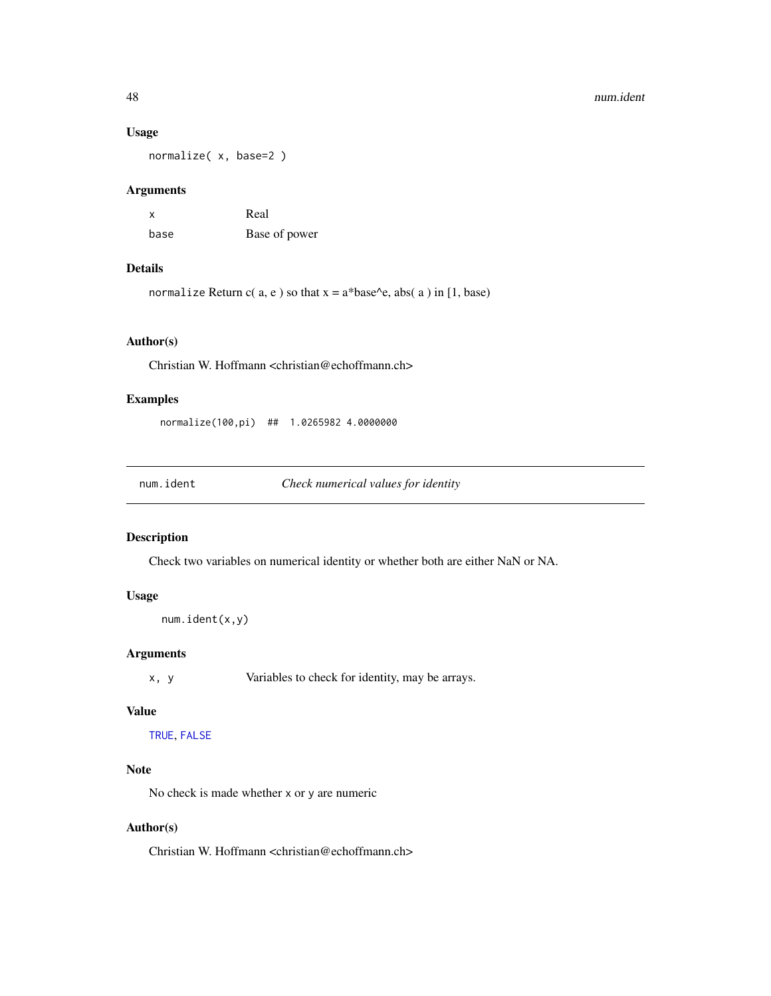#### Usage

normalize( x, base=2 )

## Arguments

| $\boldsymbol{\mathsf{x}}$ | Real          |
|---------------------------|---------------|
| base                      | Base of power |

### Details

normalize Return c( $a, e$ ) so that  $x = a^*base^e$ , abs( $a$ ) in [1, base)

### Author(s)

Christian W. Hoffmann <christian@echoffmann.ch>

## Examples

normalize(100,pi) ## 1.0265982 4.0000000

num.ident *Check numerical values for identity*

### Description

Check two variables on numerical identity or whether both are either NaN or NA.

# Usage

```
num.ident(x,y)
```
## Arguments

x, y Variables to check for identity, may be arrays.

## Value

[TRUE](#page-0-0), [FALSE](#page-0-0)

# Note

No check is made whether x or y are numeric

## Author(s)

Christian W. Hoffmann <christian@echoffmann.ch>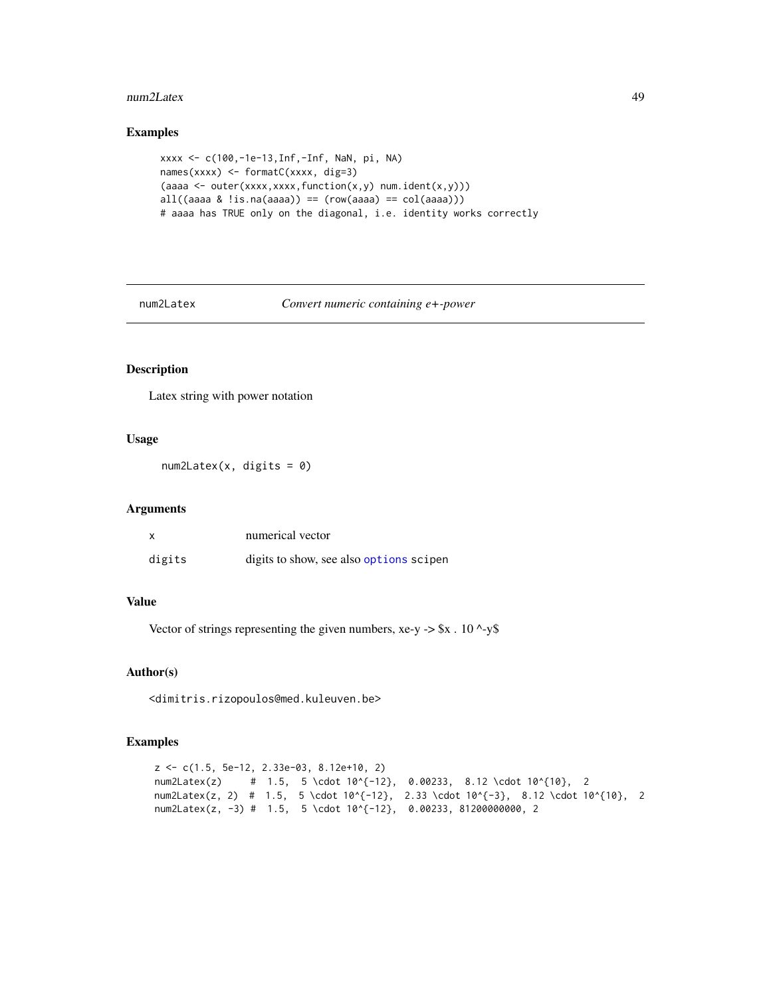#### num2Latex 49

## Examples

```
xxxx <- c(100,-1e-13,Inf,-Inf, NaN, pi, NA)
names(xxxx) <- formatC(xxxx, dig=3)
(aaaa <- outer(xxxx,xxxx,function(x,y) num.ident(x,y)))
all((aaaa & !is.na(aaaa)) == (row(aaaa) == col(aaaa)))
# aaaa has TRUE only on the diagonal, i.e. identity works correctly
```
num2Latex *Convert numeric containing e+-power*

## Description

Latex string with power notation

#### Usage

 $num2Later(x, digits = 0)$ 

#### Arguments

|        | numerical vector                        |
|--------|-----------------------------------------|
| digits | digits to show, see also options scipen |

### Value

Vector of strings representing the given numbers,  $xe-y \rightarrow \$x$ . 10 ^-y\$

## Author(s)

<dimitris.rizopoulos@med.kuleuven.be>

```
z <- c(1.5, 5e-12, 2.33e-03, 8.12e+10, 2)
num2Latex(z) # 1.5, 5 \cdot 10^{-12}, 0.00233, 8.12 \cdot 10^{10}, 2
num2Latex(z, 2) # 1.5, 5 \cdot 10^{-12}, 2.33 \cdot 10^{-3}, 8.12 \cdot 10^{10}, 2
num2Latex(z, -3) # 1.5, 5 \cdot 10^{-12}, 0.00233, 81200000000, 2
```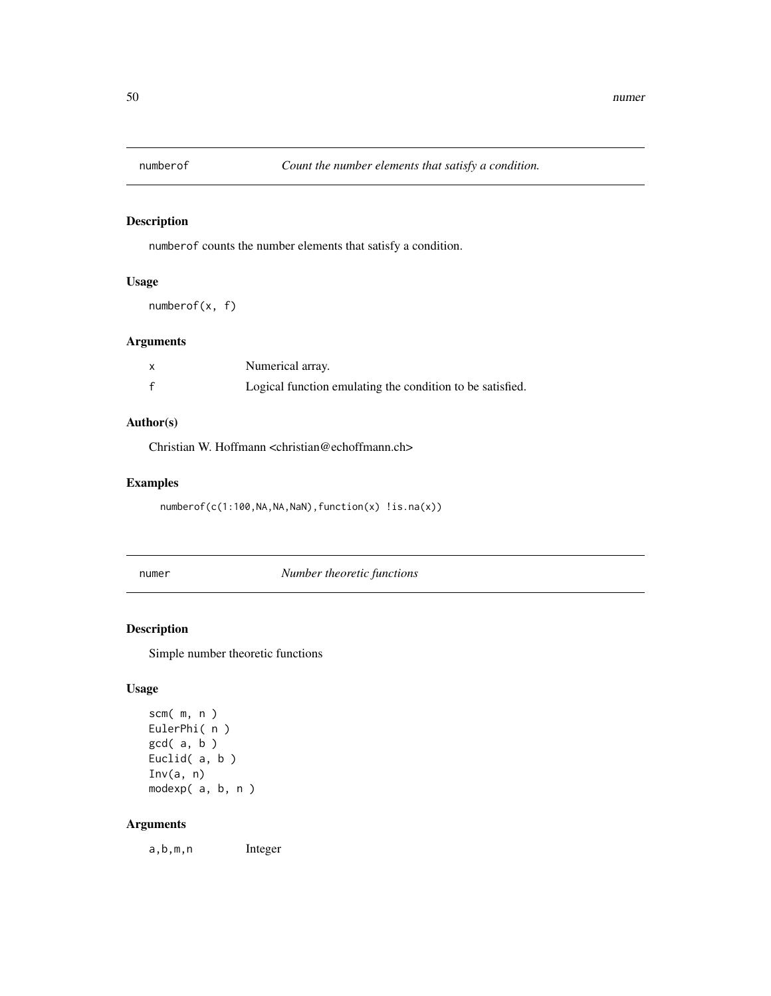numberof counts the number elements that satisfy a condition.

#### Usage

numberof(x, f)

## Arguments

| X | Numerical array.                                          |
|---|-----------------------------------------------------------|
|   | Logical function emulating the condition to be satisfied. |

# Author(s)

Christian W. Hoffmann <christian@echoffmann.ch>

## Examples

numberof(c(1:100, NA, NA, NaN), function(x) !is.na(x))

numer *Number theoretic functions*

## Description

Simple number theoretic functions

## Usage

```
scm( m, n )
EulerPhi( n )
gcd( a, b )
Euclid( a, b )
Inv(a, n)
modexp( a, b, n )
```
## Arguments

a,b,m,n Integer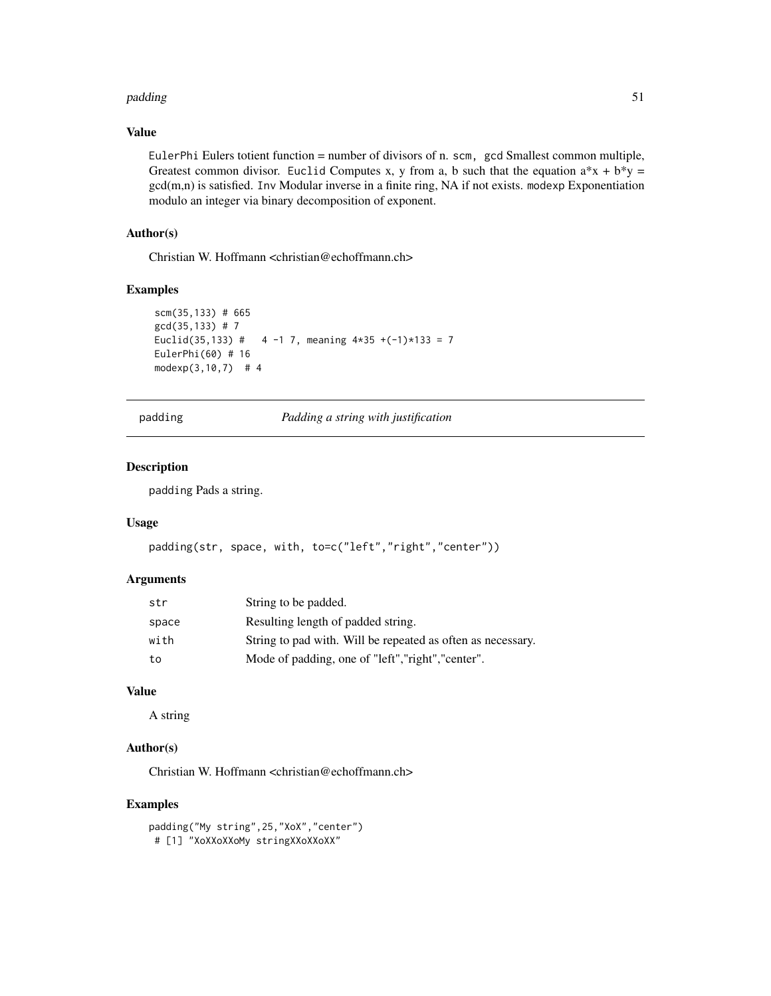#### padding 51

### Value

EulerPhi Eulers totient function = number of divisors of n. scm, gcd Smallest common multiple, Greatest common divisor. Euclid Computes x, y from a, b such that the equation  $a*x + b*y =$ gcd(m,n) is satisfied. Inv Modular inverse in a finite ring, NA if not exists. modexp Exponentiation modulo an integer via binary decomposition of exponent.

## Author(s)

Christian W. Hoffmann <christian@echoffmann.ch>

## Examples

```
scm(35,133) # 665
gcd(35,133) # 7
Euclid(35,133) # 4 -1 7, meaning 4*35 + (-1)*133 = 7EulerPhi(60) # 16
modexp(3,10,7) # 4
```
padding *Padding a string with justification*

## Description

padding Pads a string.

#### Usage

```
padding(str, space, with, to=c("left","right","center"))
```
#### Arguments

| str   | String to be padded.                                        |
|-------|-------------------------------------------------------------|
| space | Resulting length of padded string.                          |
| with  | String to pad with. Will be repeated as often as necessary. |
| to    | Mode of padding, one of "left", "right", "center".          |

# Value

A string

## Author(s)

Christian W. Hoffmann <christian@echoffmann.ch>

```
padding("My string",25,"XoX","center")
# [1] "XoXXoXXoMy stringXXoXXoXX"
```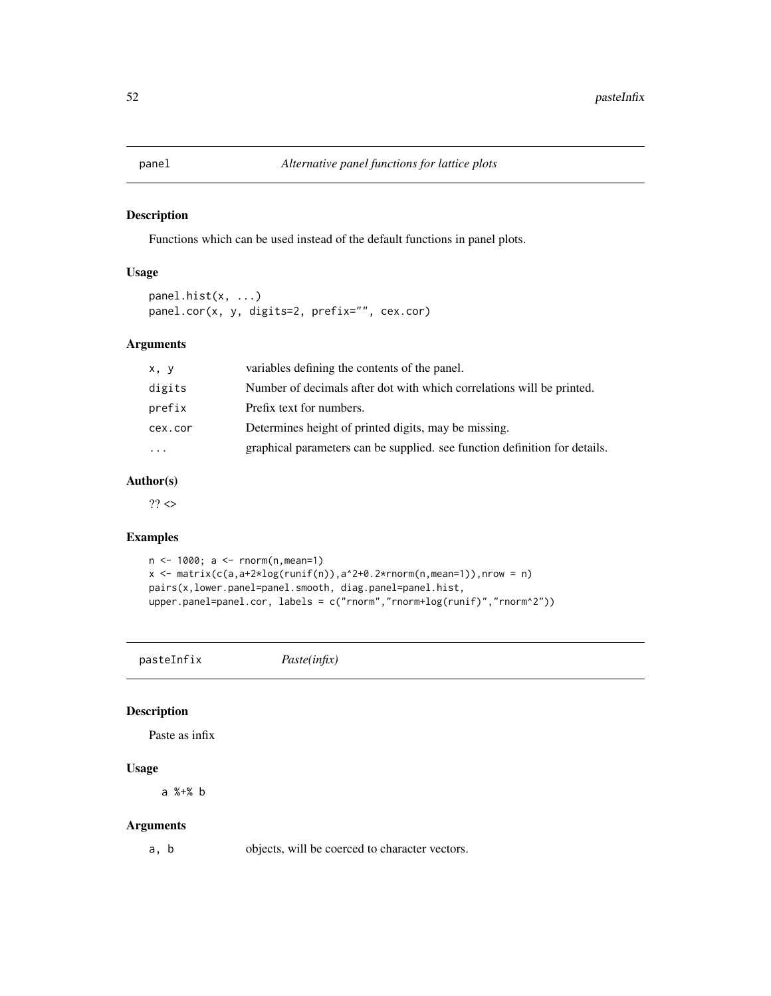Functions which can be used instead of the default functions in panel plots.

## Usage

```
panel.hist(x, ...)
panel.cor(x, y, digits=2, prefix="", cex.cor)
```
#### Arguments

| x, y      | variables defining the contents of the panel.                              |
|-----------|----------------------------------------------------------------------------|
| digits    | Number of decimals after dot with which correlations will be printed.      |
| prefix    | Prefix text for numbers.                                                   |
| cex.cor   | Determines height of printed digits, may be missing.                       |
| $\ddotsc$ | graphical parameters can be supplied, see function definition for details. |

### Author(s)

 $??$ 

### Examples

```
n <- 1000; a <- rnorm(n,mean=1)
x \leftarrow \text{matrix}(c(a,a+2 \times log(runif(n)),a^2+0.2 \times rnorm(n,mean=1)),nrow = n)pairs(x,lower.panel=panel.smooth, diag.panel=panel.hist,
upper.panel=panel.cor, labels = c("rnorm","rnorm+log(runif)","rnorm^2"))
```
pasteInfix *Paste(infix)*

## Description

Paste as infix

# Usage

a %+% b

### Arguments

a, b objects, will be coerced to character vectors.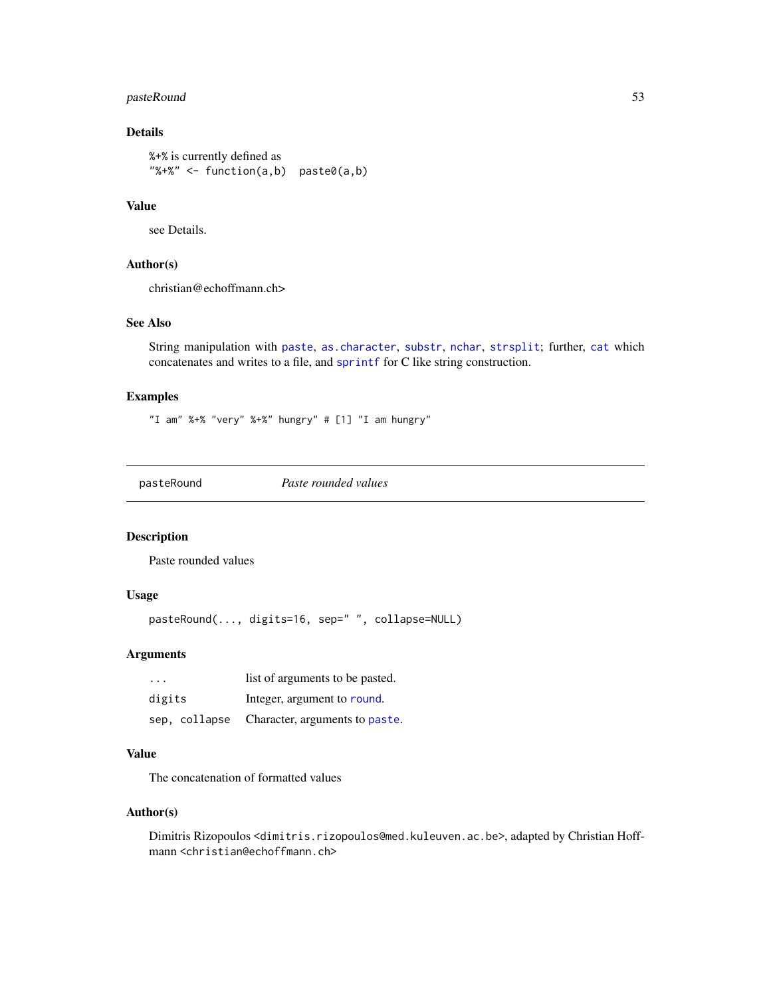## pasteRound 53

# Details

```
%+% is currently defined as
"%*%" < - function(a,b) paste0(a,b)
```
## Value

see Details.

#### Author(s)

christian@echoffmann.ch>

## See Also

String manipulation with [paste](#page-0-0), [as.character](#page-0-0), [substr](#page-0-0), [nchar](#page-0-0), [strsplit](#page-0-0); further, [cat](#page-0-0) which concatenates and writes to a file, and [sprintf](#page-0-0) for C like string construction.

## Examples

"I am" %+% "very" %+%" hungry" # [1] "I am hungry"

pasteRound *Paste rounded values*

### Description

Paste rounded values

## Usage

```
pasteRound(..., digits=16, sep=" ", collapse=NULL)
```
## Arguments

| $\cdot$ $\cdot$ $\cdot$ | list of arguments to be pasted.              |
|-------------------------|----------------------------------------------|
| digits                  | Integer, argument to round.                  |
|                         | sep, collapse Character, arguments to paste. |

## Value

The concatenation of formatted values

#### Author(s)

Dimitris Rizopoulos <dimitris.rizopoulos@med.kuleuven.ac.be>, adapted by Christian Hoffmann <christian@echoffmann.ch>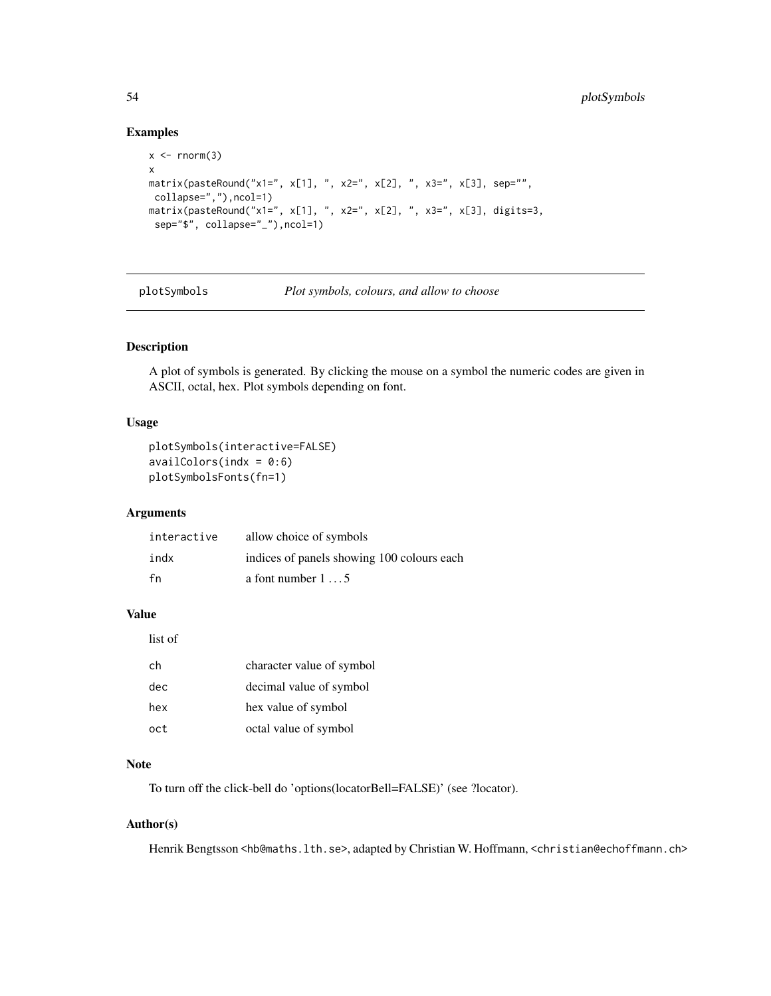### Examples

```
x \le - rnorm(3)
x
matrix(pasteRound("x1=", x[1], ", x2=", x[2], ", x3=", x[3], sep="",
collapse=","),ncol=1)
matrix(pasteRound("x1=", x[1], ", x2=", x[2], ", x3=", x[3], digits=3,
 sep="$", collapse="_"),ncol=1)
```
plotSymbols *Plot symbols, colours, and allow to choose*

## Description

A plot of symbols is generated. By clicking the mouse on a symbol the numeric codes are given in ASCII, octal, hex. Plot symbols depending on font.

## Usage

```
plotSymbols(interactive=FALSE)
availableors(int = 0:6)plotSymbolsFonts(fn=1)
```
## Arguments

| interactive | allow choice of symbols                    |
|-------------|--------------------------------------------|
| indx        | indices of panels showing 100 colours each |
| fn          | a font number $1 \ldots 5$                 |

## Value

list of

| ch  | character value of symbol |
|-----|---------------------------|
| dec | decimal value of symbol   |
| hex | hex value of symbol       |
| oct | octal value of symbol     |

## Note

To turn off the click-bell do 'options(locatorBell=FALSE)' (see ?locator).

## Author(s)

Henrik Bengtsson <hb@maths.lth.se>, adapted by Christian W. Hoffmann, <christian@echoffmann.ch>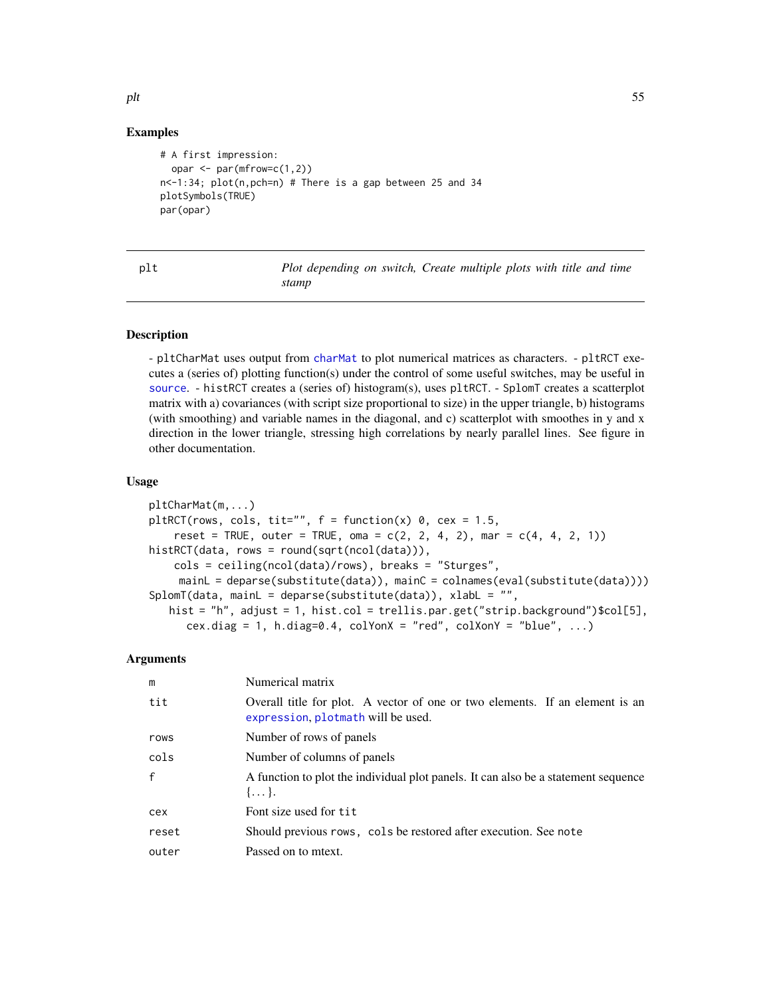### Examples

```
# A first impression:
  opar \leq par(mfrow=c(1,2))
n<-1:34; plot(n,pch=n) # There is a gap between 25 and 34
plotSymbols(TRUE)
par(opar)
```

| I<br>$\sim$ | $\sim$ |
|-------------|--------|

Plot depending on switch, Create multiple plots with title and time *stamp*

#### <span id="page-54-0"></span>Description

- pltCharMat uses output from [charMat](#page-45-1) to plot numerical matrices as characters. - pltRCT executes a (series of) plotting function(s) under the control of some useful switches, may be useful in [source](#page-0-0). - histRCT creates a (series of) histogram(s), uses pltRCT. - SplomT creates a scatterplot matrix with a) covariances (with script size proportional to size) in the upper triangle, b) histograms (with smoothing) and variable names in the diagonal, and c) scatterplot with smoothes in y and x direction in the lower triangle, stressing high correlations by nearly parallel lines. See figure in other documentation.

### Usage

```
pltCharMat(m,...)
pltRCT(rows, cols, tit="", f = function(x) 0, cex = 1.5,
    reset = TRUE, outer = TRUE, oma = c(2, 2, 4, 2), mar = c(4, 4, 2, 1))
histRCT(data, rows = round(sqrt(ncol(data))),
    cols = ceiling(ncol(data)/rows), breaks = "Sturges",
    mainL = deparse(substitute(data)), mainC = colnames(eval(substitute(data))))
SplomT(data, mainL = deparse(substitute(data)), xlabL = "",
   hist = "h", adjust = 1, hist.col = trellis.par.get("strip.background")$col[5],
     cex.diag = 1, h.diag=0.4, colYonX = "red", colXonY = "blue", ...)
```
#### Arguments

| m            | Numerical matrix                                                                                                   |
|--------------|--------------------------------------------------------------------------------------------------------------------|
| tit          | Overall title for plot. A vector of one or two elements. If an element is an<br>expression, plotmath will be used. |
| rows         | Number of rows of panels                                                                                           |
| cols         | Number of columns of panels                                                                                        |
| $\mathbf{f}$ | A function to plot the individual plot panels. It can also be a statement sequence<br>$\{\ldots\}.$                |
| cex          | Font size used for tit                                                                                             |
| reset        | Should previous rows, cols be restored after execution. See note                                                   |
| outer        | Passed on to meext.                                                                                                |

plt 55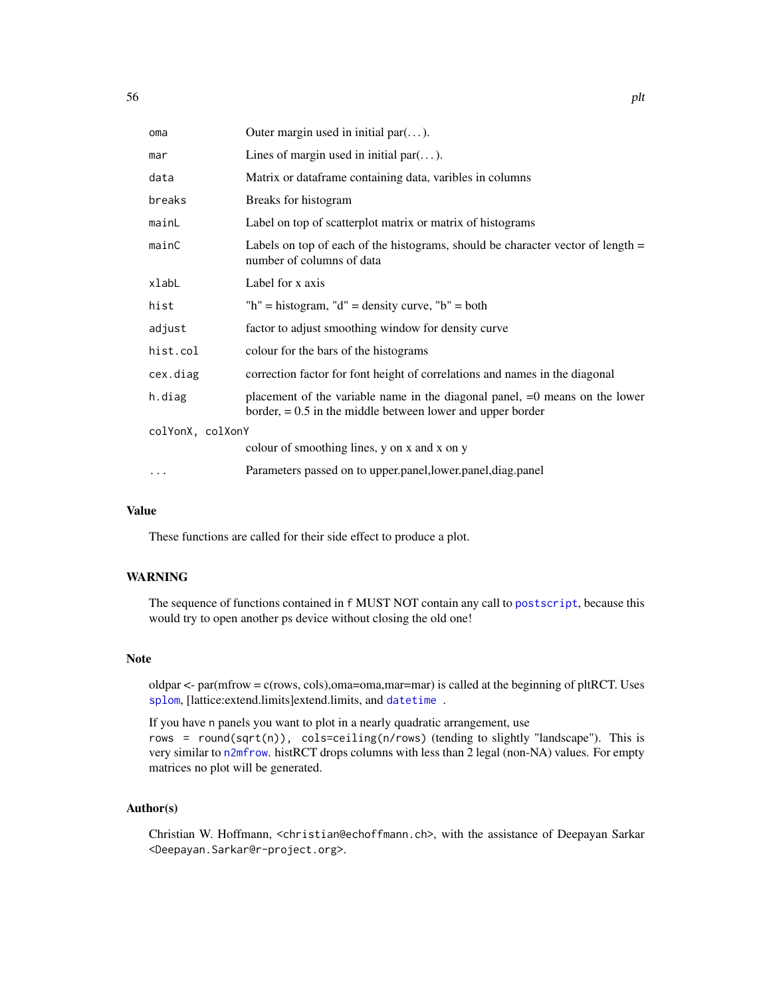| oma              | Outer margin used in initial par $(\dots)$ .                                                                                                  |  |
|------------------|-----------------------------------------------------------------------------------------------------------------------------------------------|--|
| mar              | Lines of margin used in initial par $(\dots)$ .                                                                                               |  |
| data             | Matrix or dataframe containing data, varibles in columns                                                                                      |  |
| breaks           | Breaks for histogram                                                                                                                          |  |
| mainL            | Label on top of scatterplot matrix or matrix of histograms                                                                                    |  |
| mainC            | Labels on top of each of the histograms, should be character vector of length $=$<br>number of columns of data                                |  |
| xlabL            | Label for x axis                                                                                                                              |  |
| hist             | "h" = histogram, "d" = density curve, "b" = both                                                                                              |  |
| adjust           | factor to adjust smoothing window for density curve                                                                                           |  |
| hist.col         | colour for the bars of the histograms                                                                                                         |  |
| cex.diag         | correction factor for font height of correlations and names in the diagonal                                                                   |  |
| h.diag           | placement of the variable name in the diagonal panel, $=0$ means on the lower<br>border, $= 0.5$ in the middle between lower and upper border |  |
| colYonX, colXonY |                                                                                                                                               |  |
|                  | colour of smoothing lines, y on x and x on y                                                                                                  |  |
| $\cdots$         | Parameters passed on to upper.panel, lower.panel, diag.panel                                                                                  |  |

## Value

These functions are called for their side effect to produce a plot.

## **WARNING**

The sequence of functions contained in f MUST NOT contain any call to [postscript](#page-0-0), because this would try to open another ps device without closing the old one!

#### Note

oldpar  $\lt$ - par(mfrow = c(rows, cols), oma=oma,mar=mar) is called at the beginning of pltRCT. Uses [splom](#page-0-0), [lattice:extend.limits]extend.limits, and [datetime](#page-14-0) .

If you have n panels you want to plot in a nearly quadratic arrangement, use rows = round(sqrt(n)), cols=ceiling(n/rows) (tending to slightly "landscape"). This is very similar to [n2mfrow](#page-0-0). histRCT drops columns with less than 2 legal (non-NA) values. For empty matrices no plot will be generated.

## Author(s)

Christian W. Hoffmann, <christian@echoffmann.ch>, with the assistance of Deepayan Sarkar <Deepayan.Sarkar@r-project.org>.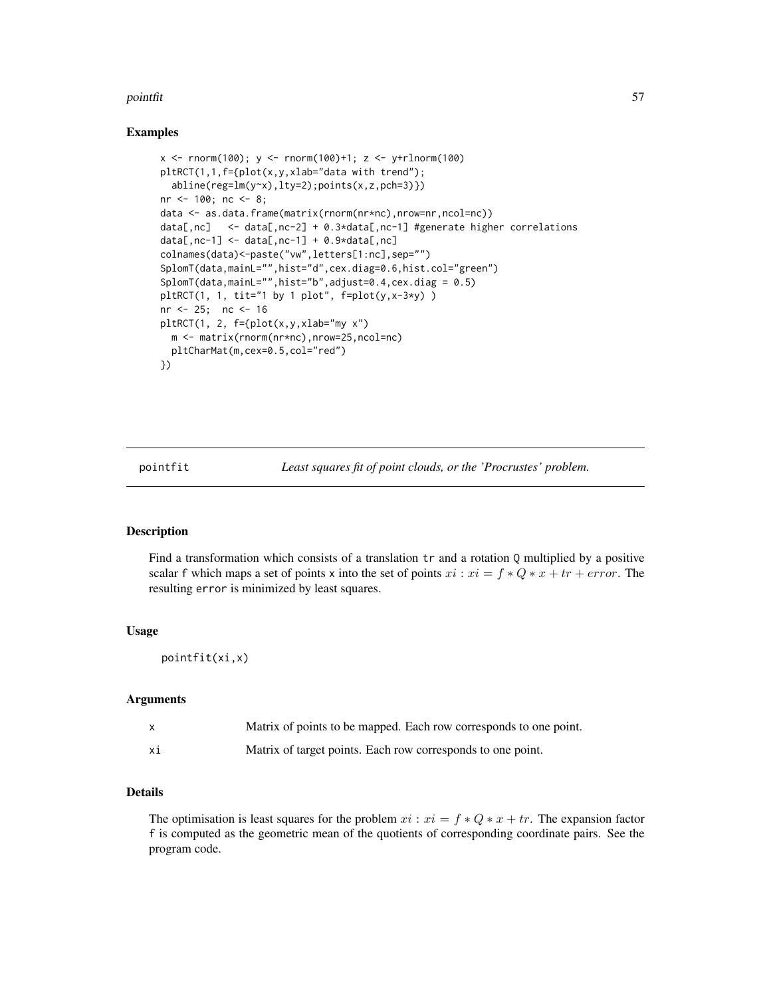#### pointfit 57

#### Examples

```
x <- rnorm(100); y <- rnorm(100)+1; z <- y+rlnorm(100)
pltRCT(1,1,f={plot(x,y,xlab="data with trend");
  abline(reg=lm(y~x),lty=2);points(x,z,pch=3)})
nr <- 100; nc <- 8;
data <- as.data.frame(matrix(rnorm(nr*nc),nrow=nr,ncol=nc))
data[,nc] <- data[,nc-2] + 0.3*data[,nc-1] #generate higher correlations
data[,nc-1] \le data[,nc-1] + 0.9*data[,nc]
colnames(data)<-paste("vw",letters[1:nc],sep="")
SplomT(data,mainL="",hist="d",cex.diag=0.6,hist.col="green")
SplomT(data,mainL="",hist="b",adjust=0.4,cex.diag = 0.5)
pltRCT(1, 1, tit='1 by 1 plot", f=plot(y, x-3*y))nr <- 25; nc <- 16
pltRCT(1, 2, f={plot(x,y,xlab="my x")
 m <- matrix(rnorm(nr*nc),nrow=25,ncol=nc)
  pltCharMat(m,cex=0.5,col="red")
})
```
pointfit *Least squares fit of point clouds, or the 'Procrustes' problem.*

## Description

Find a transformation which consists of a translation tr and a rotation Q multiplied by a positive scalar f which maps a set of points x into the set of points  $xi : xi = f * Q * x + tr + error$ . The resulting error is minimized by least squares.

#### Usage

pointfit(xi,x)

#### Arguments

|    | Matrix of points to be mapped. Each row corresponds to one point. |
|----|-------------------------------------------------------------------|
| хi | Matrix of target points. Each row corresponds to one point.       |

## Details

The optimisation is least squares for the problem  $xi : xi = f * Q * x + tr$ . The expansion factor f is computed as the geometric mean of the quotients of corresponding coordinate pairs. See the program code.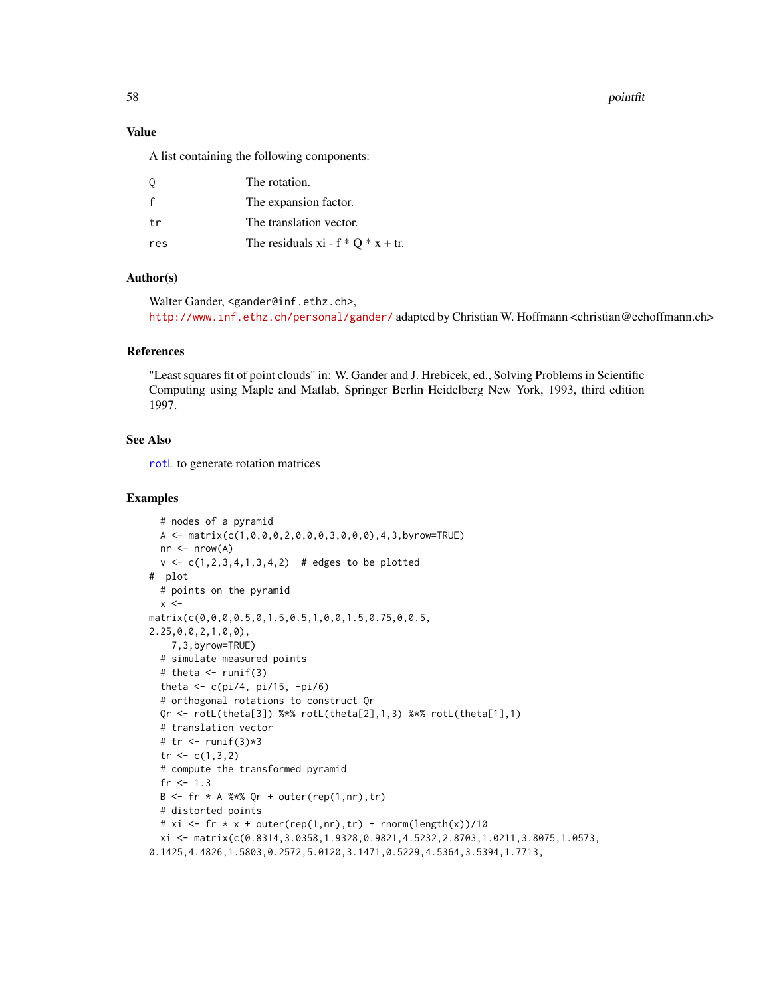58 pointfit and the set of the set of the set of the set of the set of the set of the set of the set of the set of the set of the set of the set of the set of the set of the set of the set of the set of the set of the set

## Value

A list containing the following components:

| 0            | The rotation.                         |
|--------------|---------------------------------------|
| $\mathsf{f}$ | The expansion factor.                 |
| t.r          | The translation vector.               |
| res          | The residuals xi - $f * Q * x + tr$ . |

### Author(s)

Walter Gander, <gander@inf.ethz.ch>, <http://www.inf.ethz.ch/personal/gander/> adapted by Christian W. Hoffmann <christian@echoffmann.ch>

#### References

"Least squares fit of point clouds" in: W. Gander and J. Hrebicek, ed., Solving Problems in Scientific Computing using Maple and Matlab, Springer Berlin Heidelberg New York, 1993, third edition 1997.

#### See Also

[rotL](#page-9-0) to generate rotation matrices

```
# nodes of a pyramid
 A <- matrix(c(1,0,0,0,2,0,0,0,3,0,0,0),4,3,byrow=TRUE)
 nr < - nrow(A)v \leq c(1, 2, 3, 4, 1, 3, 4, 2) # edges to be plotted
# plot
 # points on the pyramid
 x < -matrix(c(0,0,0,0.5,0,1.5,0.5,1,0,0,1.5,0.75,0,0.5,
2.25,0,0,2,1,0,0),
   7,3,byrow=TRUE)
 # simulate measured points
 # theta \le runif(3)
 theta \leftarrow c(pi/4, pi/15, -pi/6)
 # orthogonal rotations to construct Qr
 Qr <- rotL(theta[3]) %*% rotL(theta[2],1,3) %*% rotL(theta[1],1)
 # translation vector
 # tr < -runif(3) *3tr < -c(1,3,2)# compute the transformed pyramid
 fr <-1.3B \leftarrow fr * A %* Qr + outer(rep(1,nr),tr)
 # distorted points
 # xi <- fr * x + outer(rep(1,nr),tr) + rnorm(length(x))/10
 xi <- matrix(c(0.8314,3.0358,1.9328,0.9821,4.5232,2.8703,1.0211,3.8075,1.0573,
0.1425,4.4826,1.5803,0.2572,5.0120,3.1471,0.5229,4.5364,3.5394,1.7713,
```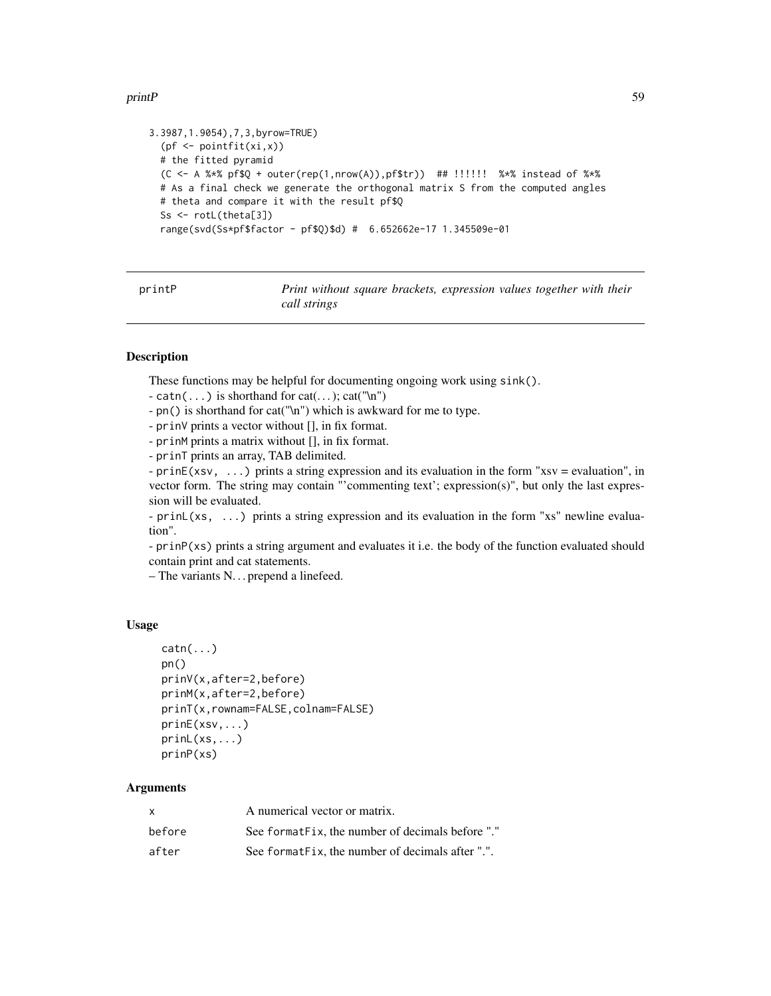#### printP 59

```
3.3987,1.9054),7,3,byrow=TRUE)
  (pf \leftarrow pointfit(xi, x))# the fitted pyramid
 (C <- A %*% pf$Q + outer(rep(1,nrow(A)),pf$tr)) ## !!!!!! %*% instead of %*%
 # As a final check we generate the orthogonal matrix S from the computed angles
 # theta and compare it with the result pf$Q
 Ss <- rotL(theta[3])
 range(svd(Ss*pf$factor - pf$Q)$d) # 6.652662e-17 1.345509e-01
```

|    |   |   | Ť |  |
|----|---|---|---|--|
| ۱r | L | n |   |  |
|    |   |   |   |  |
|    |   |   |   |  |
|    |   |   |   |  |

Print without square brackets, expression values together with their *call strings*

### Description

These functions may be helpful for documenting ongoing work using sink().

- catn(...) is shorthand for cat(...); cat("\n")
- pn() is shorthand for cat("\n") which is awkward for me to type.
- prinV prints a vector without [], in fix format.
- prinM prints a matrix without [], in fix format.
- prinT prints an array, TAB delimited.
- prinE(xsv, ...) prints a string expression and its evaluation in the form "xsv = evaluation", in vector form. The string may contain "'commenting text'; expression(s)", but only the last expression will be evaluated.

- prinL(xs, ...) prints a string expression and its evaluation in the form "xs" newline evaluation".

- prinP(xs) prints a string argument and evaluates it i.e. the body of the function evaluated should contain print and cat statements.

– The variants N. . . prepend a linefeed.

#### Usage

```
\text{catn}(\ldots)pn()
prinV(x,after=2,before)
prinM(x,after=2,before)
prinT(x,rownam=FALSE,colnam=FALSE)
prinE(xsv,...)
prinL(xs,...)
prinP(xs)
```
### **Arguments**

| X      | A numerical vector or matrix.                    |
|--------|--------------------------------------------------|
| before | See formatFix, the number of decimals before "." |
| after  | See formatFix, the number of decimals after ".". |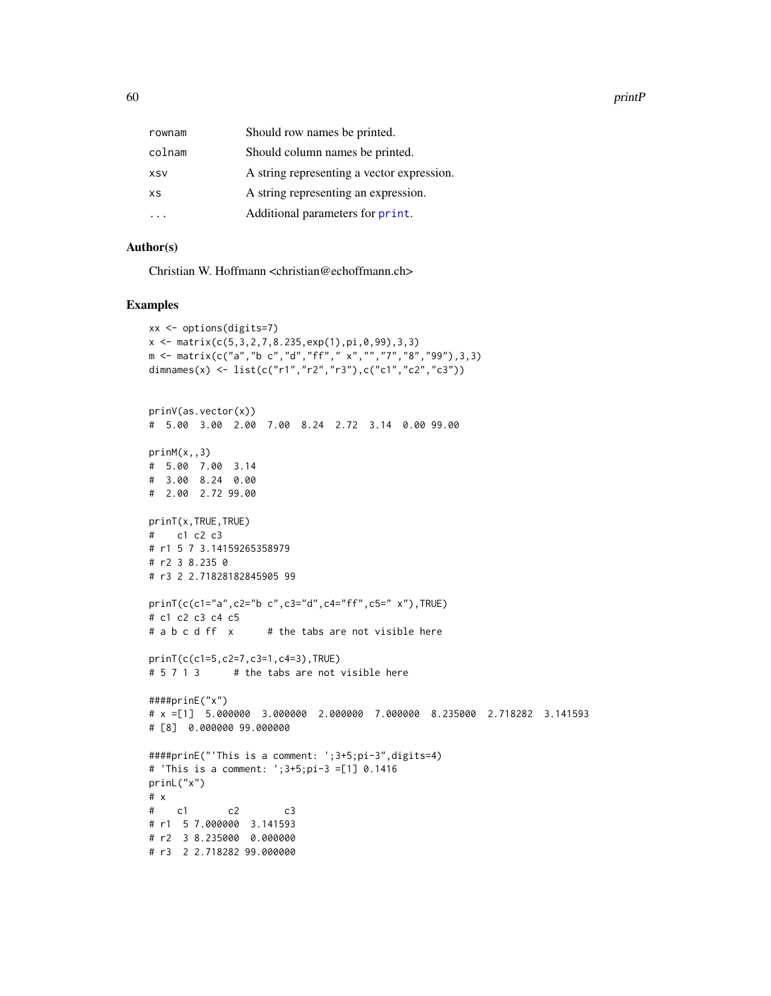60 printP

| rownam     | Should row names be printed.               |
|------------|--------------------------------------------|
| colnam     | Should column names be printed.            |
| <b>XSV</b> | A string representing a vector expression. |
| <b>XS</b>  | A string representing an expression.       |
|            | Additional parameters for print.           |
|            |                                            |

## Author(s)

Christian W. Hoffmann <christian@echoffmann.ch>

```
xx <- options(digits=7)
x \leq - matrix(c(5,3,2,7,8.235,exp(1),pi,0,99),3,3)
m \leq matrix(c("a","b c","d","ff"," x","","7","8","99"),3,3)
dimnames(x) <- list(c("r1","r2","r3"),c("c1","c2","c3"))
prinV(as.vector(x))
# 5.00 3.00 2.00 7.00 8.24 2.72 3.14 0.00 99.00
prinM(x,,3)
# 5.00 7.00 3.14
# 3.00 8.24 0.00
# 2.00 2.72 99.00
prinT(x,TRUE,TRUE)
# c1 c2 c3
# r1 5 7 3.14159265358979
# r2 3 8.235 0
# r3 2 2.71828182845905 99
prinT(c(c1="a",c2="b c",c3="d",c4="ff",c5=" x"),TRUE)
# c1 c2 c3 c4 c5
# a b c d ff x # the tabs are not visible here
prinT(c(c1=5,c2=7,c3=1,c4=3),TRUE)
# 5 7 1 3 # the tabs are not visible here
####prinE("x")
# x =[1] 5.000000 3.000000 2.000000 7.000000 8.235000 2.718282 3.141593
# [8] 0.000000 99.000000
####prinE("'This is a comment: ';3+5;pi-3",digits=4)
# 'This is a comment: ';3+5;pi-3 =[1] 0.1416
prinL("x")
# x
# c1 c2 c3
# r1 5 7.000000 3.141593
# r2 3 8.235000 0.000000
# r3 2 2.718282 99.000000
```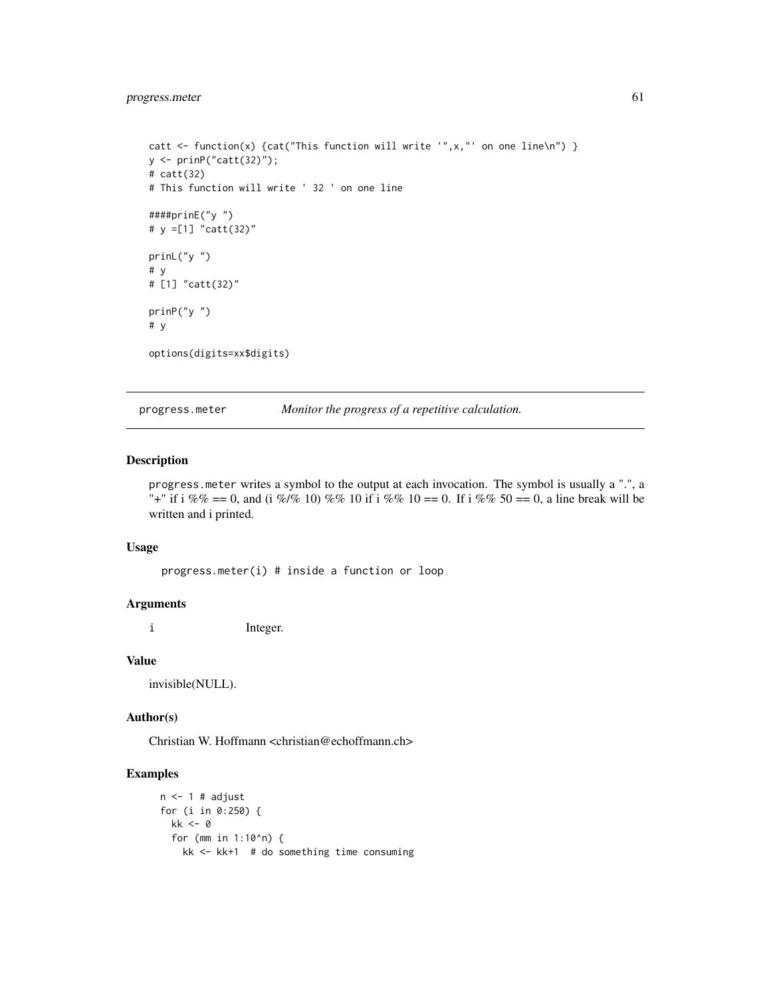```
catt <- function(x) {cat("This function will write '",x,"' on one line\n") }
y <- prinP("catt(32)");
# catt(32)
# This function will write ' 32 ' on one line
####prinE("y ")
# y =[1] "catt(32)"
prinL("y ")
# y
# [1] "catt(32)"
prinP("y ")
# y
options(digits=xx$digits)
```
progress.meter *Monitor the progress of a repetitive calculation.*

#### Description

progress.meter writes a symbol to the output at each invocation. The symbol is usually a ".", a "+" if i %% == 0, and (i %/% 10) %% 10 if i %% 10 == 0. If i %% 50 == 0, a line break will be written and i printed.

#### Usage

progress.meter(i) # inside a function or loop

#### Arguments

i Integer.

#### Value

invisible(NULL).

#### Author(s)

Christian W. Hoffmann <christian@echoffmann.ch>

```
n \leq 1 # adjust
for (i in 0:250) {
 kk < -0for (mm in 1:10^n) {
   kk <- kk+1 # do something time consuming
```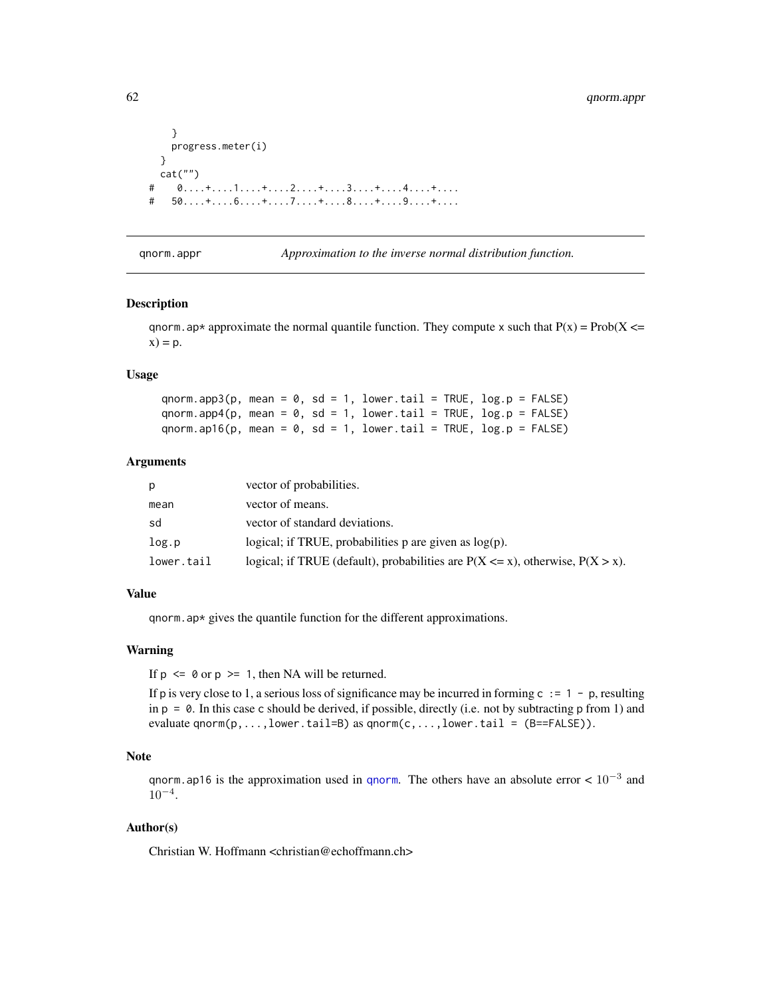```
}
   progress.meter(i)
 }
 cat("")
\# 0....+....1....+....2....+....3....+....4....+....
\# 50....+....6....+....7....+....8....+.....9....+....
```
qnorm.appr *Approximation to the inverse normal distribution function.*

#### Description

qnorm.ap\* approximate the normal quantile function. They compute x such that  $P(x) = Prob(X \leq$  $x) = p.$ 

#### Usage

 $qnorm.append(p, mean = 0, sd = 1, lower.tail = TRUE, log.p = FALSE)$ qnorm.app4(p, mean =  $0$ , sd = 1, lower.tail = TRUE, log.p = FALSE) qnorm.ap16(p, mean =  $0$ , sd = 1, lower.tail = TRUE, log.p = FALSE)

#### Arguments

| р          | vector of probabilities.                                                             |
|------------|--------------------------------------------------------------------------------------|
| mean       | vector of means.                                                                     |
| sd         | vector of standard deviations.                                                       |
| log.p      | logical; if TRUE, probabilities p are given as $log(p)$ .                            |
| lower.tail | logical; if TRUE (default), probabilities are $P(X \le x)$ , otherwise, $P(X > x)$ . |

### Value

qnorm.ap\* gives the quantile function for the different approximations.

#### Warning

If  $p \leq \theta$  or  $p \geq 1$ , then NA will be returned.

If p is very close to 1, a serious loss of significance may be incurred in forming  $c := 1 - p$ , resulting in  $p = 0$ . In this case c should be derived, if possible, directly (i.e. not by subtracting p from 1) and evaluate  $qnorm(p,...,lower.tail=B)$  as  $qnorm(c,...,lower.tail = (B==FALSE)).$ 

### Note

[qnorm](#page-0-0).ap16 is the approximation used in qnorm. The others have an absolute error  $< 10^{-3}$  and 10<sup>−</sup><sup>4</sup> .

#### Author(s)

Christian W. Hoffmann <christian@echoffmann.ch>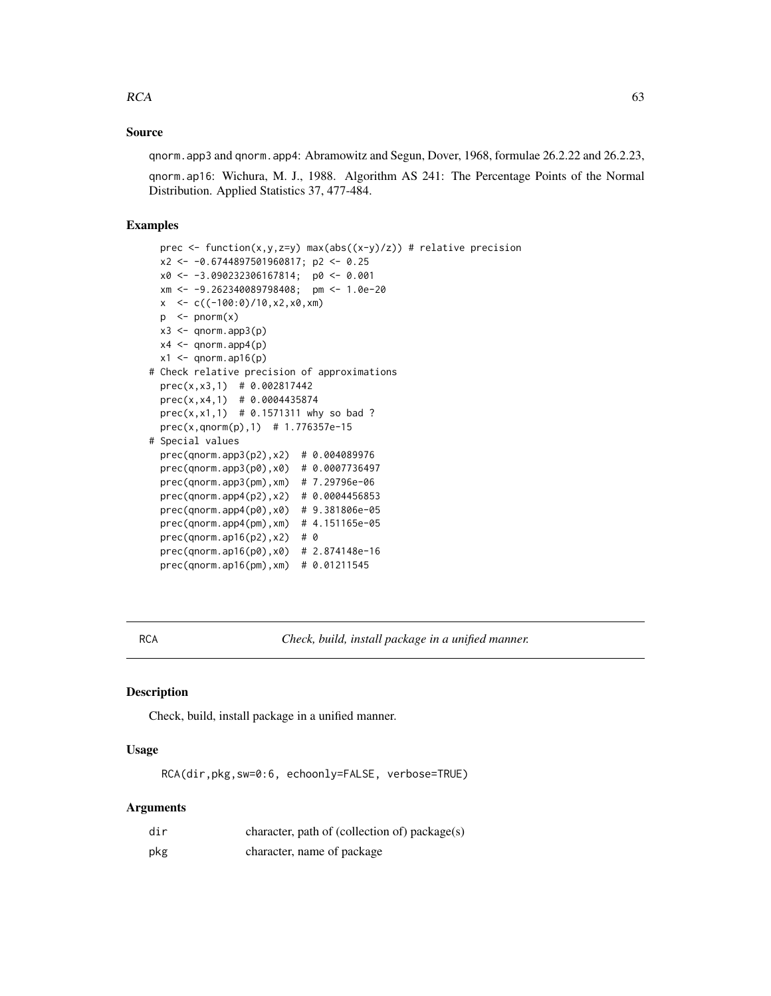## Source

qnorm.app3 and qnorm.app4: Abramowitz and Segun, Dover, 1968, formulae 26.2.22 and 26.2.23,

qnorm.ap16: Wichura, M. J., 1988. Algorithm AS 241: The Percentage Points of the Normal Distribution. Applied Statistics 37, 477-484.

## Examples

```
prec \le function(x,y,z=y) max(abs((x-y)/z)) # relative precision
 x2 <- -0.6744897501960817; p2 <- 0.25
 x0 <- -3.090232306167814; p0 <- 0.001
 xm <- -9.262340089798408; pm <- 1.0e-20
 x < -c((-100:0)/10, x2, x0, xm)p \le -pnorm(x)x3 \leftarrow qnorm.append(p)x4 \le qnorm.app4(p)
 x1 \leftarrow qnorm(ap16(p)# Check relative precision of approximations
 prec(x,x3,1) # 0.002817442
 prec(x,x4,1) # 0.0004435874
 prec(x, x1, 1) # 0.1571311 why so bad ?
 prec(x,qnorm(p),1) # 1.776357e-15
# Special values
 prec(qnorm.app3(p2),x2) # 0.004089976
 prec(qnorm.app3(p0),x0) # 0.0007736497
 prec(qnorm.app3(pm),xm) # 7.29796e-06
 prec(qnorm.app4(p2),x2) # 0.0004456853
 prec(qnorm.app4(p0),x0) # 9.381806e-05
 prec(qnorm.app4(pm),xm) # 4.151165e-05
 prec(qnorm.ap16(p2),x2) # 0
 prec(qnorm.ap16(p0),x0) # 2.874148e-16
 prec(qnorm.ap16(pm),xm) # 0.01211545
```
RCA *Check, build, install package in a unified manner.*

### Description

Check, build, install package in a unified manner.

#### Usage

RCA(dir,pkg,sw=0:6, echoonly=FALSE, verbose=TRUE)

## Arguments

| dir | character, path of (collection of) package(s) |
|-----|-----------------------------------------------|
| pkg | character, name of package                    |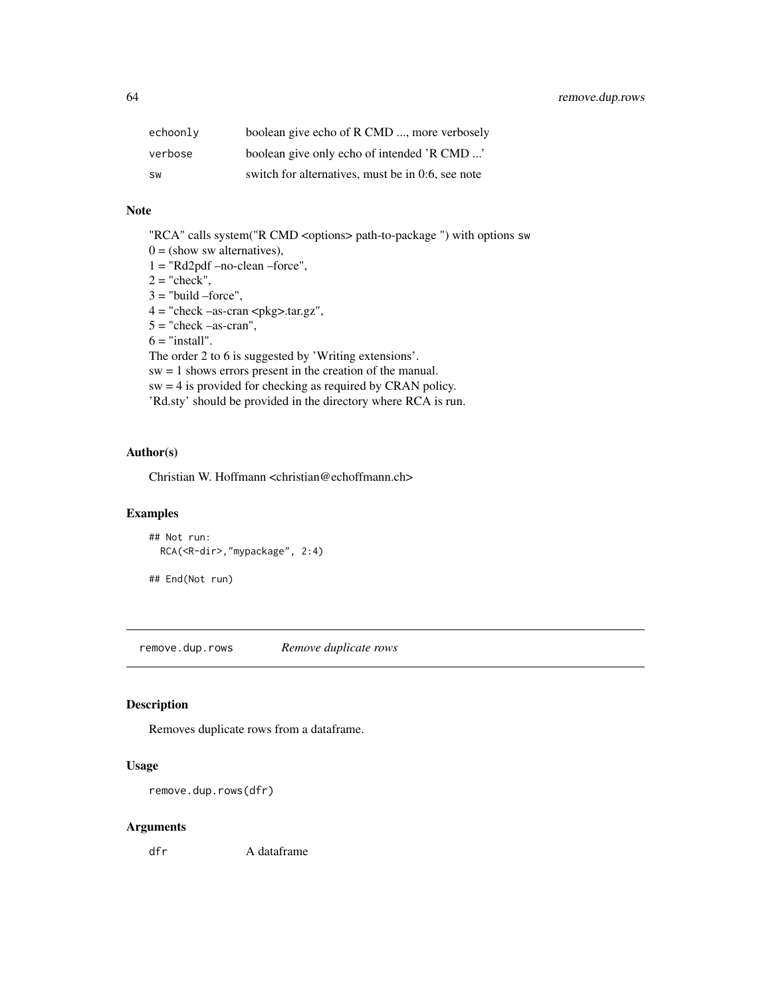| echoonly  | boolean give echo of R CMD , more verbosely       |
|-----------|---------------------------------------------------|
| verbose   | boolean give only echo of intended 'R CMD '       |
| <b>SW</b> | switch for alternatives, must be in 0.6, see note |

## Note

"RCA" calls system("R CMD <options> path-to-package ") with options sw

 $0 =$  (show sw alternatives),

 $1 = "Rd2pdf -no-clean -force",$ 

 $2 = "check",$ 

 $3 =$  "build –force",

 $4 =$  "check  $-$ as-cran  $\langle$ pkg>.tar.gz",

 $5 =$  "check  $-$ as-cran",

 $6 =$  "install".

The order 2 to 6 is suggested by 'Writing extensions'.

sw = 1 shows errors present in the creation of the manual.

sw = 4 is provided for checking as required by CRAN policy.

'Rd.sty' should be provided in the directory where RCA is run.

### Author(s)

Christian W. Hoffmann <christian@echoffmann.ch>

### Examples

```
## Not run:
 RCA(<R-dir>,"mypackage", 2:4)
## End(Not run)
```
remove.dup.rows *Remove duplicate rows*

#### Description

Removes duplicate rows from a dataframe.

#### Usage

remove.dup.rows(dfr)

#### Arguments

dfr A dataframe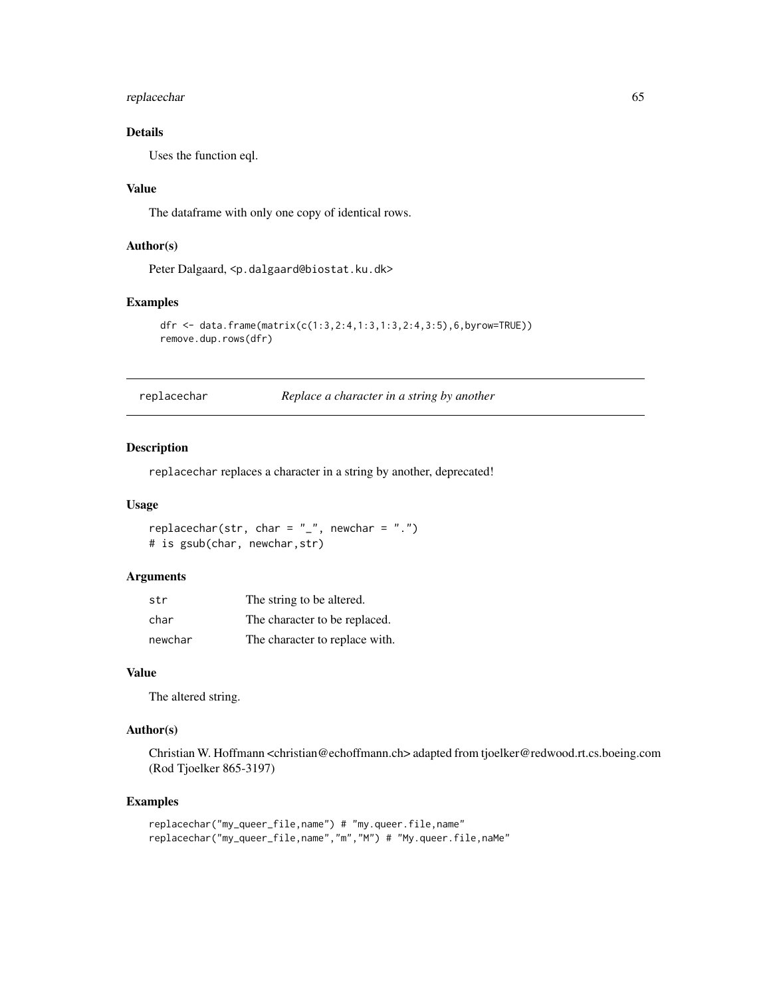## replacechar 65

# Details

Uses the function eql.

#### Value

The dataframe with only one copy of identical rows.

### Author(s)

Peter Dalgaard, <p.dalgaard@biostat.ku.dk>

#### Examples

```
dfr <- data.frame(matrix(c(1:3,2:4,1:3,1:3,2:4,3:5),6,byrow=TRUE))
remove.dup.rows(dfr)
```
replacechar *Replace a character in a string by another*

#### Description

replacechar replaces a character in a string by another, deprecated!

### Usage

```
replacechar(str, char = "_", newchar = ".")
# is gsub(char, newchar,str)
```
#### Arguments

| str     | The string to be altered.      |
|---------|--------------------------------|
| char    | The character to be replaced.  |
| newchar | The character to replace with. |

#### Value

The altered string.

#### Author(s)

Christian W. Hoffmann <christian@echoffmann.ch> adapted from tjoelker@redwood.rt.cs.boeing.com (Rod Tjoelker 865-3197)

```
replacechar("my_queer_file,name") # "my.queer.file,name"
replacechar("my_queer_file,name","m","M") # "My.queer.file,naMe"
```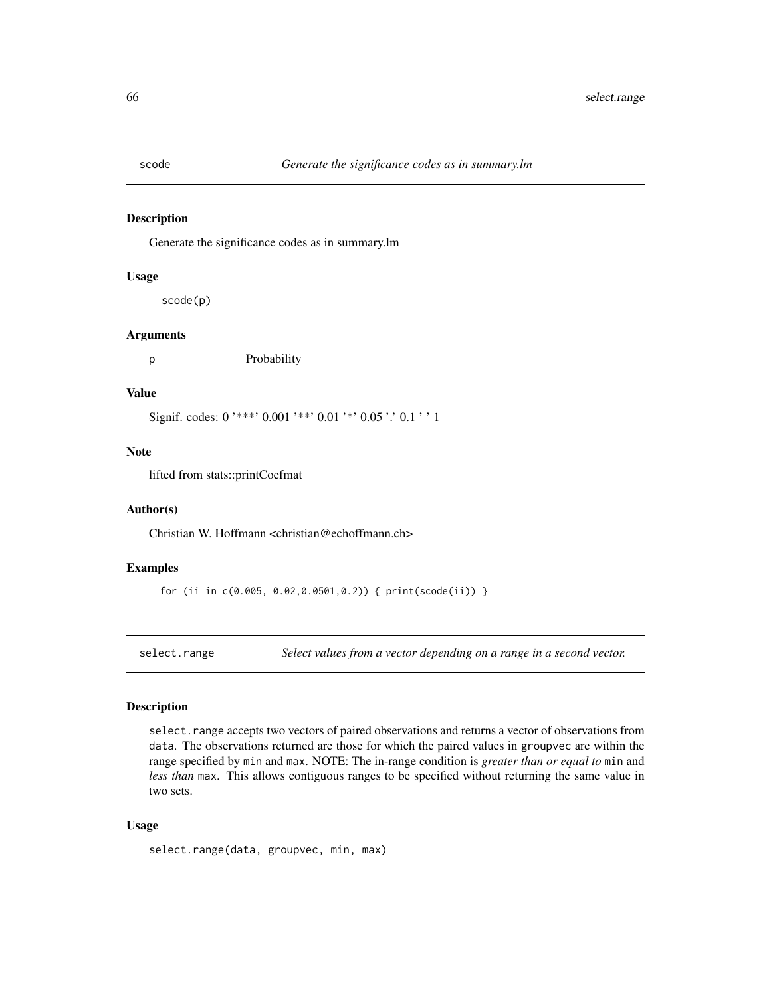Generate the significance codes as in summary.lm

### Usage

scode(p)

#### Arguments

p Probability

#### Value

Signif. codes: 0 '\*\*\*' 0.001 '\*\*' 0.01 '\*' 0.05 '.' 0.1 ' ' 1

#### Note

lifted from stats::printCoefmat

#### Author(s)

Christian W. Hoffmann <christian@echoffmann.ch>

## Examples

for (ii in c(0.005, 0.02,0.0501,0.2)) { print(scode(ii)) }

select.range *Select values from a vector depending on a range in a second vector.*

#### Description

select. range accepts two vectors of paired observations and returns a vector of observations from data. The observations returned are those for which the paired values in groupvec are within the range specified by min and max. NOTE: The in-range condition is *greater than or equal to* min and *less than* max. This allows contiguous ranges to be specified without returning the same value in two sets.

## Usage

```
select.range(data, groupvec, min, max)
```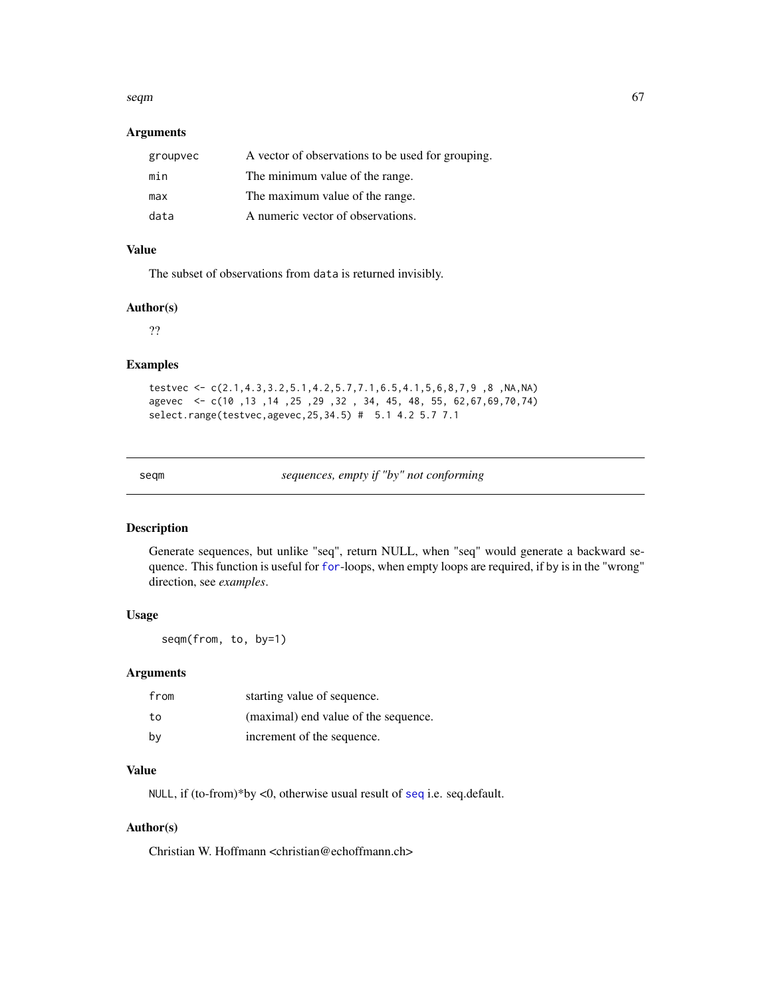#### seqm and the contract of the contract of the contract of the contract of the contract of the contract of the contract of the contract of the contract of the contract of the contract of the contract of the contract of the c

## Arguments

| groupvec | A vector of observations to be used for grouping. |
|----------|---------------------------------------------------|
| min      | The minimum value of the range.                   |
| max      | The maximum value of the range.                   |
| data     | A numeric vector of observations.                 |

## Value

The subset of observations from data is returned invisibly.

### Author(s)

??

# Examples

```
testvec <- c(2.1,4.3,3.2,5.1,4.2,5.7,7.1,6.5,4.1,5,6,8,7,9 ,8 ,NA,NA)
agevec <- c(10 ,13 ,14 ,25 ,29 ,32 , 34, 45, 48, 55, 62,67,69,70,74)
select.range(testvec,agevec,25,34.5) # 5.1 4.2 5.7 7.1
```

| $\sim$<br>$\sim$ |  |
|------------------|--|
|------------------|--|

sequences, empty if "by" not conforming

## Description

Generate sequences, but unlike "seq", return NULL, when "seq" would generate a backward sequence. This function is useful for [for](#page-0-0)-loops, when empty loops are required, if by is in the "wrong" direction, see *examples*.

## Usage

seqm(from, to, by=1)

## Arguments

| from | starting value of sequence.          |
|------|--------------------------------------|
| to   | (maximal) end value of the sequence. |
| bv   | increment of the sequence.           |

#### Value

NULL, if (to-from)\*by <0, otherwise usual result of [seq](#page-0-0) i.e. seq.default.

## Author(s)

Christian W. Hoffmann <christian@echoffmann.ch>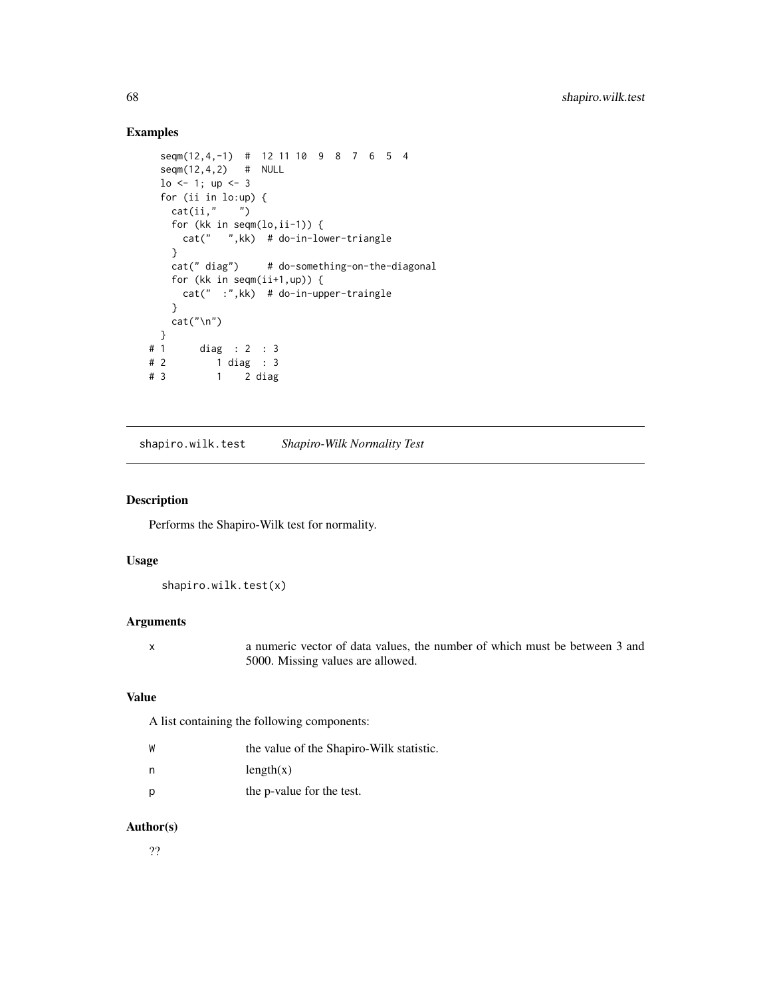## Examples

```
seqm(12,4,-1) # 12 11 10 9 8 7 6 5 4
 seqm(12,4,2) # NULL
 lo \le -1; up \le -3for (ii in lo:up) {
   cat(ii," ")
   for (kk in seqm(lo,ii-1)) {
    cat(" ",kk) # do-in-lower-triangle
   }
   cat(" diag") # do-something-on-the-diagonal
   for (kk in seqm(ii+1,up)) {
    cat(" :",kk) # do-in-upper-traingle
   }
   cat("\n'\n')}
# 1 diag : 2 : 3
# 2 1 diag : 3
# 3 1 2 diag
```
shapiro.wilk.test *Shapiro-Wilk Normality Test*

#### Description

Performs the Shapiro-Wilk test for normality.

## Usage

shapiro.wilk.test(x)

### Arguments

x a numeric vector of data values, the number of which must be between 3 and 5000. Missing values are allowed.

## Value

A list containing the following components:

| W | the value of the Shapiro-Wilk statistic. |
|---|------------------------------------------|
| n | length(x)                                |
| Ŋ | the p-value for the test.                |

### Author(s)

??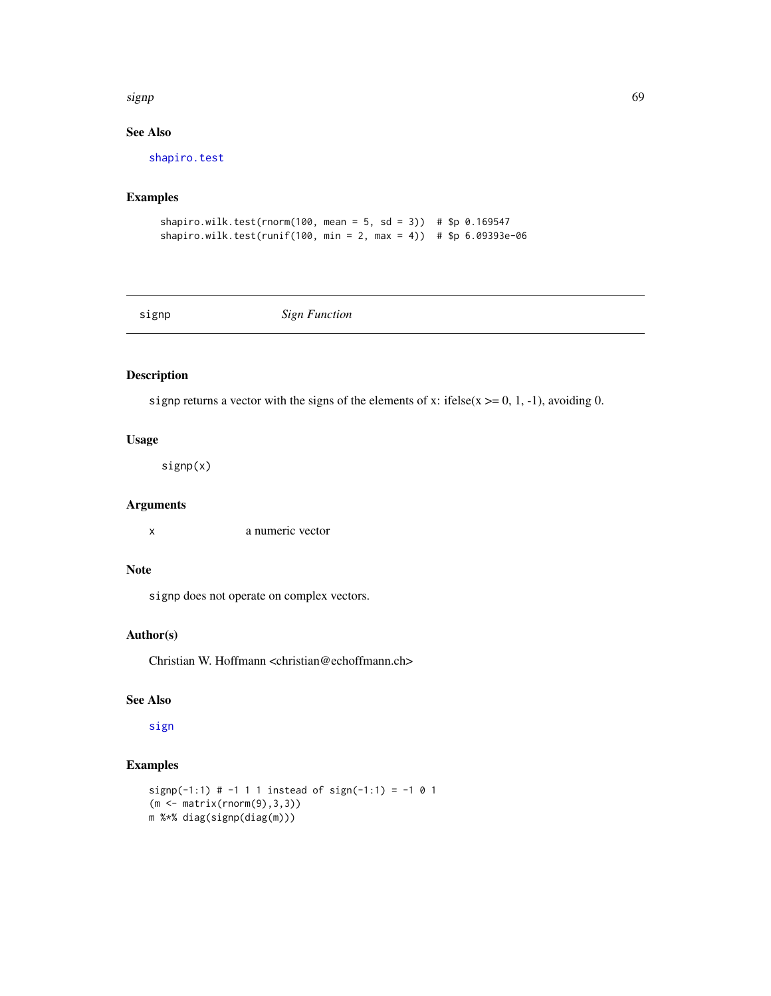#### signp 69 and 50 km signals and 50 km signals and 50 km signals and 50 km signals and 50 km signals and 50 km signals and 50 km signals and 50 km signals and 50 km signals and 50 km signals and 50 km signals and 50 km signa

# See Also

[shapiro.test](#page-0-0)

## Examples

```
shapiro.wilk.test(rnorm(100, mean = 5, sd = 3)) # $p 0.169547
shapiro.wilk.test(runif(100, min = 2, max = 4)) # $p 6.09393e-06
```
signp *Sign Function*

### Description

signp returns a vector with the signs of the elements of x: ifelse( $x \ge 0$ , 1, -1), avoiding 0.

## Usage

signp(x)

### Arguments

x a numeric vector

# Note

signp does not operate on complex vectors.

## Author(s)

Christian W. Hoffmann <christian@echoffmann.ch>

# See Also

[sign](#page-0-0)

```
signp(-1:1) # -1 1 1 instead of sign(-1:1) = -1 0 1
(m <- matrix(rnorm(9),3,3))
m %*% diag(signp(diag(m)))
```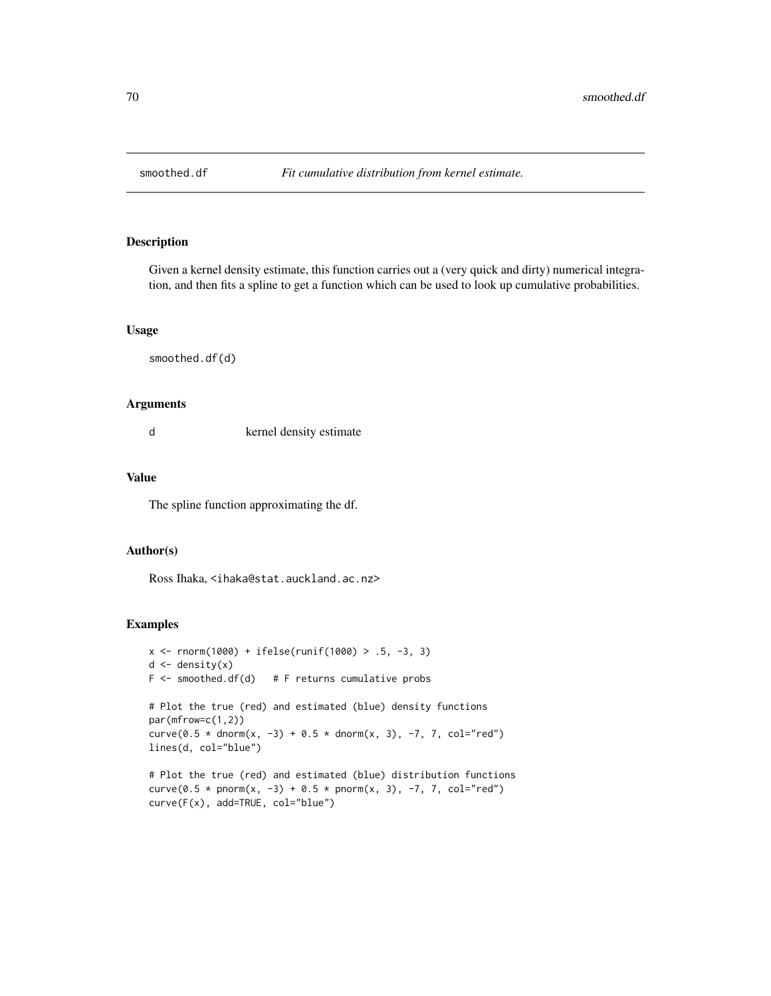Given a kernel density estimate, this function carries out a (very quick and dirty) numerical integration, and then fits a spline to get a function which can be used to look up cumulative probabilities.

### Usage

smoothed.df(d)

#### Arguments

d kernel density estimate

### Value

The spline function approximating the df.

#### Author(s)

Ross Ihaka, <ihaka@stat.auckland.ac.nz>

```
x \le rnorm(1000) + ifelse(runif(1000) > .5, -3, 3)
d \leftarrow density(x)F \leq - smoothed.df(d) # F returns cumulative probs
# Plot the true (red) and estimated (blue) density functions
par(mfrow=c(1,2))
curve(0.5 * dnorm(x, -3) + 0.5 * dnorm(x, 3), -7, 7, col="red")
lines(d, col="blue")
# Plot the true (red) and estimated (blue) distribution functions
curve(0.5 * pnorm(x, -3) + 0.5 * pnorm(x, 3), -7, 7, col="red")
curve(F(x), add=TRUE, col="blue")
```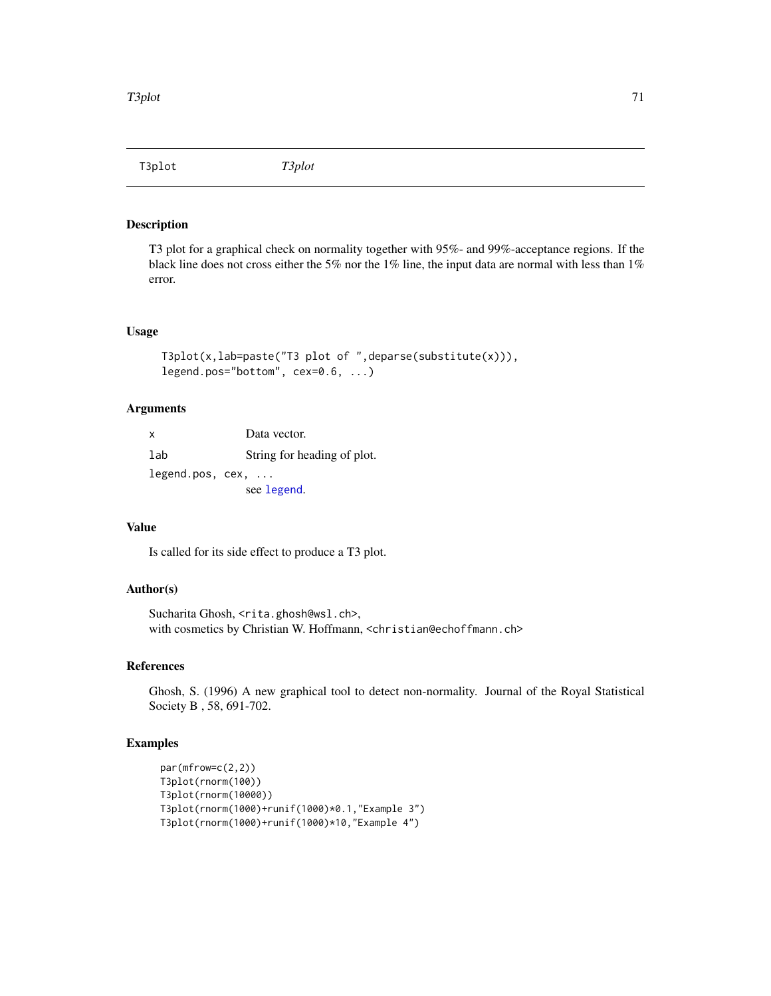T3plot *T3plot*

## Description

T3 plot for a graphical check on normality together with 95%- and 99%-acceptance regions. If the black line does not cross either the 5% nor the 1% line, the input data are normal with less than 1% error.

## Usage

```
T3plot(x,lab=paste("T3 plot of ",deparse(substitute(x))),
legend.pos="bottom", cex=0.6, ...)
```
# Arguments

x Data vector. lab String for heading of plot. legend.pos, cex, ... see [legend](#page-0-0).

## Value

Is called for its side effect to produce a T3 plot.

## Author(s)

Sucharita Ghosh, <rita.ghosh@wsl.ch>, with cosmetics by Christian W. Hoffmann, <christian@echoffmann.ch>

#### References

Ghosh, S. (1996) A new graphical tool to detect non-normality. Journal of the Royal Statistical Society B , 58, 691-702.

```
par(mfrow=c(2,2))
T3plot(rnorm(100))
T3plot(rnorm(10000))
T3plot(rnorm(1000)+runif(1000)*0.1,"Example 3")
T3plot(rnorm(1000)+runif(1000)*10,"Example 4")
```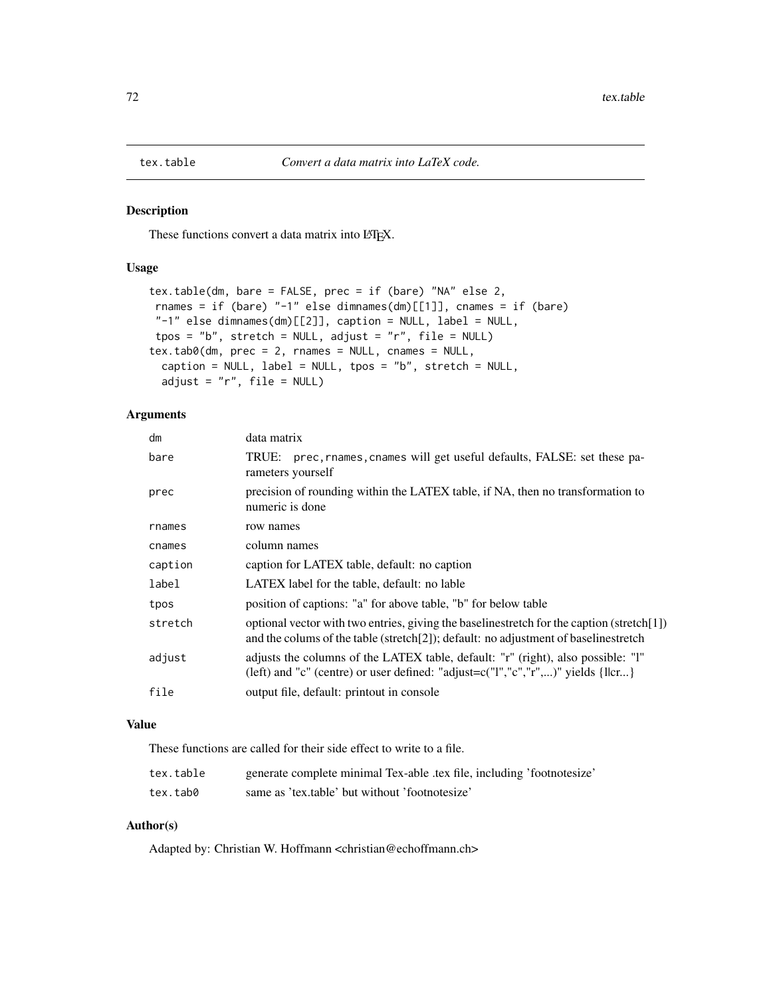These functions convert a data matrix into LATEX.

### Usage

```
tex.table(dm, bare = FALSE, prec = if (bare) "NA" else 2,
rnames = if (bare) "-1" else dimnames(dm)[[1]], cnames = if (bare)
"-1" else dimnames(dm)[[2]], caption = NULL, label = NULL,
tpos = "b", stretch = NULL, adjust = "r", file = NULL)
tex.tab0(dm, prec = 2, rnames = NULL, cnames = NULL,
 caption = NULL, label = NULL, tpos = "b", stretch = NULL,
 adjust = "r", file = NULL)
```
## Arguments

| dm      | data matrix                                                                                                                                                                        |
|---------|------------------------------------------------------------------------------------------------------------------------------------------------------------------------------------|
| bare    | prec, rnames, cnames will get useful defaults, FALSE: set these pa-<br>TRUE:<br>rameters yourself                                                                                  |
| prec    | precision of rounding within the LATEX table, if NA, then no transformation to<br>numeric is done                                                                                  |
| rnames  | row names                                                                                                                                                                          |
| cnames  | column names                                                                                                                                                                       |
| caption | caption for LATEX table, default: no caption                                                                                                                                       |
| label   | LATEX label for the table, default: no lable                                                                                                                                       |
| tpos    | position of captions: "a" for above table, "b" for below table                                                                                                                     |
| stretch | optional vector with two entries, giving the baselinestretch for the caption (stretch[1])<br>and the column of the table (stretch [2]); default: no adjustment of baselinest retch |
| adjust  | adjusts the columns of the LATEX table, default: "r" (right), also possible: "l"<br>(left) and "c" (centre) or user defined: "adjust= $c("l", "c", "r",)$ " yields {l cr}          |
| file    | output file, default: printout in console                                                                                                                                          |

### Value

These functions are called for their side effect to write to a file.

| tex.table | generate complete minimal Tex-able tex file, including 'footnotesize' |
|-----------|-----------------------------------------------------------------------|
| tex.tab0  | same as 'tex.table' but without 'footnotesize'                        |

## Author(s)

Adapted by: Christian W. Hoffmann <christian@echoffmann.ch>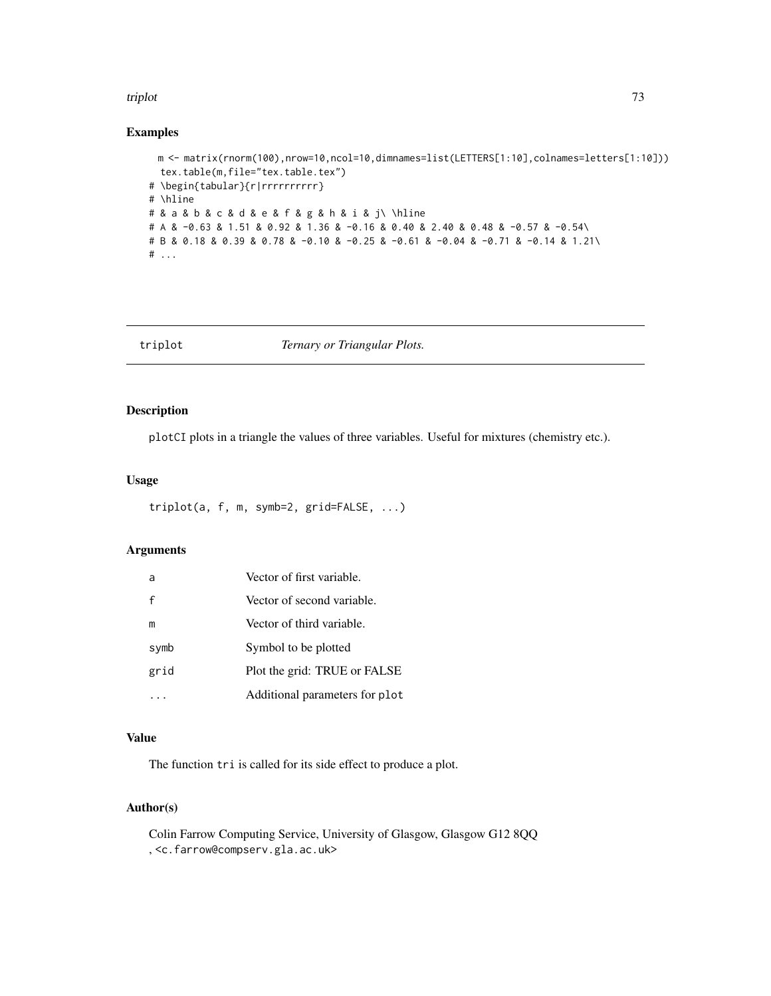#### <span id="page-72-0"></span>triplot that the contract of the contract of the contract of the contract of the contract of the contract of the contract of the contract of the contract of the contract of the contract of the contract of the contract of t

# Examples

```
m <- matrix(rnorm(100),nrow=10,ncol=10,dimnames=list(LETTERS[1:10],colnames=letters[1:10]))
  tex.table(m,file="tex.table.tex")
# \begin{tabular}{r|rrrrrrrrrr}
# \hline
# & a & b & c & d & e & f & g & h & i & j\ \hline
# A & -0.63 & 1.51 & 0.92 & 1.36 & -0.16 & 0.40 & 2.40 & 0.48 & -0.57 & -0.54\
# B & 0.18 & 0.39 & 0.78 & -0.10 & -0.25 & -0.61 & -0.04 & -0.71 & -0.14 & 1.21\
# ...
```
triplot *Ternary or Triangular Plots.*

#### Description

plotCI plots in a triangle the values of three variables. Useful for mixtures (chemistry etc.).

#### Usage

triplot(a, f, m, symb=2, grid=FALSE, ...)

#### Arguments

| a    | Vector of first variable.      |
|------|--------------------------------|
| f    | Vector of second variable.     |
| m    | Vector of third variable.      |
| symb | Symbol to be plotted           |
| grid | Plot the grid: TRUE or FALSE   |
|      | Additional parameters for plot |

### Value

The function tri is called for its side effect to produce a plot.

# Author(s)

Colin Farrow Computing Service, University of Glasgow, Glasgow G12 8QQ , <c.farrow@compserv.gla.ac.uk>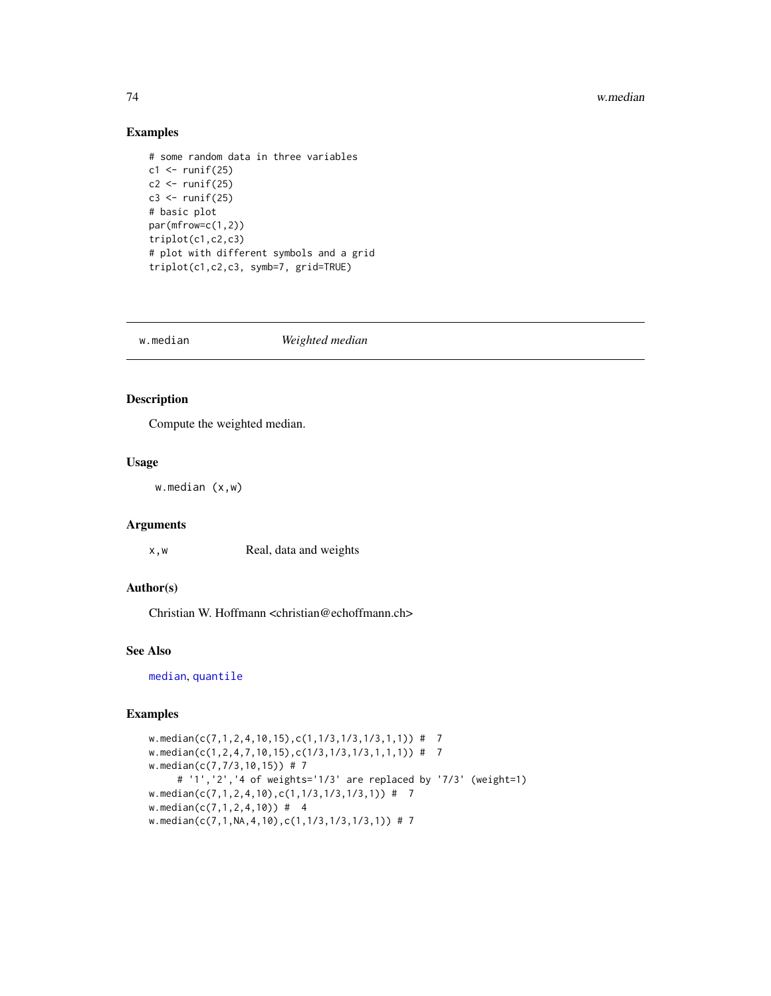#### 74 w.median

# Examples

```
# some random data in three variables
c1 \leq -runif(25)c2 \leftarrow runif(25)c3 \le runif(25)
# basic plot
par(mfrow=c(1,2))
triplot(c1,c2,c3)
# plot with different symbols and a grid
triplot(c1,c2,c3, symb=7, grid=TRUE)
```

| Weighted median<br>w.median |
|-----------------------------|
|-----------------------------|

#### Description

Compute the weighted median.

# Usage

w.median (x,w)

# Arguments

x,w Real, data and weights

# Author(s)

Christian W. Hoffmann <christian@echoffmann.ch>

#### See Also

[median](#page-0-0), [quantile](#page-0-0)

# Examples

```
w.median(c(7,1,2,4,10,15),c(1,1/3,1/3,1/3,1,1)) # 7
w.median(c(1,2,4,7,10,15),c(1/3,1/3,1/3,1,1,1)) # 7
w.median(c(7,7/3,10,15)) # 7
     # '1','2','4 of weights='1/3' are replaced by '7/3' (weight=1)
w.median(c(7,1,2,4,10),c(1,1/3,1/3,1/3,1)) # 7
w.median(c(7,1,2,4,10)) # 4
w.median(c(7,1,NA,4,10),c(1,1/3,1/3,1/3,1)) # 7
```
<span id="page-73-0"></span>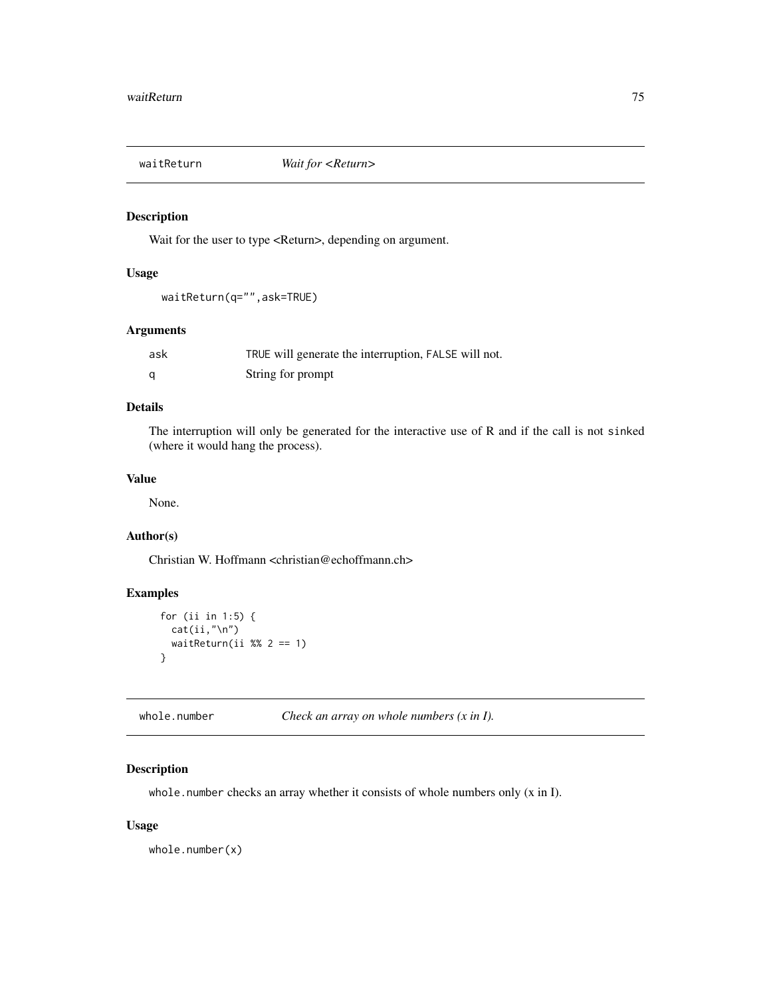<span id="page-74-0"></span>

# Description

Wait for the user to type <Return>, depending on argument.

# Usage

```
waitReturn(q="",ask=TRUE)
```
# Arguments

| ask | TRUE will generate the interruption, FALSE will not. |
|-----|------------------------------------------------------|
|     | String for prompt                                    |

# Details

The interruption will only be generated for the interactive use of R and if the call is not sinked (where it would hang the process).

# Value

None.

# Author(s)

Christian W. Hoffmann <christian@echoffmann.ch>

# Examples

```
for (ii in 1:5) {
 cat(ii, "\\n")waitReturn(ii %% 2 == 1)
}
```
whole.number *Check an array on whole numbers (x in I).*

# Description

whole.number checks an array whether it consists of whole numbers only (x in I).

# Usage

whole.number(x)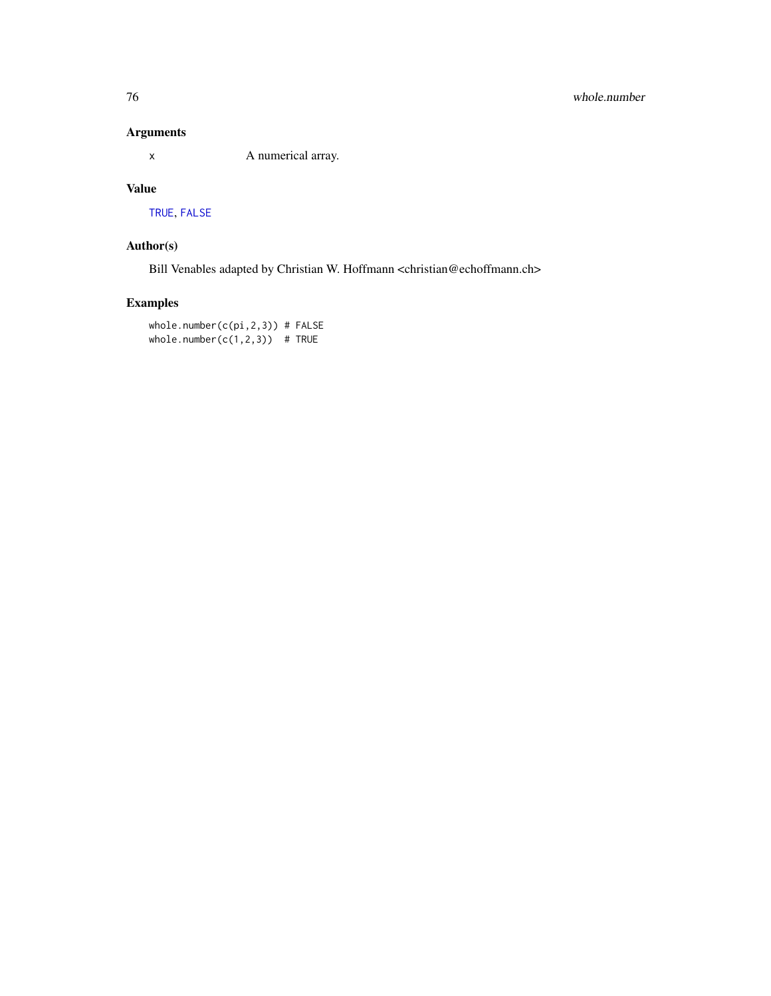# <span id="page-75-0"></span>Arguments

x A numerical array.

# Value

[TRUE](#page-0-0), [FALSE](#page-0-0)

# Author(s)

Bill Venables adapted by Christian W. Hoffmann <christian@echoffmann.ch>

# Examples

whole.number(c(pi,2,3)) # FALSE whole.number( $c(1,2,3)$ ) # TRUE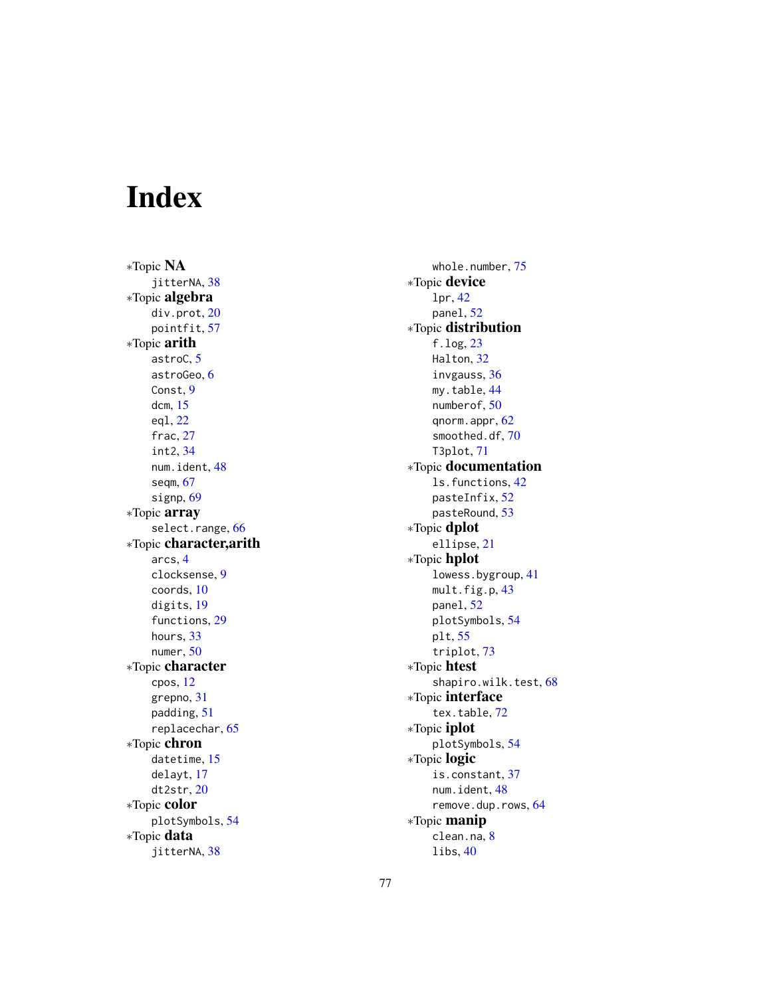# Index

∗Topic NA jitterNA, [38](#page-37-0) ∗Topic algebra div.prot , [20](#page-19-0) pointfit , [57](#page-56-0) ∗Topic arith astroC , [5](#page-4-0) astroGeo , [6](#page-5-0) Const , [9](#page-8-0) dcm , [15](#page-14-0) eql , [22](#page-21-0) frac, [27](#page-26-0) int2 , [34](#page-33-0) num.ident , [48](#page-47-0) seqm , [67](#page-66-0) signp, [69](#page-68-0) ∗Topic array select.range, [66](#page-65-0) ∗Topic character,arith arcs , [4](#page-3-0) clocksense , [9](#page-8-0) coords , [10](#page-9-0) digits , [19](#page-18-0) functions , [29](#page-28-0) hours, [33](#page-32-0) numer , [50](#page-49-0) ∗Topic character cpos , [12](#page-11-0) grepno , [31](#page-30-0) padding , [51](#page-50-0) replacechar , [65](#page-64-0) ∗Topic chron datetime , [15](#page-14-0) delayt , [17](#page-16-0) dt2str , [20](#page-19-0) ∗Topic color plotSymbols , [54](#page-53-0) ∗Topic data jitterNA, [38](#page-37-0)

whole.number,[75](#page-74-0) ∗Topic device lpr , [42](#page-41-0) panel , [52](#page-51-0) ∗Topic distribution f.log , [23](#page-22-0) Halton, [32](#page-31-0) invgauss , [36](#page-35-0) my.table, [44](#page-43-0) numberof , [50](#page-49-0) qnorm.appr, [62](#page-61-0) smoothed.df , [70](#page-69-0) T3plot , [71](#page-70-0) ∗Topic documentation ls.functions , [42](#page-41-0) pasteInfix , [52](#page-51-0) pasteRound , [53](#page-52-0) ∗Topic dplot ellipse , [21](#page-20-0) ∗Topic hplot lowess.bygroup , [41](#page-40-0) mult.fig.p, [43](#page-42-0) panel , [52](#page-51-0) plotSymbols , [54](#page-53-0) plt , [55](#page-54-0) triplot , [73](#page-72-0) ∗Topic htest shapiro.wilk.test, [68](#page-67-0) ∗Topic interface tex.table, [72](#page-71-0) ∗Topic iplot plotSymbols , [54](#page-53-0) ∗Topic logic is.constant, [37](#page-36-0) num.ident, [48](#page-47-0) remove.dup.rows , [64](#page-63-0) ∗Topic manip clean.na, [8](#page-7-0) libs , [40](#page-39-0)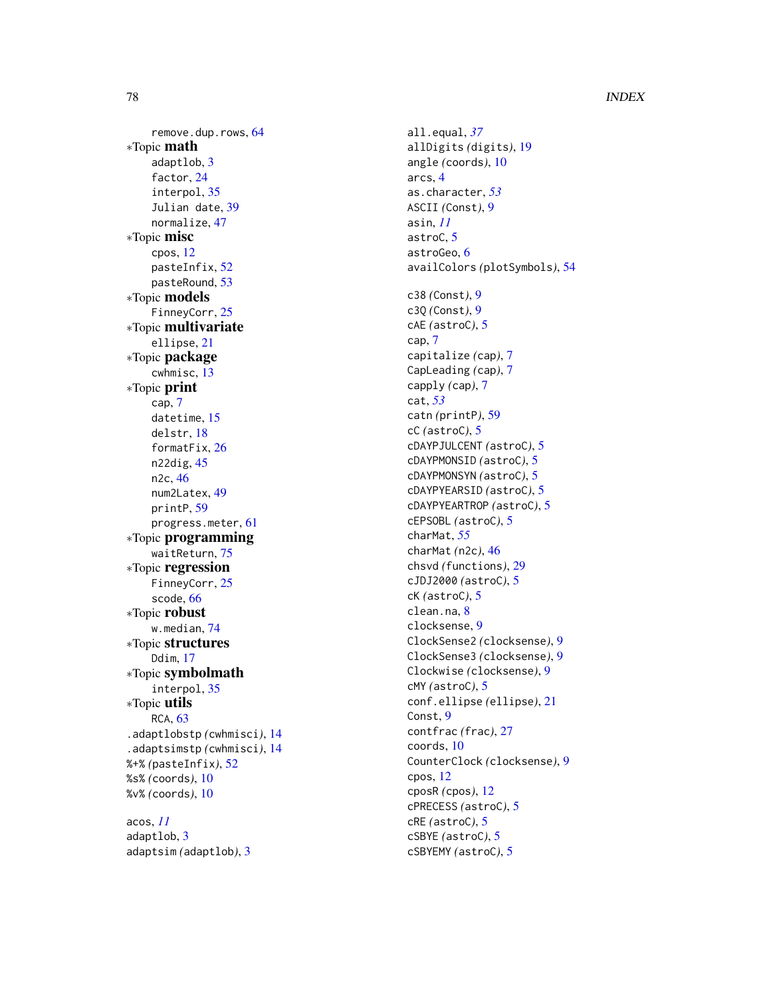remove.dup.rows , [64](#page-63-0) ∗Topic math adaptlob , [3](#page-2-0) factor , [24](#page-23-0) interpol , [35](#page-34-0) Julian date, [39](#page-38-0) normalize , [47](#page-46-0) ∗Topic misc cpos , [12](#page-11-0) pasteInfix , [52](#page-51-0) pasteRound , [53](#page-52-0) ∗Topic models FinneyCorr, [25](#page-24-0) ∗Topic multivariate ellipse , [21](#page-20-0) ∗Topic package cwhmisc , [13](#page-12-0) ∗Topic print cap , [7](#page-6-0) datetime, [15](#page-14-0) delstr , [18](#page-17-0) formatFix , [26](#page-25-0) n22dig , [45](#page-44-0) n2c , [46](#page-45-0) num2Latex , [49](#page-48-0) printP , [59](#page-58-0) progress.meter , [61](#page-60-0) ∗Topic programming waitReturn , [75](#page-74-0) ∗Topic regression FinneyCorr, [25](#page-24-0) scode , [66](#page-65-0) ∗Topic robust w.median , [74](#page-73-0) ∗Topic structures Ddim , [17](#page-16-0) ∗Topic symbolmath interpol , [35](#page-34-0) ∗Topic utils RCA, [63](#page-62-0) .adaptlobstp *(*cwhmisci *)* , [14](#page-13-0) .adaptsimstp *(*cwhmisci *)* , [14](#page-13-0) %+% *(*pasteInfix *)* , [52](#page-51-0) %s% *(*coords *)* , [10](#page-9-0) %v% *(*coords *)* , [10](#page-9-0) acos , *[11](#page-10-0)* adaptlob , [3](#page-2-0)

adaptsim *(*adaptlob *)* , [3](#page-2-0)

all.equal , *[37](#page-36-0)* allDigits *(*digits *)* , [19](#page-18-0) angle *(*coords *)* , [10](#page-9-0) arcs , [4](#page-3-0) as.character , *[53](#page-52-0)* ASCII *(*Const *)* , [9](#page-8-0) asin , *[11](#page-10-0)* astroC, <mark>[5](#page-4-0)</mark> astroGeo , [6](#page-5-0) availColors *(*plotSymbols *)* , [54](#page-53-0) c38 *(*Const *)* , [9](#page-8-0) c3Q *(*Const *)* , [9](#page-8-0) cAE *(*astroC *)* , [5](#page-4-0) cap , [7](#page-6-0) capitalize *(*cap *)* , [7](#page-6-0) CapLeading *(*cap *)* , [7](#page-6-0) capply *(*cap *)* , [7](#page-6-0) cat , *[53](#page-52-0)* catn *(*printP *)* , [59](#page-58-0) cC *(*astroC *)* , [5](#page-4-0) cDAYPJULCENT *(*astroC *)* , [5](#page-4-0) cDAYPMONSID *(*astroC *)* , [5](#page-4-0) cDAYPMONSYN *(*astroC *)* , [5](#page-4-0) cDAYPYEARSID *(*astroC *)* , [5](#page-4-0) cDAYPYEARTROP *(*astroC *)* , [5](#page-4-0) cEPSOBL *(*astroC *)* , [5](#page-4-0) charMat , *[55](#page-54-0)* charMat *(*n2c *)* , [46](#page-45-0) chsvd *(*functions *)* , [29](#page-28-0) cJDJ2000 *(*astroC *)* , [5](#page-4-0) cK *(*astroC *)* , [5](#page-4-0) clean.na, [8](#page-7-0) clocksense , [9](#page-8-0) ClockSense2 *(*clocksense *)* , [9](#page-8-0) ClockSense3 *(*clocksense *)* , [9](#page-8-0) Clockwise *(*clocksense *)* , [9](#page-8-0) cMY *(*astroC *)* , [5](#page-4-0) conf.ellipse *(*ellipse *)* , [21](#page-20-0) Const , [9](#page-8-0) contfrac *(*frac *)* , [27](#page-26-0) coords , [10](#page-9-0) CounterClock *(*clocksense *)* , [9](#page-8-0) cpos , [12](#page-11-0) cposR *(*cpos *)* , [12](#page-11-0) cPRECESS *(*astroC *)* , [5](#page-4-0) cRE *(*astroC *)* , [5](#page-4-0) cSBYE *(*astroC *)* , [5](#page-4-0) cSBYEMY *(*astroC *)* , [5](#page-4-0)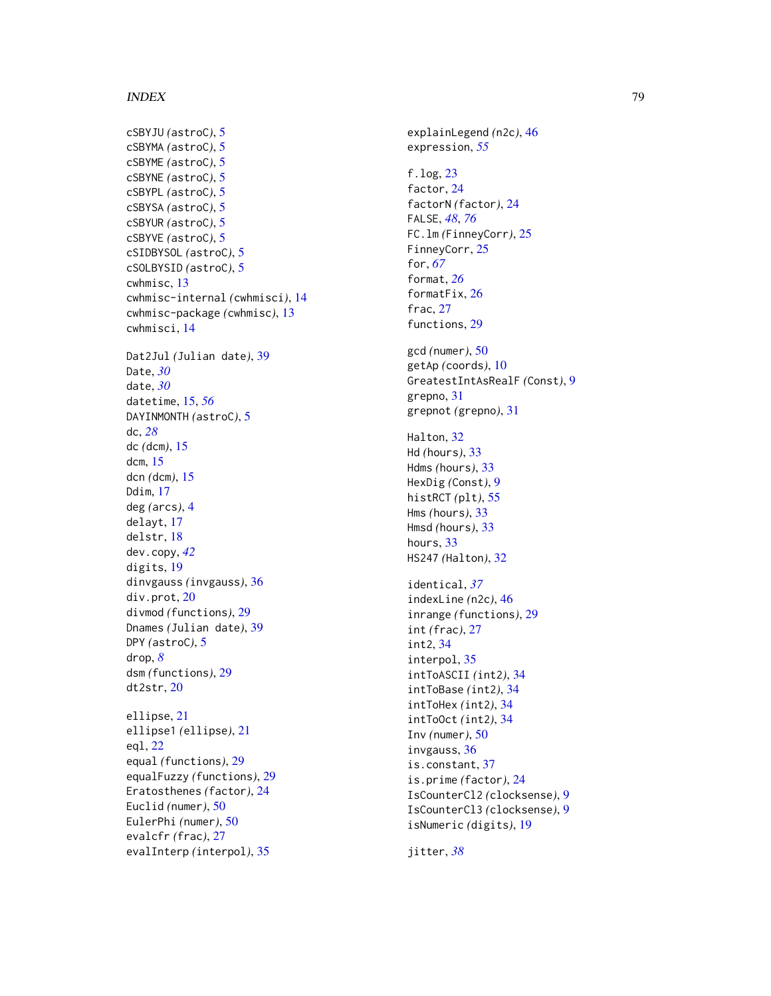cSBYJU *(*astroC *)* , [5](#page-4-0) cSBYMA *(*astroC *)* , [5](#page-4-0) cSBYME *(*astroC *)* , [5](#page-4-0) cSBYNE *(*astroC *)* , [5](#page-4-0) cSBYPL *(*astroC *)* , [5](#page-4-0) cSBYSA *(*astroC *)* , [5](#page-4-0) cSBYUR *(*astroC *)* , [5](#page-4-0) cSBYVE *(*astroC *)* , [5](#page-4-0) cSIDBYSOL *(*astroC *)* , [5](#page-4-0) cSOLBYSID *(*astroC *)* , [5](#page-4-0) cwhmisc , [13](#page-12-0) cwhmisc-internal *(*cwhmisci *)* , [14](#page-13-0) cwhmisc-package *(*cwhmisc *)* , [13](#page-12-0) cwhmisci , [14](#page-13-0) Dat2Jul *(*Julian date *)* , [39](#page-38-0) Date , *[30](#page-29-0)* date , *[30](#page-29-0)* datetime , [15](#page-14-0) , *[56](#page-55-0)* DAYINMONTH *(*astroC *)* , [5](#page-4-0) dc , *[28](#page-27-0)* dc *(*dcm *)* , [15](#page-14-0) dcm , [15](#page-14-0) dcn *(*dcm *)* , [15](#page-14-0) Ddim , [17](#page-16-0) deg *(*arcs *)* , [4](#page-3-0) delayt , [17](#page-16-0) delstr , [18](#page-17-0) dev.copy , *[42](#page-41-0)* digits , [19](#page-18-0) dinvgauss *(*invgauss *)* , [36](#page-35-0) div.prot , [20](#page-19-0) divmod *(*functions *)* , [29](#page-28-0) Dnames *(*Julian date *)* , [39](#page-38-0) DPY *(*astroC *)* , [5](#page-4-0) drop , *[8](#page-7-0)* dsm *(*functions *)* , [29](#page-28-0) dt2str , [20](#page-19-0) ellipse , [21](#page-20-0) ellipse1 *(*ellipse *)* , [21](#page-20-0) eql , [22](#page-21-0) equal *(*functions *)* , [29](#page-28-0) equalFuzzy *(*functions *)* , [29](#page-28-0) Eratosthenes *(*factor *)* , [24](#page-23-0) Euclid *(*numer *)* , [50](#page-49-0) EulerPhi *(*numer *)* , [50](#page-49-0) evalcfr *(*frac *)* , [27](#page-26-0) evalInterp *(*interpol *)* , [35](#page-34-0)

explainLegend *(*n2c *)* , [46](#page-45-0) expression , *[55](#page-54-0)* f.log , [23](#page-22-0) factor , [24](#page-23-0) factorN *(*factor *)* , [24](#page-23-0) FALSE , *[48](#page-47-0)* , *[76](#page-75-0)* FC.lm *(*FinneyCorr *)* , [25](#page-24-0) FinneyCorr, [25](#page-24-0) for , *[67](#page-66-0)* format , *[26](#page-25-0)* formatFix, [26](#page-25-0) frac , [27](#page-26-0) functions , [29](#page-28-0) gcd *(*numer *)* , [50](#page-49-0) getAp *(*coords *)* , [10](#page-9-0) GreatestIntAsRealF *(*Const *)* , [9](#page-8-0) grepno , [31](#page-30-0) grepnot *(*grepno *)* , [31](#page-30-0) Halton, [32](#page-31-0) Hd *(*hours *)* , [33](#page-32-0) Hdms *(*hours *)* , [33](#page-32-0) HexDig *(*Const *)* , [9](#page-8-0) histRCT *(*plt *)* , [55](#page-54-0) Hms *(*hours *)* , [33](#page-32-0) Hmsd *(*hours *)* , [33](#page-32-0) hours, [33](#page-32-0) HS247 *(*Halton *)* , [32](#page-31-0) identical , *[37](#page-36-0)* indexLine *(*n2c *)* , [46](#page-45-0) inrange *(*functions *)* , [29](#page-28-0) int *(*frac *)* , [27](#page-26-0) int2 , [34](#page-33-0) interpol , [35](#page-34-0) intToASCII *(*int2 *)* , [34](#page-33-0) intToBase *(*int2 *)* , [34](#page-33-0) intToHex *(*int2 *)* , [34](#page-33-0) intToOct *(*int2 *)* , [34](#page-33-0) Inv *(*numer *)* , [50](#page-49-0) invgauss , [36](#page-35-0) is.constant , [37](#page-36-0) is.prime *(*factor *)* , [24](#page-23-0) IsCounterCl2 *(*clocksense *)* , [9](#page-8-0) IsCounterCl3 *(*clocksense *)* , [9](#page-8-0) isNumeric *(*digits *)* , [19](#page-18-0)

jitter , *[38](#page-37-0)*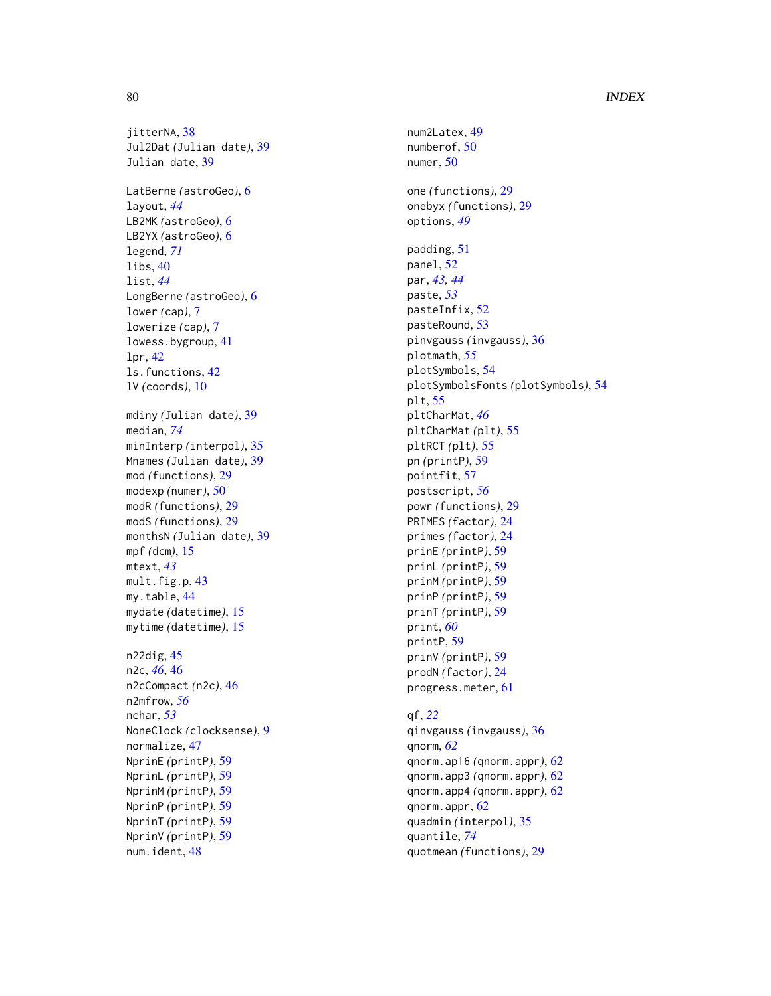jitterNA, [38](#page-37-0) Jul2Dat *(*Julian date *)* , [39](#page-38-0) Julian date, [39](#page-38-0) LatBerne *(*astroGeo *)* , [6](#page-5-0) layout , *[44](#page-43-0)* LB2MK *(*astroGeo *)* , [6](#page-5-0) LB2YX *(*astroGeo *)* , [6](#page-5-0) legend , *[71](#page-70-0)* libs , [40](#page-39-0) list , *[44](#page-43-0)* LongBerne *(*astroGeo *)* , [6](#page-5-0) lower *(*cap *)* , [7](#page-6-0) lowerize *(*cap *)* , [7](#page-6-0) lowess.bygroup , [41](#page-40-0) lpr , [42](#page-41-0) ls.functions , [42](#page-41-0) lV *(*coords *)* , [10](#page-9-0) mdiny *(*Julian date *)* , [39](#page-38-0) median , *[74](#page-73-0)* minInterp *(*interpol *)* , [35](#page-34-0) Mnames *(*Julian date *)* , [39](#page-38-0) mod *(*functions *)* , [29](#page-28-0) modexp *(*numer *)* , [50](#page-49-0) modR *(*functions *)* , [29](#page-28-0) modS *(*functions *)* , [29](#page-28-0) monthsN *(*Julian date *)* , [39](#page-38-0) mpf *(*dcm *)* , [15](#page-14-0) mtext , *[43](#page-42-0)* mult.fig.p , [43](#page-42-0) my.table, [44](#page-43-0) mydate *(*datetime *)* , [15](#page-14-0) mytime *(*datetime *)* , [15](#page-14-0) n22dig , [45](#page-44-0) n2c , *[46](#page-45-0)* , [46](#page-45-0) n2cCompact (n2c), [46](#page-45-0) n2mfrow , *[56](#page-55-0)* nchar , *[53](#page-52-0)* NoneClock *(*clocksense *)* , [9](#page-8-0) normalize , [47](#page-46-0) NprinE *(*printP *)* , [59](#page-58-0) NprinL *(*printP *)* , [59](#page-58-0) NprinM *(*printP *)* , [59](#page-58-0) NprinP *(*printP *)* , [59](#page-58-0) NprinT *(*printP *)* , [59](#page-58-0) NprinV *(*printP *)* , [59](#page-58-0) num.ident, [48](#page-47-0)

num2Latex , [49](#page-48-0) numberof , [50](#page-49-0) numer , [50](#page-49-0) one *(*functions *)* , [29](#page-28-0) onebyx *(*functions *)* , [29](#page-28-0) options , *[49](#page-48-0)* padding , [51](#page-50-0) panel , [52](#page-51-0) par , *[43](#page-42-0) , [44](#page-43-0)* paste , *[53](#page-52-0)* pasteInfix , [52](#page-51-0) pasteRound , [53](#page-52-0) pinvgauss *(*invgauss *)* , [36](#page-35-0) plotmath , *[55](#page-54-0)* plotSymbols , [54](#page-53-0) plotSymbolsFonts *(*plotSymbols *)* , [54](#page-53-0) plt , [55](#page-54-0) pltCharMat , *[46](#page-45-0)* pltCharMat *(*plt *)* , [55](#page-54-0) pltRCT *(*plt *)* , [55](#page-54-0) pn *(*printP *)* , [59](#page-58-0) pointfit , [57](#page-56-0) postscript , *[56](#page-55-0)* powr *(*functions *)* , [29](#page-28-0) PRIMES *(*factor *)* , [24](#page-23-0) primes *(*factor *)* , [24](#page-23-0) prinE *(*printP *)* , [59](#page-58-0) prinL *(*printP *)* , [59](#page-58-0) prinM *(*printP *)* , [59](#page-58-0) prinP *(*printP *)* , [59](#page-58-0) prinT *(*printP *)* , [59](#page-58-0) print , *[60](#page-59-0)* printP , [59](#page-58-0) prinV *(*printP *)* , [59](#page-58-0) prodN *(*factor *)* , [24](#page-23-0) progress.meter , [61](#page-60-0) qf , *[22](#page-21-0)*

qinvgauss *(*invgauss *)* , [36](#page-35-0) qnorm , *[62](#page-61-0)* qnorm.ap16 *(*qnorm.appr *)* , [62](#page-61-0) qnorm.app3 *(*qnorm.appr *)* , [62](#page-61-0) qnorm.app4 *(*qnorm.appr *)* , [62](#page-61-0) qnorm.appr, [62](#page-61-0) quadmin *(*interpol *)* , [35](#page-34-0) quantile , *[74](#page-73-0)* quotmean *(*functions *)* , [29](#page-28-0)